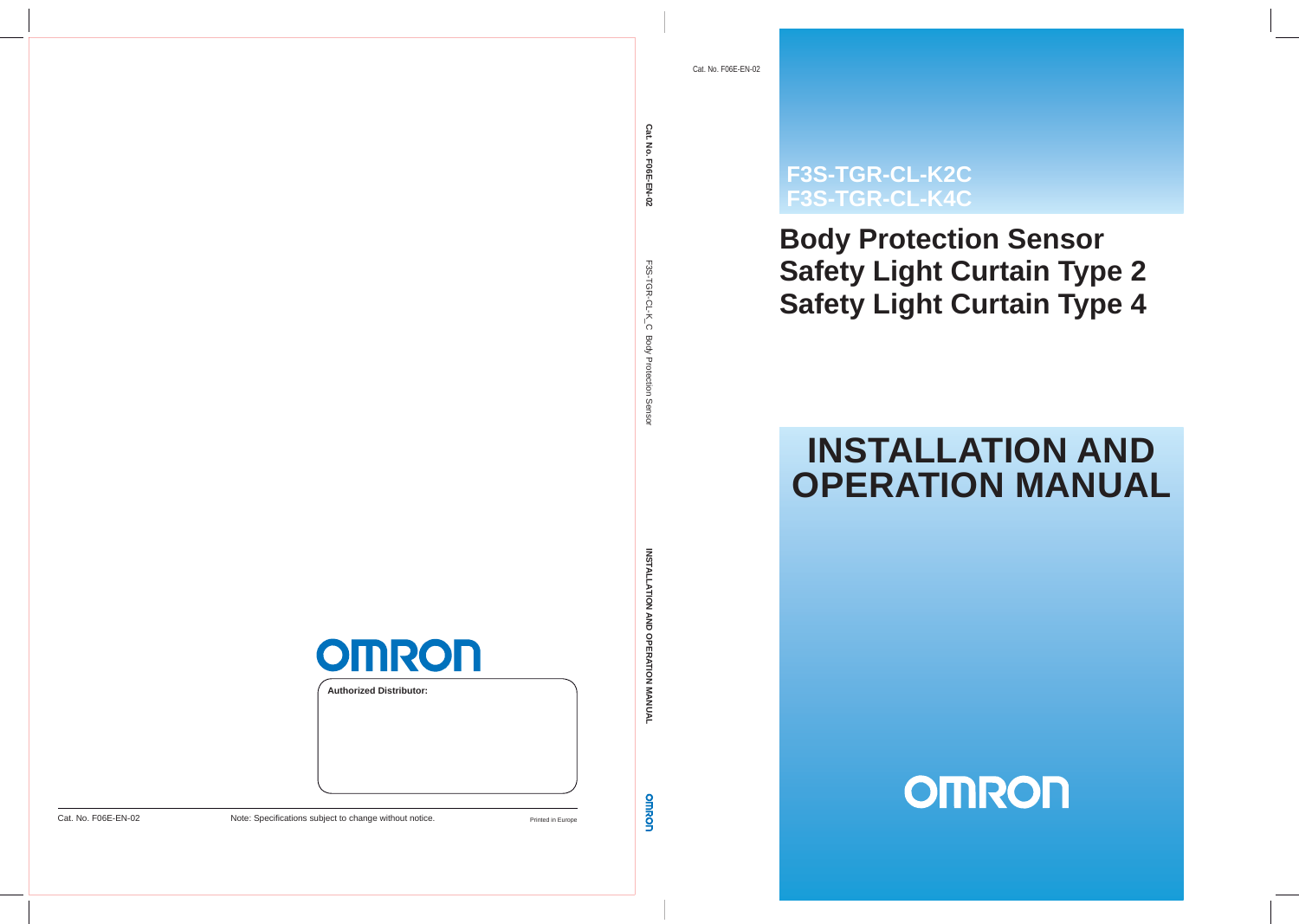# **F3S-TGR-CL-K2C F3S-TGR-CL-K4C**

# **Body Protection Sensor Safety Light Curtain Type 2 Safety Light Curtain Type 4**

# **INSTALLATION AND OPERATION MANUAL**

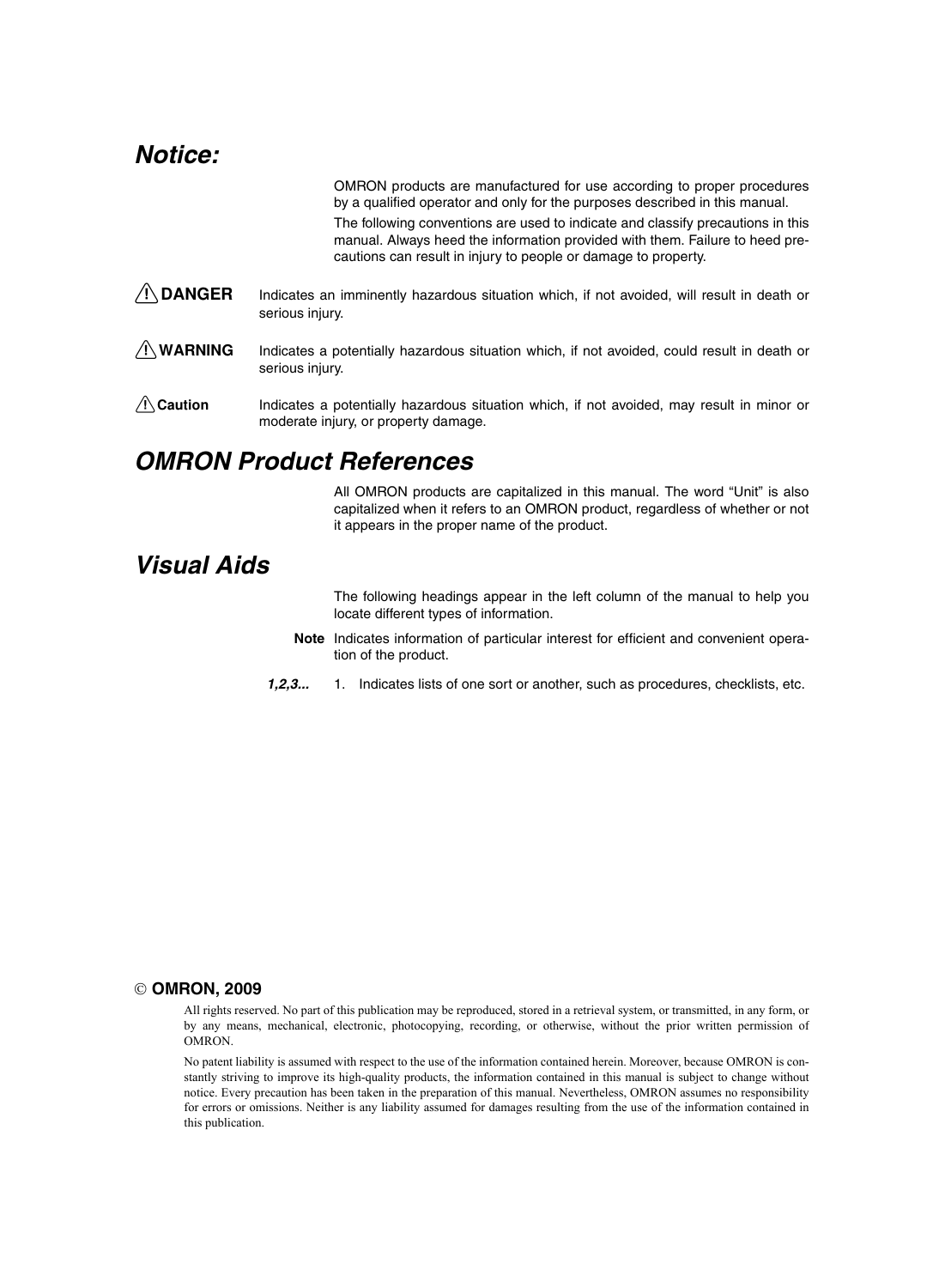# *Notice:*

OMRON products are manufactured for use according to proper procedures by a qualified operator and only for the purposes described in this manual.

The following conventions are used to indicate and classify precautions in this manual. Always heed the information provided with them. Failure to heed precautions can result in injury to people or damage to property.

- $\sqrt{!}$  DANGER Indicates an imminently hazardous situation which, if not avoided, will result in death or serious injury.
- $\sqrt{!}$  WARNING Indicates a potentially hazardous situation which, if not avoided, could result in death or serious injury.
- $\bigwedge$  Caution Indicates a potentially hazardous situation which, if not avoided, may result in minor or moderate injury, or property damage.

# *OMRON Product References*

All OMRON products are capitalized in this manual. The word "Unit" is also capitalized when it refers to an OMRON product, regardless of whether or not it appears in the proper name of the product.

# *Visual Aids*

The following headings appear in the left column of the manual to help you locate different types of information.

- **Note** Indicates information of particular interest for efficient and convenient operation of the product.
- *1,2,3...* 1. Indicates lists of one sort or another, such as procedures, checklists, etc.

#### © **OMRON, 2009**

All rights reserved. No part of this publication may be reproduced, stored in a retrieval system, or transmitted, in any form, or by any means, mechanical, electronic, photocopying, recording, or otherwise, without the prior written permission of OMRON.

No patent liability is assumed with respect to the use of the information contained herein. Moreover, because OMRON is constantly striving to improve its high-quality products, the information contained in this manual is subject to change without notice. Every precaution has been taken in the preparation of this manual. Nevertheless, OMRON assumes no responsibility for errors or omissions. Neither is any liability assumed for damages resulting from the use of the information contained in this publication.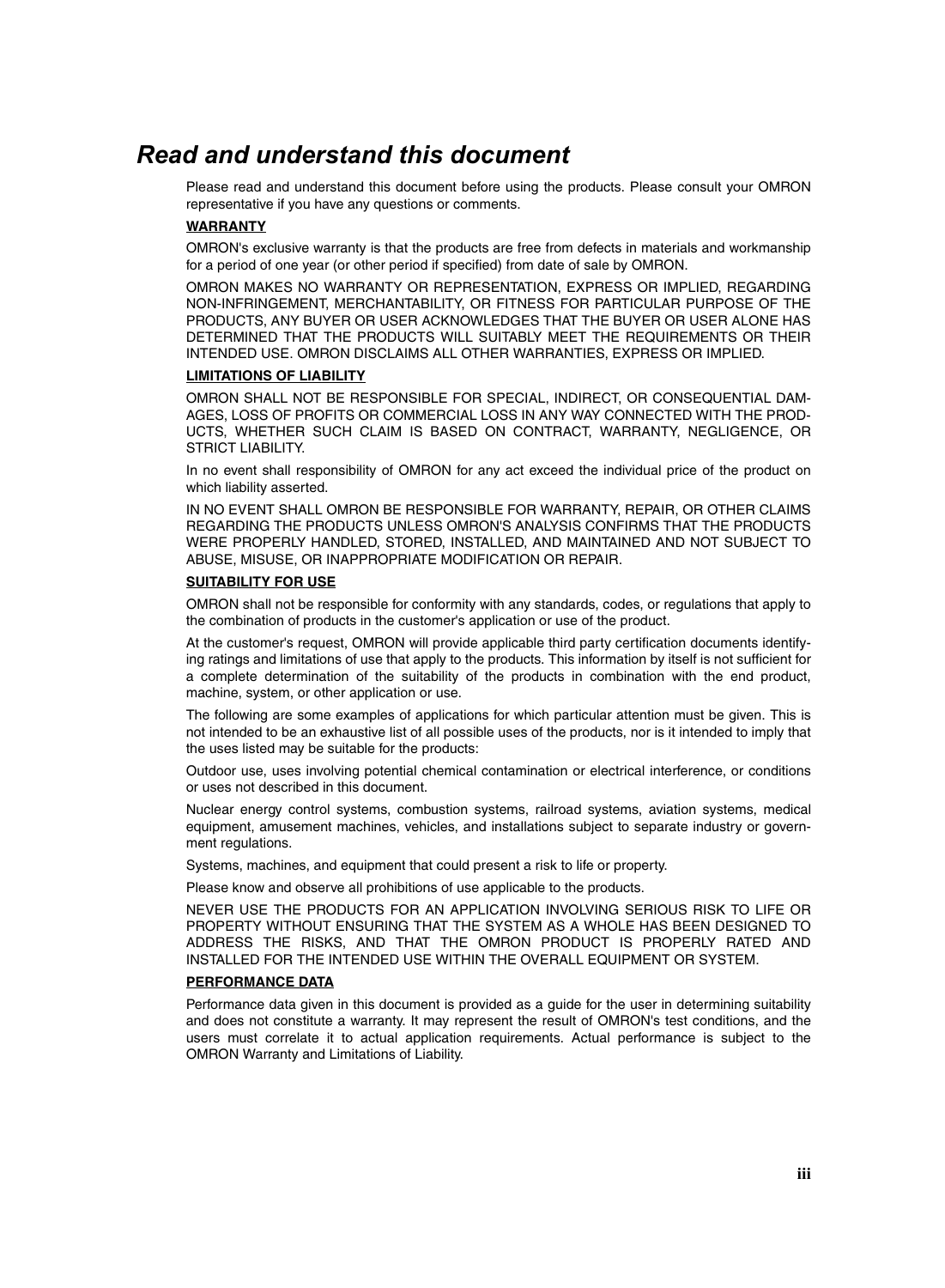# *Read and understand this document*

Please read and understand this document before using the products. Please consult your OMRON representative if you have any questions or comments.

#### **WARRANTY**

OMRON's exclusive warranty is that the products are free from defects in materials and workmanship for a period of one year (or other period if specified) from date of sale by OMRON.

OMRON MAKES NO WARRANTY OR REPRESENTATION, EXPRESS OR IMPLIED, REGARDING NON-INFRINGEMENT, MERCHANTABILITY, OR FITNESS FOR PARTICULAR PURPOSE OF THE PRODUCTS, ANY BUYER OR USER ACKNOWLEDGES THAT THE BUYER OR USER ALONE HAS DETERMINED THAT THE PRODUCTS WILL SUITABLY MEET THE REQUIREMENTS OR THEIR INTENDED USE. OMRON DISCLAIMS ALL OTHER WARRANTIES, EXPRESS OR IMPLIED.

#### **LIMITATIONS OF LIABILITY**

OMRON SHALL NOT BE RESPONSIBLE FOR SPECIAL, INDIRECT, OR CONSEQUENTIAL DAM-AGES, LOSS OF PROFITS OR COMMERCIAL LOSS IN ANY WAY CONNECTED WITH THE PROD-UCTS, WHETHER SUCH CLAIM IS BASED ON CONTRACT, WARRANTY, NEGLIGENCE, OR STRICT LIABILITY.

In no event shall responsibility of OMRON for any act exceed the individual price of the product on which liability asserted.

IN NO EVENT SHALL OMRON BE RESPONSIBLE FOR WARRANTY, REPAIR, OR OTHER CLAIMS REGARDING THE PRODUCTS UNLESS OMRON'S ANALYSIS CONFIRMS THAT THE PRODUCTS WERE PROPERLY HANDLED, STORED, INSTALLED, AND MAINTAINED AND NOT SUBJECT TO ABUSE, MISUSE, OR INAPPROPRIATE MODIFICATION OR REPAIR.

#### **SUITABILITY FOR USE**

OMRON shall not be responsible for conformity with any standards, codes, or regulations that apply to the combination of products in the customer's application or use of the product.

At the customer's request, OMRON will provide applicable third party certification documents identifying ratings and limitations of use that apply to the products. This information by itself is not sufficient for a complete determination of the suitability of the products in combination with the end product, machine, system, or other application or use.

The following are some examples of applications for which particular attention must be given. This is not intended to be an exhaustive list of all possible uses of the products, nor is it intended to imply that the uses listed may be suitable for the products:

Outdoor use, uses involving potential chemical contamination or electrical interference, or conditions or uses not described in this document.

Nuclear energy control systems, combustion systems, railroad systems, aviation systems, medical equipment, amusement machines, vehicles, and installations subject to separate industry or government regulations.

Systems, machines, and equipment that could present a risk to life or property.

Please know and observe all prohibitions of use applicable to the products.

NEVER USE THE PRODUCTS FOR AN APPLICATION INVOLVING SERIOUS RISK TO LIFE OR PROPERTY WITHOUT ENSURING THAT THE SYSTEM AS A WHOLE HAS BEEN DESIGNED TO ADDRESS THE RISKS, AND THAT THE OMRON PRODUCT IS PROPERLY RATED AND INSTALLED FOR THE INTENDED USE WITHIN THE OVERALL EQUIPMENT OR SYSTEM.

#### **PERFORMANCE DATA**

Performance data given in this document is provided as a guide for the user in determining suitability and does not constitute a warranty. It may represent the result of OMRON's test conditions, and the users must correlate it to actual application requirements. Actual performance is subject to the OMRON Warranty and Limitations of Liability.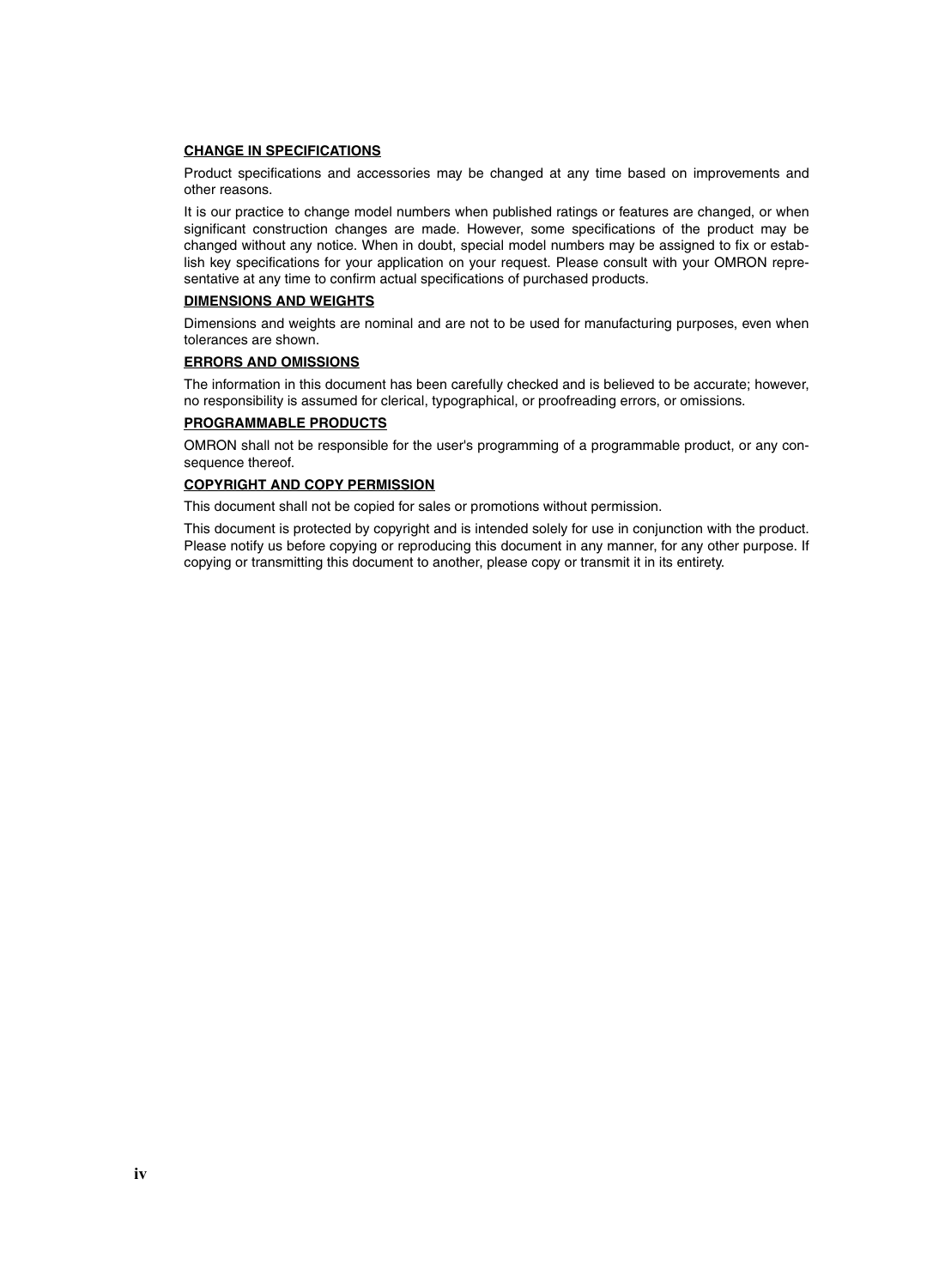#### **CHANGE IN SPECIFICATIONS**

Product specifications and accessories may be changed at any time based on improvements and other reasons.

It is our practice to change model numbers when published ratings or features are changed, or when significant construction changes are made. However, some specifications of the product may be changed without any notice. When in doubt, special model numbers may be assigned to fix or establish key specifications for your application on your request. Please consult with your OMRON representative at any time to confirm actual specifications of purchased products.

#### **DIMENSIONS AND WEIGHTS**

Dimensions and weights are nominal and are not to be used for manufacturing purposes, even when tolerances are shown.

#### **ERRORS AND OMISSIONS**

The information in this document has been carefully checked and is believed to be accurate; however, no responsibility is assumed for clerical, typographical, or proofreading errors, or omissions.

#### **PROGRAMMABLE PRODUCTS**

OMRON shall not be responsible for the user's programming of a programmable product, or any consequence thereof.

#### **COPYRIGHT AND COPY PERMISSION**

This document shall not be copied for sales or promotions without permission.

This document is protected by copyright and is intended solely for use in conjunction with the product. Please notify us before copying or reproducing this document in any manner, for any other purpose. If copying or transmitting this document to another, please copy or transmit it in its entirety.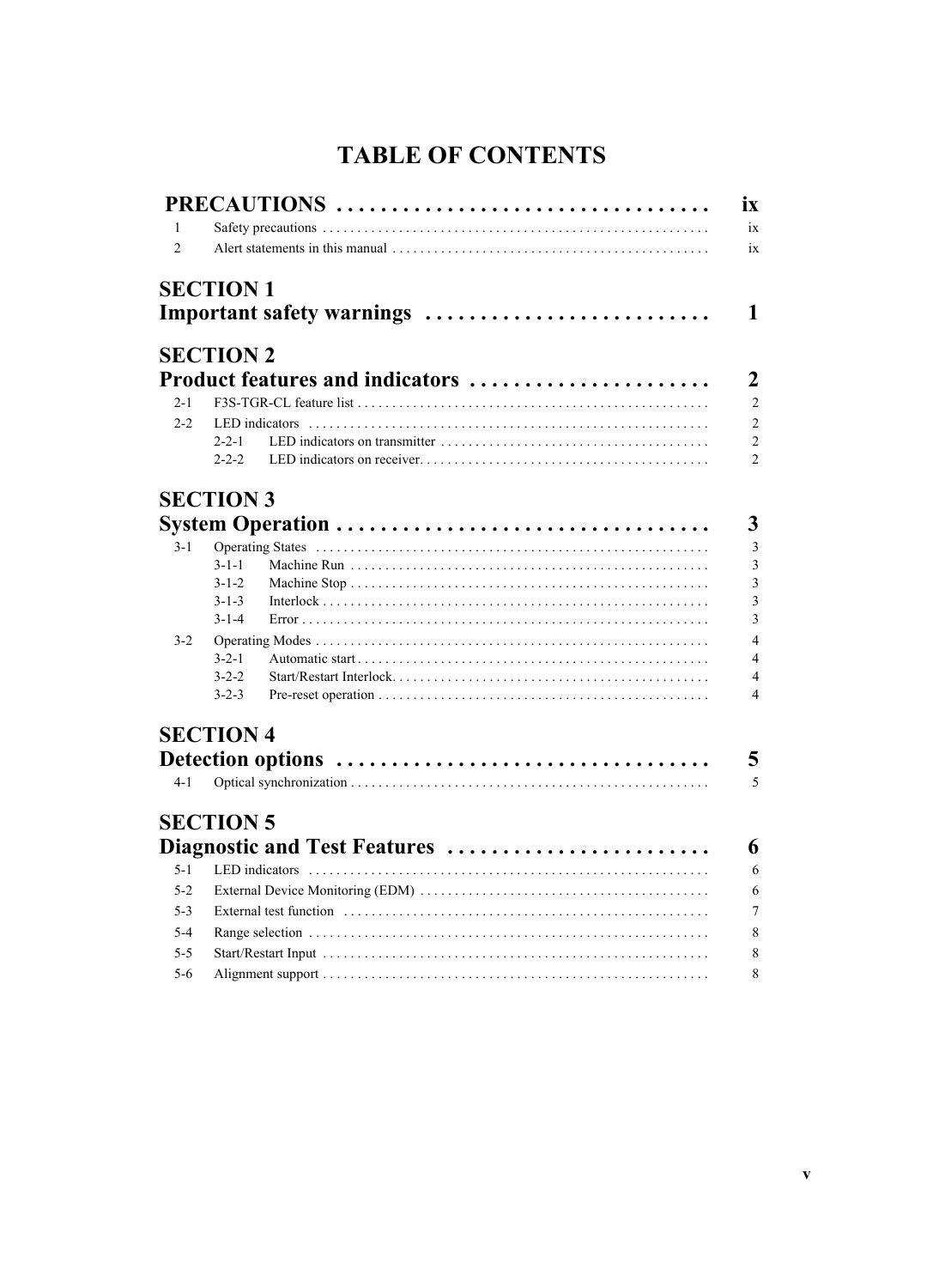# **TABLE OF CONTENTS**

|                |                  | PRECAUTIONS                     |
|----------------|------------------|---------------------------------|
| 1              |                  |                                 |
| $\overline{2}$ |                  |                                 |
|                | <b>SECTION 1</b> |                                 |
|                |                  | Important safety warnings       |
|                | <b>SECTION 2</b> |                                 |
|                |                  | Product features and indicators |
| $2 - 1$        |                  |                                 |
|                |                  |                                 |
| $2 - 2$        |                  |                                 |
|                | $2 - 2 - 2$      |                                 |
|                | <b>SECTION 3</b> |                                 |
|                |                  |                                 |
| $3 - 1$        |                  |                                 |
|                | $3 - 1 - 1$      |                                 |
|                | $3 - 1 - 2$      |                                 |
|                | $3 - 1 - 3$      |                                 |
|                | $3 - 1 - 4$      |                                 |
| $3 - 2$        |                  |                                 |
|                | $3 - 2 - 1$      |                                 |
|                | $3 - 2 - 2$      |                                 |
|                | $3 - 2 - 3$      |                                 |
|                | <b>SECTION 4</b> |                                 |
|                |                  |                                 |
| $4 - 1$        |                  |                                 |
|                | <b>SECTION 5</b> |                                 |
|                |                  | Diagnostic and Test Features    |
| $5 - 1$        |                  | LED indicators                  |
| $5 - 2$        |                  |                                 |
| $5-3$          |                  |                                 |
| $5 - 4$        |                  |                                 |
| $5 - 5$        |                  |                                 |
| $5 - 6$        |                  |                                 |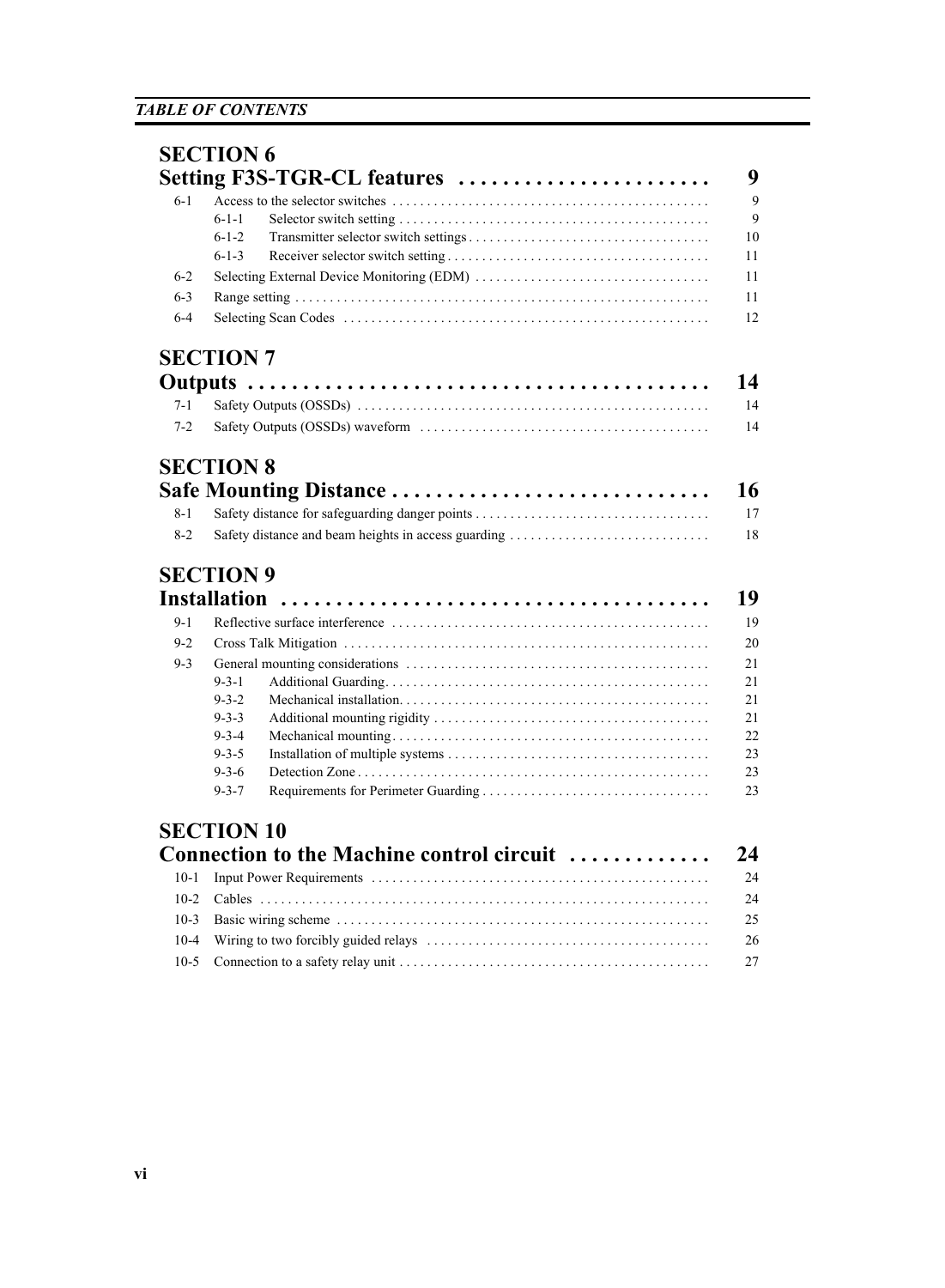|         | <b>SECTION 6</b>                                          |
|---------|-----------------------------------------------------------|
|         | Setting F3S-TGR-CL features                               |
| $6 - 1$ | $6-1-1$<br>$6 - 1 - 2$<br>10<br>11<br>$6 - 1 - 3$         |
| $6 - 2$ | 11                                                        |
| $6 - 3$ | 11                                                        |
| $6-4$   | 12                                                        |
|         | <b>SECTION 7</b>                                          |
|         | 14                                                        |
| $7 - 1$ | 14                                                        |
| $7 - 2$ | 14                                                        |
|         | <b>SECTION 8</b>                                          |
|         | 16<br>Safe Mounting Distance                              |
| $8 - 1$ | 17                                                        |
| $8 - 2$ | 18<br>Safety distance and beam heights in access guarding |
|         |                                                           |
|         | <b>SECTION 9</b>                                          |
|         | 19<br><b>Installation</b>                                 |
| $9 - 1$ | 19                                                        |
| $9 - 2$ | 20                                                        |
| $9 - 3$ | 21                                                        |
|         | $9 - 3 - 1$<br>21                                         |
|         | $9 - 3 - 2$<br>21                                         |
|         | $9 - 3 - 3$<br>21                                         |
|         | 22<br>$9 - 3 - 4$                                         |
|         | 23<br>$9 - 3 - 5$                                         |
|         | $9 - 3 - 6$<br>23                                         |
|         | $9 - 3 - 7$<br>23                                         |
|         | <b>SECTION 10</b>                                         |
|         | Connection to the Machine control circuit<br>24           |
| $10-1$  | 24                                                        |
| $10-2$  | 24                                                        |
| $10-3$  | 25                                                        |
|         |                                                           |

[10-4 Wiring to two forcibly guided relays . . . . . . . . . . . . . . . . . . . . . . . . . . . . . . . . . . . . . . . . . 26](#page-39-0) [10-5 Connection to a safety relay unit . . . . . . . . . . . . . . . . . . . . . . . . . . . . . . . . . . . . . . . . . . . . .](#page-40-0) 27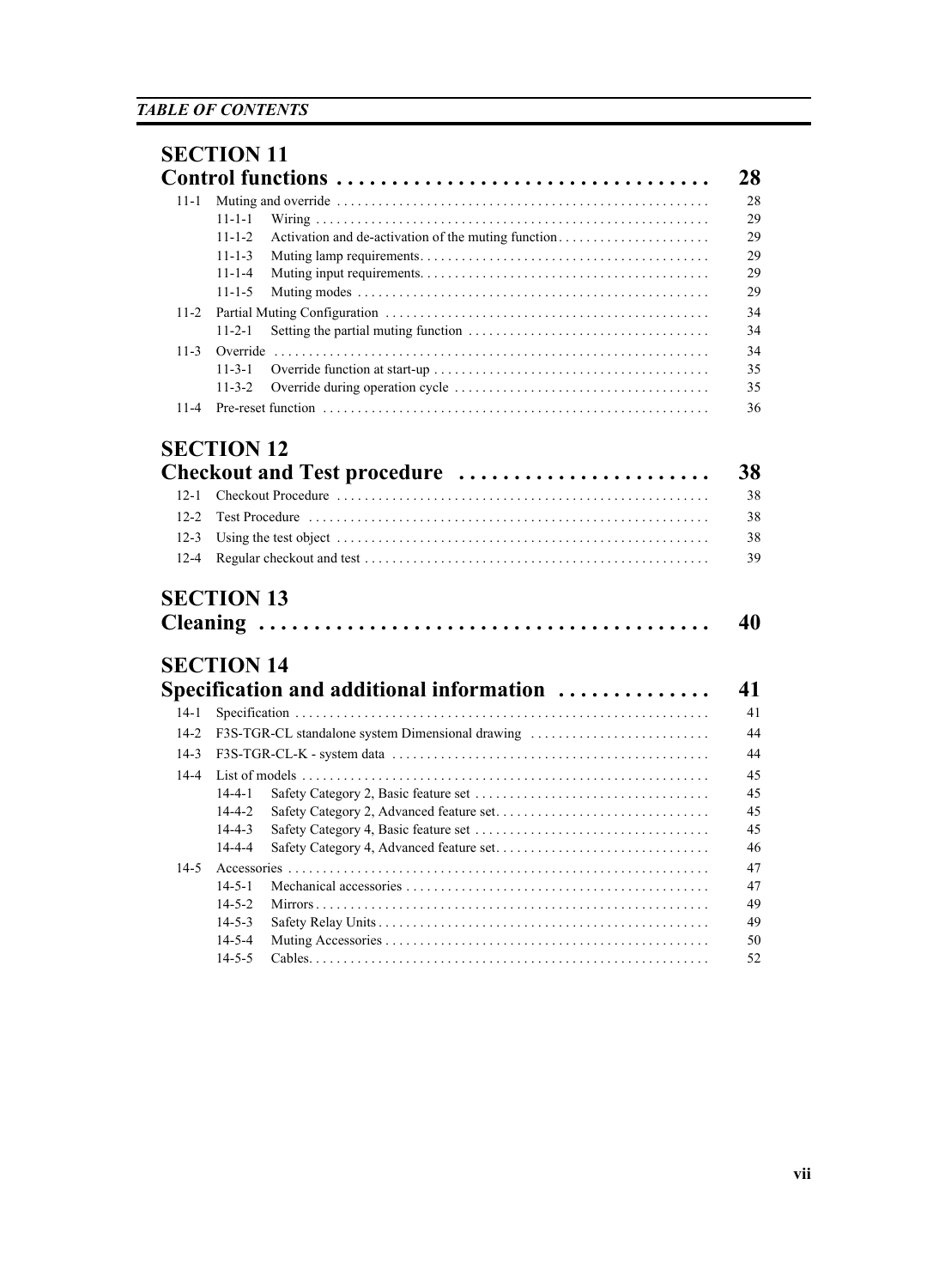|          | <b>SECTION 11</b>                                                            |  |  |
|----------|------------------------------------------------------------------------------|--|--|
|          |                                                                              |  |  |
| $11 - 1$ | $11 - 1 - 1$<br>$11 - 1 - 2$<br>$11 - 1 - 3$<br>$11 - 1 - 4$<br>$11 - 1 - 5$ |  |  |
| $11-2$   | $11 - 2 - 1$                                                                 |  |  |
| $11-3$   | Override<br>$11 - 3 - 1$<br>$11 - 3 - 2$                                     |  |  |
| $11 - 4$ |                                                                              |  |  |
|          | <b>SECTION 12</b>                                                            |  |  |
|          | Checkout and Test procedure                                                  |  |  |
| $12 - 1$ |                                                                              |  |  |
| $12-2$   |                                                                              |  |  |
| $12 - 3$ |                                                                              |  |  |
| $12 - 4$ |                                                                              |  |  |
|          | <b>SECTION 13</b>                                                            |  |  |
|          | <b>SECTION 14</b>                                                            |  |  |
|          | Specification and additional information                                     |  |  |
| $14-1$   |                                                                              |  |  |
| $14-2$   | F3S-TGR-CL standalone system Dimensional drawing                             |  |  |
| $14-3$   |                                                                              |  |  |
| $14 - 4$ | $14 - 4 - 1$<br>$14 - 4 - 2$<br>$14 - 4 - 3$<br>$14 - 4 - 4$                 |  |  |
| $14-5$   |                                                                              |  |  |
|          | $14 - 5 - 1$<br>$14 - 5 - 2$<br>$14 - 5 - 3$<br>$14 - 5 - 4$<br>$14 - 5 - 5$ |  |  |
|          |                                                                              |  |  |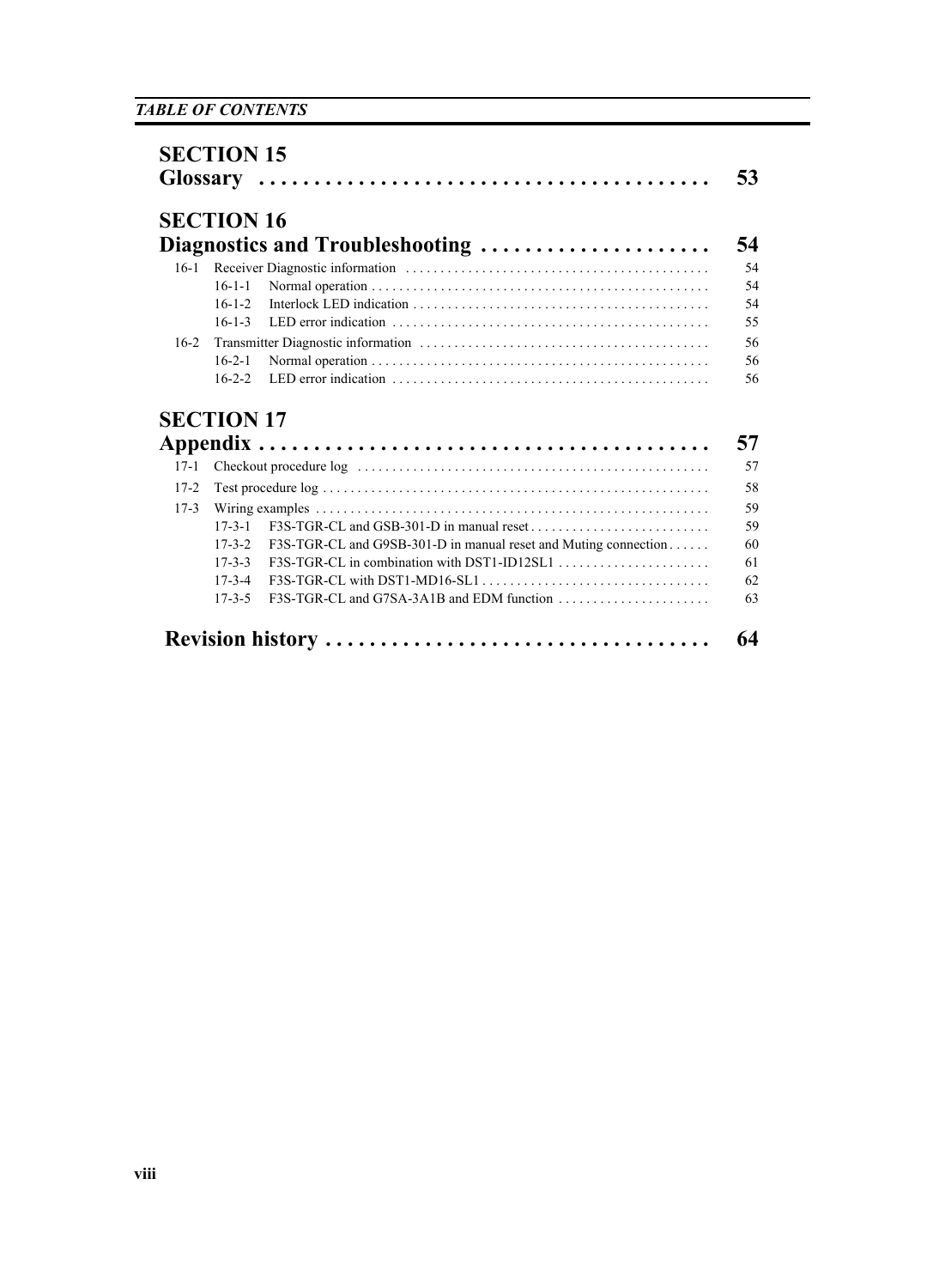|        | <b>SECTION 16</b> |                                                                 |
|--------|-------------------|-----------------------------------------------------------------|
|        |                   | Diagnostics and Troubleshooting                                 |
| $16-1$ |                   |                                                                 |
|        | $16 - 1 - 1$      |                                                                 |
|        | $16 - 1 - 2$      |                                                                 |
|        | $16 - 1 - 3$      |                                                                 |
| $16-2$ |                   |                                                                 |
|        | $16 - 2 - 1$      |                                                                 |
|        | $16 - 2 - 2$      |                                                                 |
|        | <b>SECTION 17</b> |                                                                 |
|        |                   |                                                                 |
| $17-1$ |                   |                                                                 |
| $17-2$ |                   |                                                                 |
| $17-3$ |                   |                                                                 |
|        | $17 - 3 - 1$      |                                                                 |
|        | $17 - 3 - 2$      | F3S-TGR-CL and G9SB-301-D in manual reset and Muting connection |
|        | $17 - 3 - 3$      |                                                                 |
|        | $17 - 3 - 4$      | $F3S-TRR-CL$ with DST1-MD16-SL1                                 |
|        | $17 - 3 - 5$      |                                                                 |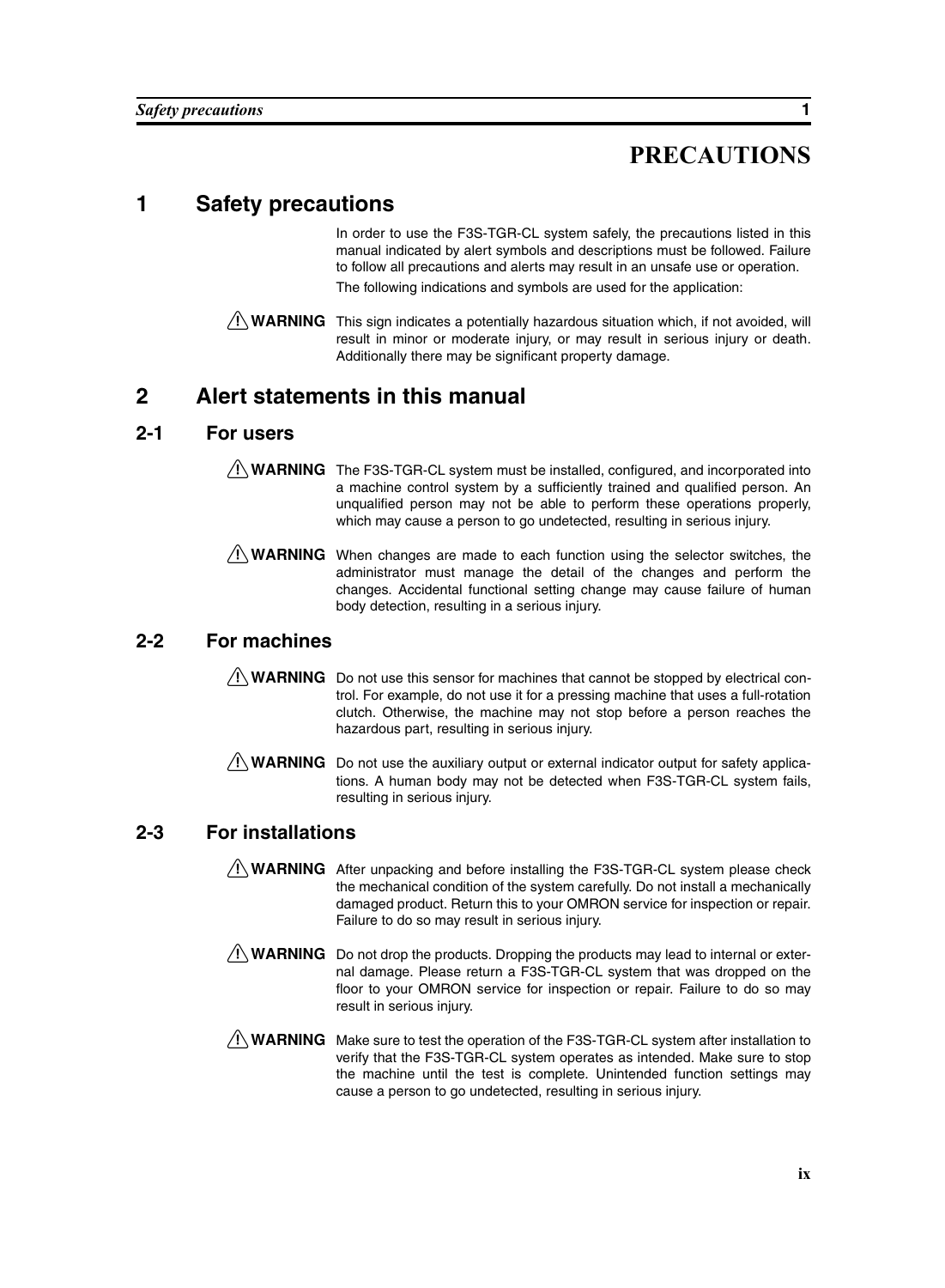# **PRECAUTIONS**

# <span id="page-8-1"></span><span id="page-8-0"></span>**1 Safety precautions**

In order to use the F3S-TGR-CL system safely, the precautions listed in this manual indicated by alert symbols and descriptions must be followed. Failure to follow all precautions and alerts may result in an unsafe use or operation. The following indications and symbols are used for the application:

 $\sqrt{N}$  WARNING This sign indicates a potentially hazardous situation which, if not avoided, will result in minor or moderate injury, or may result in serious injury or death. Additionally there may be significant property damage.

### <span id="page-8-2"></span>**2 Alert statements in this manual**

#### **2-1 For users**

- $\sqrt{!}$  WARNING The F3S-TGR-CL system must be installed, configured, and incorporated into a machine control system by a sufficiently trained and qualified person. An unqualified person may not be able to perform these operations properly, which may cause a person to go undetected, resulting in serious injury.
- $\bigwedge$  WARNING When changes are made to each function using the selector switches, the administrator must manage the detail of the changes and perform the changes. Accidental functional setting change may cause failure of human body detection, resulting in a serious injury.

### **2-2 For machines**

- $\bigwedge$  WARNING Do not use this sensor for machines that cannot be stopped by electrical control. For example, do not use it for a pressing machine that uses a full-rotation clutch. Otherwise, the machine may not stop before a person reaches the hazardous part, resulting in serious injury.
- $\bigwedge$  WARNING Do not use the auxiliary output or external indicator output for safety applications. A human body may not be detected when F3S-TGR-CL system fails, resulting in serious injury.

### **2-3 For installations**

- $\sqrt{N}$  WARNING After unpacking and before installing the F3S-TGR-CL system please check the mechanical condition of the system carefully. Do not install a mechanically damaged product. Return this to your OMRON service for inspection or repair. Failure to do so may result in serious injury.
- $\sqrt{N}$  WARNING Do not drop the products. Dropping the products may lead to internal or external damage. Please return a F3S-TGR-CL system that was dropped on the floor to your OMRON service for inspection or repair. Failure to do so may result in serious injury.
- $\sqrt{N}$  WARNING Make sure to test the operation of the F3S-TGR-CL system after installation to verify that the F3S-TGR-CL system operates as intended. Make sure to stop the machine until the test is complete. Unintended function settings may cause a person to go undetected, resulting in serious injury.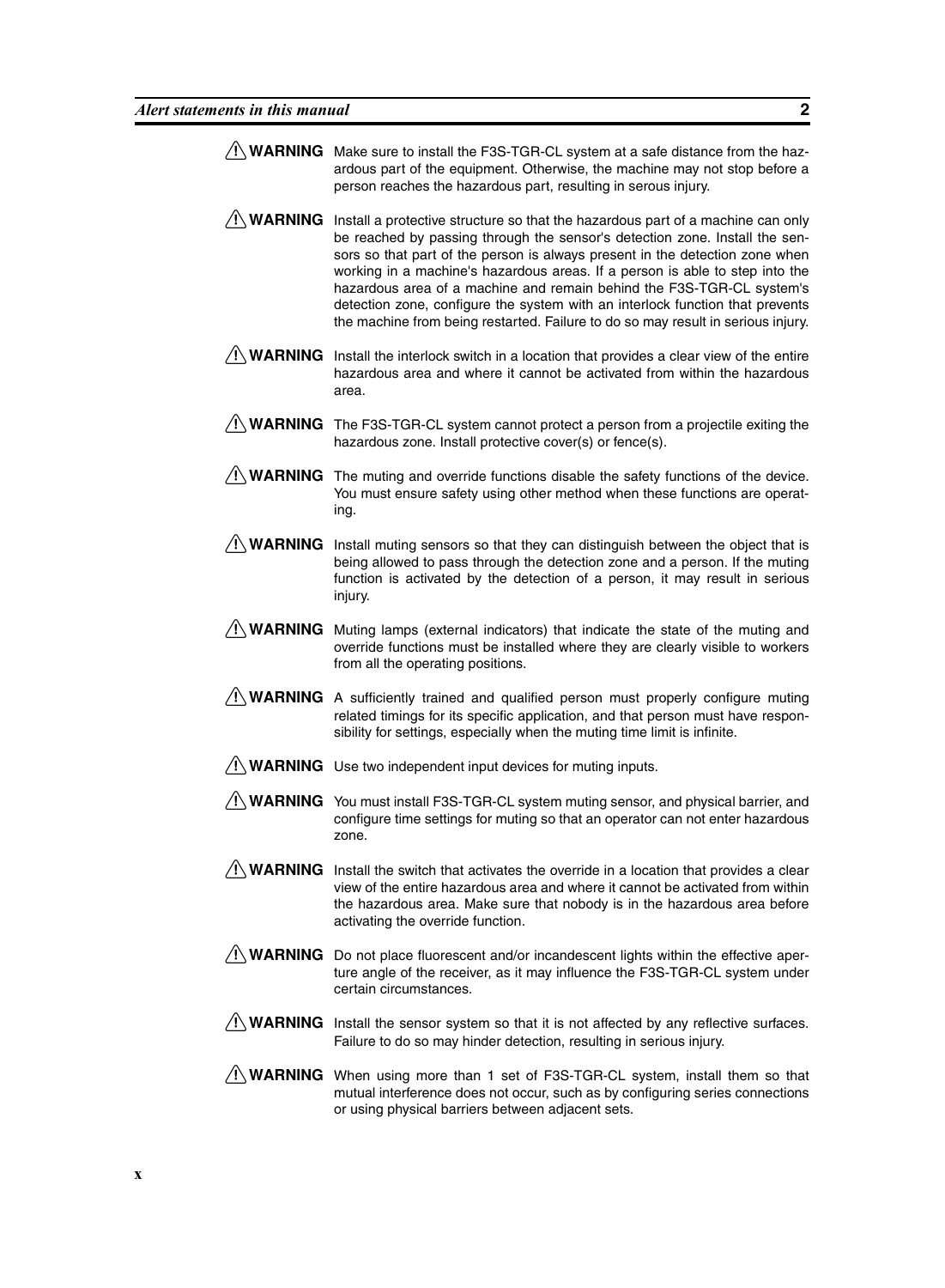- $\bigwedge$  WARNING Make sure to install the F3S-TGR-CL system at a safe distance from the hazardous part of the equipment. Otherwise, the machine may not stop before a person reaches the hazardous part, resulting in serous injury.
- $\sqrt{N}$  WARNING Install a protective structure so that the hazardous part of a machine can only be reached by passing through the sensor's detection zone. Install the sensors so that part of the person is always present in the detection zone when working in a machine's hazardous areas. If a person is able to step into the hazardous area of a machine and remain behind the F3S-TGR-CL system's detection zone, configure the system with an interlock function that prevents the machine from being restarted. Failure to do so may result in serious injury.
- $\sqrt{N}$  WARNING Install the interlock switch in a location that provides a clear view of the entire hazardous area and where it cannot be activated from within the hazardous area.
- $\sqrt{!}$  WARNING The F3S-TGR-CL system cannot protect a person from a projectile exiting the hazardous zone. Install protective cover(s) or fence(s).
- $\bigwedge$  WARNING The muting and override functions disable the safety functions of the device. You must ensure safety using other method when these functions are operating.
- $\sqrt{N}$  WARNING Install muting sensors so that they can distinguish between the object that is being allowed to pass through the detection zone and a person. If the muting function is activated by the detection of a person, it may result in serious injury.
- $\sqrt{N}$  WARNING Muting lamps (external indicators) that indicate the state of the muting and override functions must be installed where they are clearly visible to workers from all the operating positions.
- $\sqrt{N}$  WARNING A sufficiently trained and qualified person must properly configure muting related timings for its specific application, and that person must have responsibility for settings, especially when the muting time limit is infinite.
- $\bigwedge$  WARNING Use two independent input devices for muting inputs.
- $/$ ! WARNING You must install F3S-TGR-CL system muting sensor, and physical barrier, and configure time settings for muting so that an operator can not enter hazardous zone.
- $\sqrt{!}$  WARNING Install the switch that activates the override in a location that provides a clear view of the entire hazardous area and where it cannot be activated from within the hazardous area. Make sure that nobody is in the hazardous area before activating the override function.
- $\sqrt{N}$  WARNING Do not place fluorescent and/or incandescent lights within the effective aperture angle of the receiver, as it may influence the F3S-TGR-CL system under certain circumstances.
- $\sqrt{!}$  WARNING Install the sensor system so that it is not affected by any reflective surfaces. Failure to do so may hinder detection, resulting in serious injury.
- $\sqrt{N}$  WARNING When using more than 1 set of F3S-TGR-CL system, install them so that mutual interference does not occur, such as by configuring series connections or using physical barriers between adjacent sets.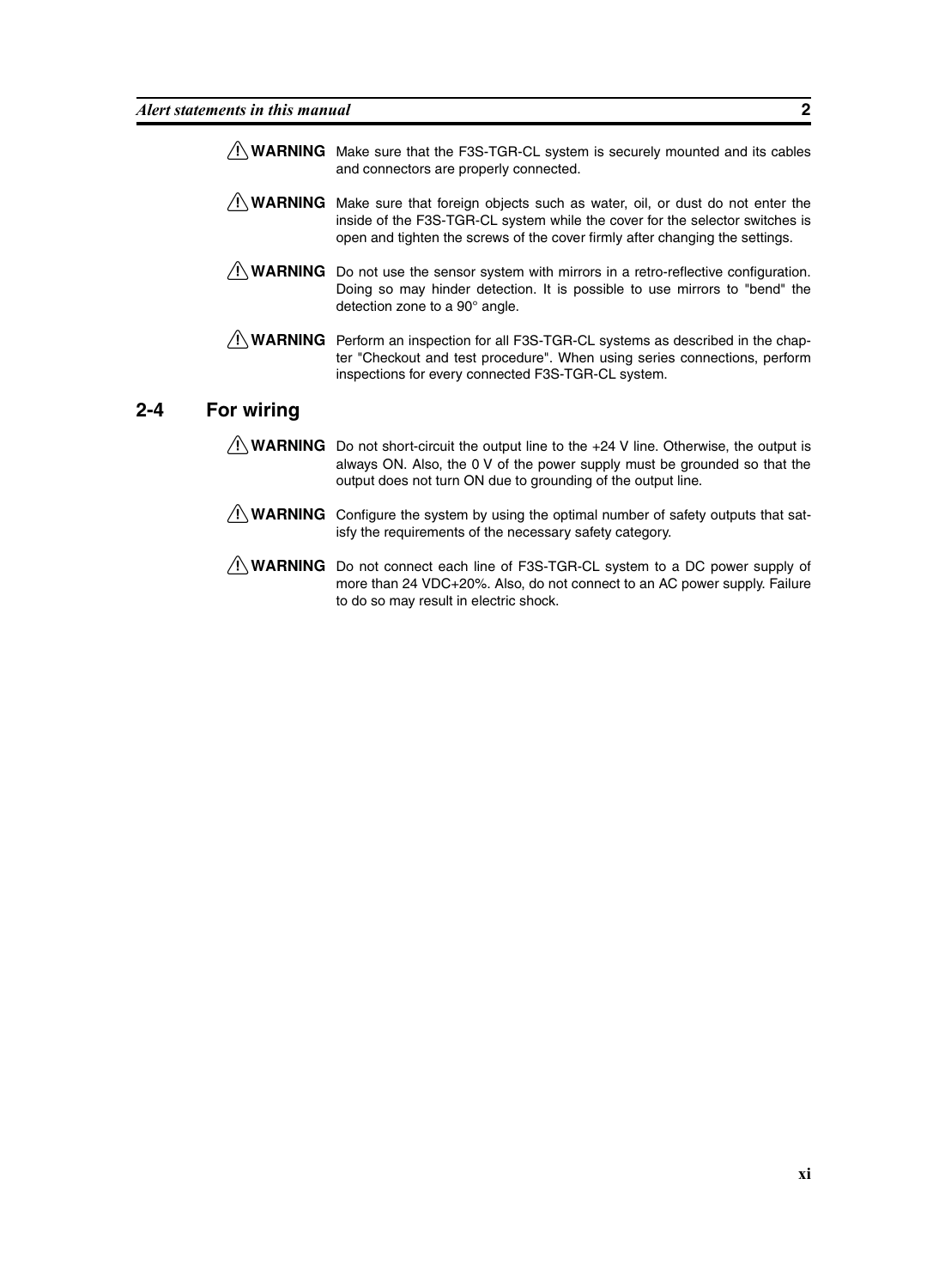- $\sqrt{N}$  WARNING Make sure that the F3S-TGR-CL system is securely mounted and its cables and connectors are properly connected.
- $\sqrt{N}$  WARNING Make sure that foreign objects such as water, oil, or dust do not enter the inside of the F3S-TGR-CL system while the cover for the selector switches is open and tighten the screws of the cover firmly after changing the settings.
- $\sqrt{N}$  WARNING Do not use the sensor system with mirrors in a retro-reflective configuration. Doing so may hinder detection. It is possible to use mirrors to "bend" the detection zone to a 90° angle.
- $\sqrt{N}$  WARNING Perform an inspection for all F3S-TGR-CL systems as described in the chapter "Checkout and test procedure". When using series connections, perform inspections for every connected F3S-TGR-CL system.

#### **2-4 For wiring**

- $\sqrt{!}$  WARNING Do not short-circuit the output line to the +24 V line. Otherwise, the output is always ON. Also, the 0 V of the power supply must be grounded so that the output does not turn ON due to grounding of the output line.
- $\sqrt{N}$  WARNING Configure the system by using the optimal number of safety outputs that satisfy the requirements of the necessary safety category.
- $\sqrt{N}$  WARNING Do not connect each line of F3S-TGR-CL system to a DC power supply of more than 24 VDC+20%. Also, do not connect to an AC power supply. Failure to do so may result in electric shock.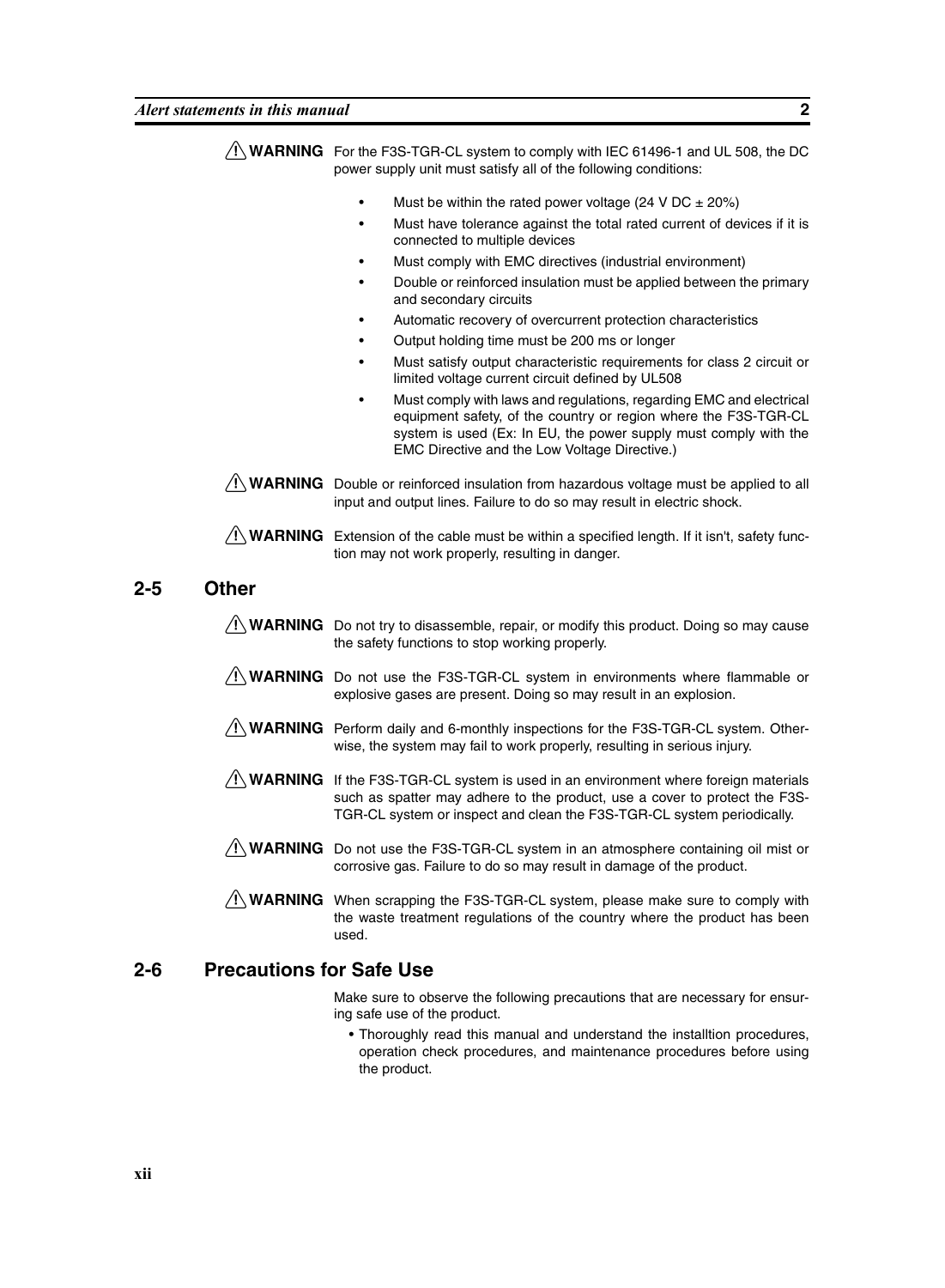|     |                                 | $\sqrt{!}$ WARNING For the F3S-TGR-CL system to comply with IEC 61496-1 and UL 508, the DC<br>power supply unit must satisfy all of the following conditions:                                                                                                                                                                                                                                                                                                                                                                                                                                                                                                                                                                                                                                                                                                 |
|-----|---------------------------------|---------------------------------------------------------------------------------------------------------------------------------------------------------------------------------------------------------------------------------------------------------------------------------------------------------------------------------------------------------------------------------------------------------------------------------------------------------------------------------------------------------------------------------------------------------------------------------------------------------------------------------------------------------------------------------------------------------------------------------------------------------------------------------------------------------------------------------------------------------------|
|     |                                 | Must be within the rated power voltage (24 V DC $\pm$ 20%)<br>Must have tolerance against the total rated current of devices if it is<br>connected to multiple devices<br>Must comply with EMC directives (industrial environment)<br>Double or reinforced insulation must be applied between the primary<br>$\bullet$<br>and secondary circuits<br>Automatic recovery of overcurrent protection characteristics<br>Output holding time must be 200 ms or longer<br>Must satisfy output characteristic requirements for class 2 circuit or<br>limited voltage current circuit defined by UL508<br>Must comply with laws and regulations, regarding EMC and electrical<br>equipment safety, of the country or region where the F3S-TGR-CL<br>system is used (Ex: In EU, the power supply must comply with the<br>EMC Directive and the Low Voltage Directive.) |
|     |                                 | $\sqrt{N}$ WARNING Double or reinforced insulation from hazardous voltage must be applied to all<br>input and output lines. Failure to do so may result in electric shock.                                                                                                                                                                                                                                                                                                                                                                                                                                                                                                                                                                                                                                                                                    |
|     |                                 | $\sqrt{!}$ WARNING Extension of the cable must be within a specified length. If it isn't, safety func-<br>tion may not work properly, resulting in danger.                                                                                                                                                                                                                                                                                                                                                                                                                                                                                                                                                                                                                                                                                                    |
| 2-5 | <b>Other</b>                    |                                                                                                                                                                                                                                                                                                                                                                                                                                                                                                                                                                                                                                                                                                                                                                                                                                                               |
|     |                                 | $\sqrt{N}$ WARNING Do not try to disassemble, repair, or modify this product. Doing so may cause<br>the safety functions to stop working properly.                                                                                                                                                                                                                                                                                                                                                                                                                                                                                                                                                                                                                                                                                                            |
|     | ∕!∖ WARNING                     | Do not use the F3S-TGR-CL system in environments where flammable or<br>explosive gases are present. Doing so may result in an explosion.                                                                                                                                                                                                                                                                                                                                                                                                                                                                                                                                                                                                                                                                                                                      |
|     |                                 | WARNING Perform daily and 6-monthly inspections for the F3S-TGR-CL system. Other-<br>wise, the system may fail to work properly, resulting in serious injury.                                                                                                                                                                                                                                                                                                                                                                                                                                                                                                                                                                                                                                                                                                 |
|     |                                 | <b>WARNING</b> If the F3S-TGR-CL system is used in an environment where foreign materials<br>such as spatter may adhere to the product, use a cover to protect the F3S-<br>TGR-CL system or inspect and clean the F3S-TGR-CL system periodically.                                                                                                                                                                                                                                                                                                                                                                                                                                                                                                                                                                                                             |
|     |                                 | <b>NUARNING</b> Do not use the F3S-TGR-CL system in an atmosphere containing oil mist or<br>corrosive gas. Failure to do so may result in damage of the product.                                                                                                                                                                                                                                                                                                                                                                                                                                                                                                                                                                                                                                                                                              |
|     |                                 | <b>/!\ WARNING</b> When scrapping the F3S-TGR-CL system, please make sure to comply with<br>the waste treatment regulations of the country where the product has been<br>used.                                                                                                                                                                                                                                                                                                                                                                                                                                                                                                                                                                                                                                                                                |
| 2-6 | <b>Precautions for Safe Use</b> |                                                                                                                                                                                                                                                                                                                                                                                                                                                                                                                                                                                                                                                                                                                                                                                                                                                               |
|     |                                 | Make sure to observe the following precautions that are necessary for ensur-<br>ing safe use of the product.                                                                                                                                                                                                                                                                                                                                                                                                                                                                                                                                                                                                                                                                                                                                                  |

• Thoroughly read this manual and understand the installtion procedures, operation check procedures, and maintenance procedures before using the product.

**2-5**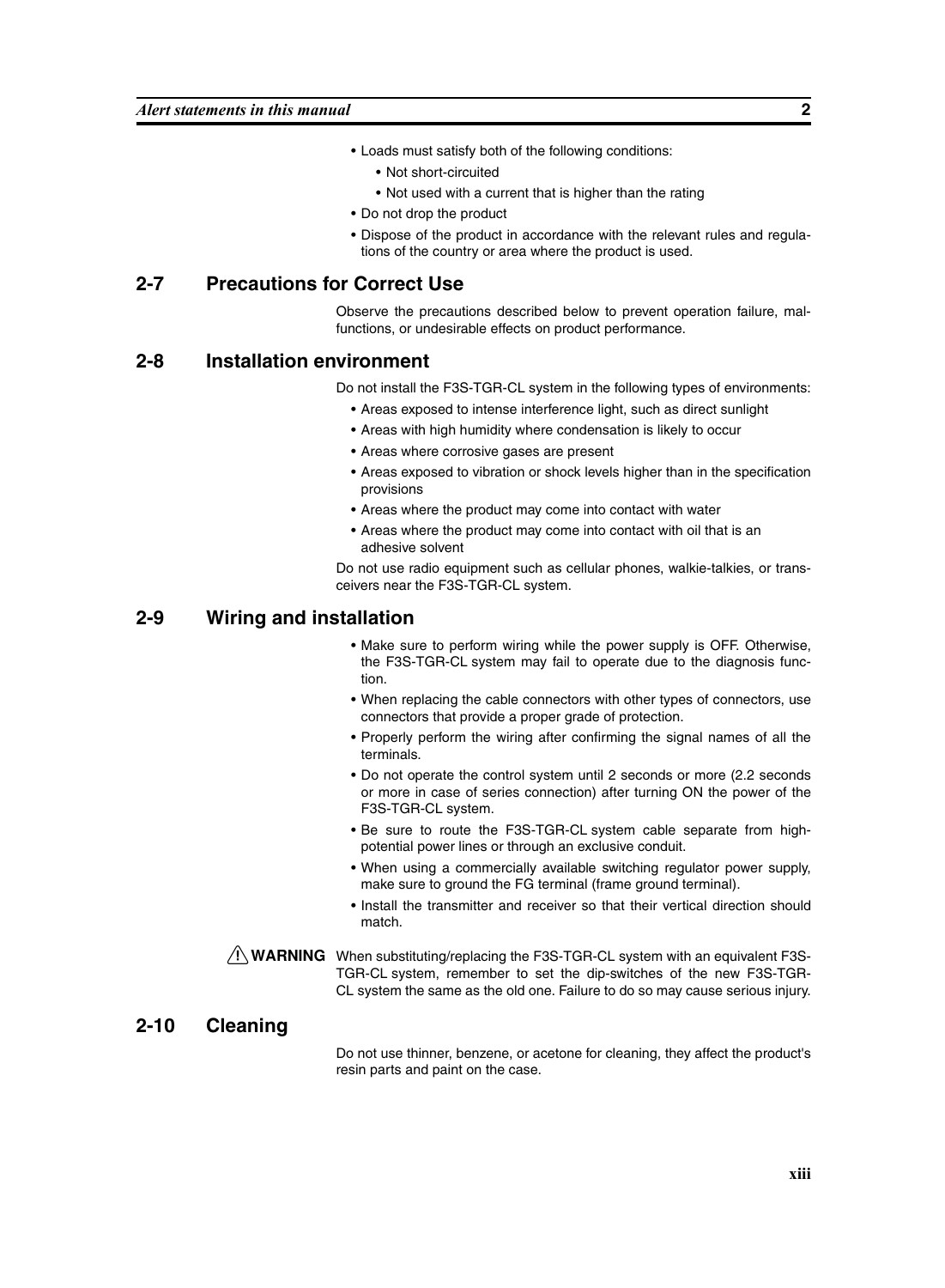- Loads must satisfy both of the following conditions:
	- Not short-circuited
	- Not used with a current that is higher than the rating
- Do not drop the product
- Dispose of the product in accordance with the relevant rules and regulations of the country or area where the product is used.

#### **2-7 Precautions for Correct Use**

Observe the precautions described below to prevent operation failure, malfunctions, or undesirable effects on product performance.

#### **2-8 Installation environment**

Do not install the F3S-TGR-CL system in the following types of environments:

- Areas exposed to intense interference light, such as direct sunlight
- Areas with high humidity where condensation is likely to occur
- Areas where corrosive gases are present
- Areas exposed to vibration or shock levels higher than in the specification provisions
- Areas where the product may come into contact with water
- Areas where the product may come into contact with oil that is an adhesive solvent

Do not use radio equipment such as cellular phones, walkie-talkies, or transceivers near the F3S-TGR-CL system.

#### **2-9 Wiring and installation**

- Make sure to perform wiring while the power supply is OFF. Otherwise, the F3S-TGR-CL system may fail to operate due to the diagnosis function.
- When replacing the cable connectors with other types of connectors, use connectors that provide a proper grade of protection.
- Properly perform the wiring after confirming the signal names of all the terminals.
- Do not operate the control system until 2 seconds or more (2.2 seconds or more in case of series connection) after turning ON the power of the F3S-TGR-CL system.
- Be sure to route the F3S-TGR-CL system cable separate from highpotential power lines or through an exclusive conduit.
- When using a commercially available switching regulator power supply, make sure to ground the FG terminal (frame ground terminal).
- Install the transmitter and receiver so that their vertical direction should match.
- $\sqrt{N}$  WARNING When substituting/replacing the F3S-TGR-CL system with an equivalent F3S-TGR-CL system, remember to set the dip-switches of the new F3S-TGR-CL system the same as the old one. Failure to do so may cause serious injury.

#### **2-10 Cleaning**

Do not use thinner, benzene, or acetone for cleaning, they affect the product's resin parts and paint on the case.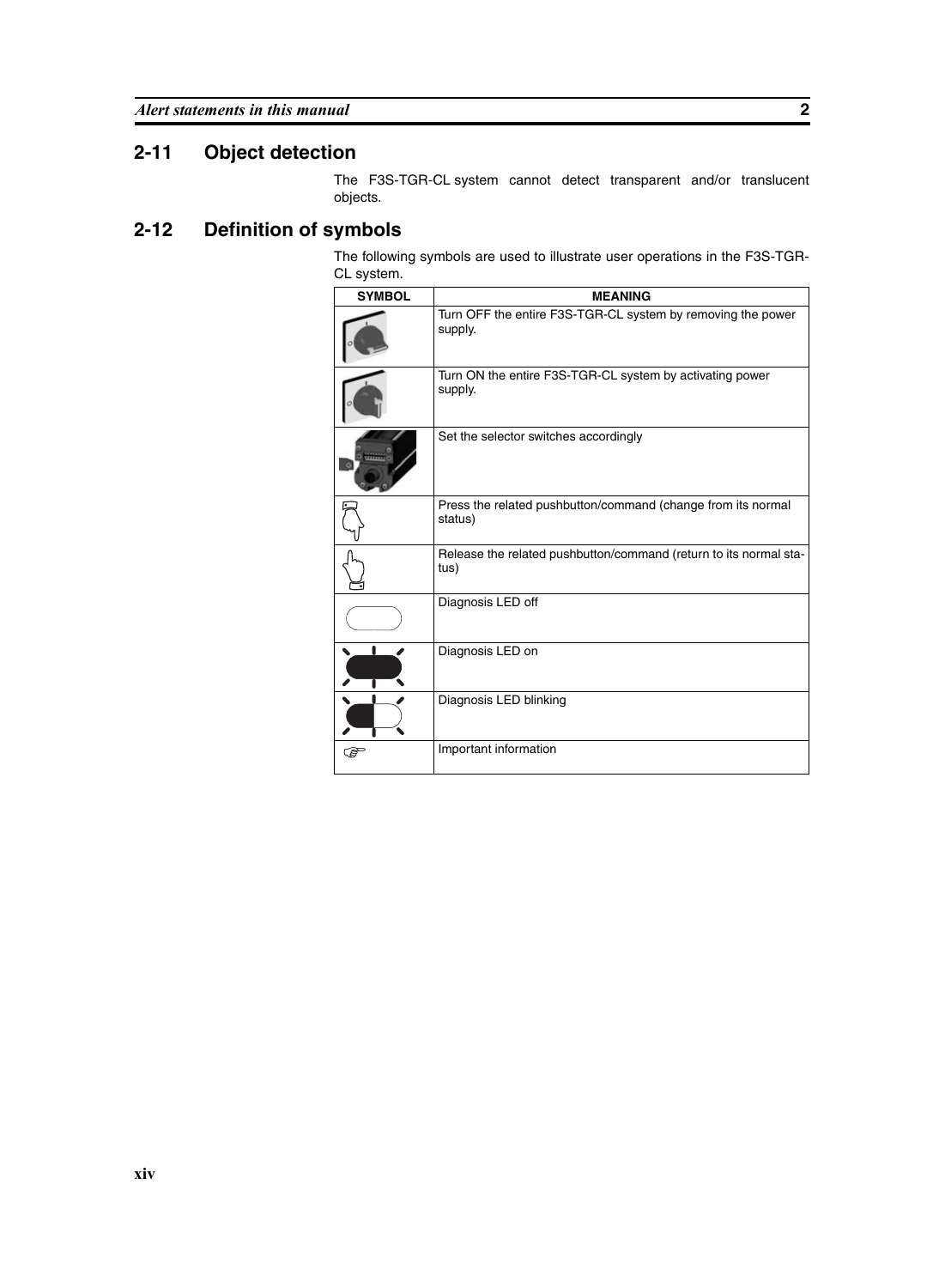### **2-11 Object detection**

The F3S-TGR-CL system cannot detect transparent and/or translucent objects.

### **2-12 Definition of symbols**

The following symbols are used to illustrate user operations in the F3S-TGR-CL system.

| <b>SYMBOL</b> | <b>MEANING</b>                                                            |
|---------------|---------------------------------------------------------------------------|
|               | Turn OFF the entire F3S-TGR-CL system by removing the power<br>supply.    |
|               | Turn ON the entire F3S-TGR-CL system by activating power<br>supply.       |
|               | Set the selector switches accordingly                                     |
|               | Press the related pushbutton/command (change from its normal<br>status)   |
|               | Release the related pushbutton/command (return to its normal sta-<br>tus) |
|               | Diagnosis LED off                                                         |
|               | Diagnosis LED on                                                          |
|               | Diagnosis LED blinking                                                    |
| ఞ             | Important information                                                     |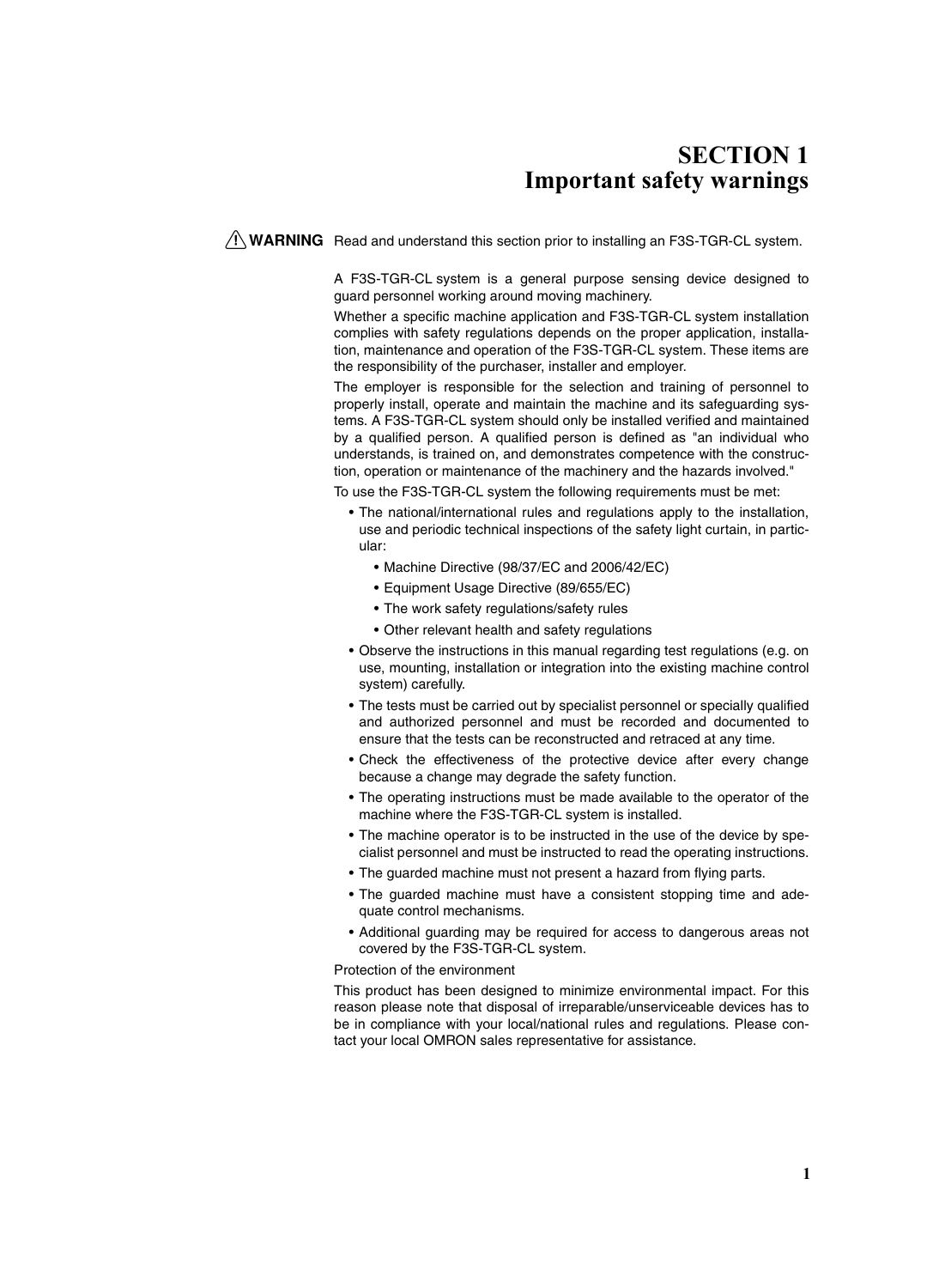# **SECTION 1 Important safety warnings**

<span id="page-14-0"></span> $\sqrt{N}$  WARNING Read and understand this section prior to installing an F3S-TGR-CL system.

A F3S-TGR-CL system is a general purpose sensing device designed to guard personnel working around moving machinery.

Whether a specific machine application and F3S-TGR-CL system installation complies with safety regulations depends on the proper application, installation, maintenance and operation of the F3S-TGR-CL system. These items are the responsibility of the purchaser, installer and employer.

The employer is responsible for the selection and training of personnel to properly install, operate and maintain the machine and its safeguarding systems. A F3S-TGR-CL system should only be installed verified and maintained by a qualified person. A qualified person is defined as "an individual who understands, is trained on, and demonstrates competence with the construction, operation or maintenance of the machinery and the hazards involved."

To use the F3S-TGR-CL system the following requirements must be met:

- The national/international rules and regulations apply to the installation, use and periodic technical inspections of the safety light curtain, in particular:
	- Machine Directive (98/37/EC and 2006/42/EC)
	- Equipment Usage Directive (89/655/EC)
	- The work safety regulations/safety rules
	- Other relevant health and safety regulations
- Observe the instructions in this manual regarding test regulations (e.g. on use, mounting, installation or integration into the existing machine control system) carefully.
- The tests must be carried out by specialist personnel or specially qualified and authorized personnel and must be recorded and documented to ensure that the tests can be reconstructed and retraced at any time.
- Check the effectiveness of the protective device after every change because a change may degrade the safety function.
- The operating instructions must be made available to the operator of the machine where the F3S-TGR-CL system is installed.
- The machine operator is to be instructed in the use of the device by specialist personnel and must be instructed to read the operating instructions.
- The guarded machine must not present a hazard from flying parts.
- The guarded machine must have a consistent stopping time and adequate control mechanisms.
- Additional guarding may be required for access to dangerous areas not covered by the F3S-TGR-CL system.

#### Protection of the environment

This product has been designed to minimize environmental impact. For this reason please note that disposal of irreparable/unserviceable devices has to be in compliance with your local/national rules and regulations. Please contact your local OMRON sales representative for assistance.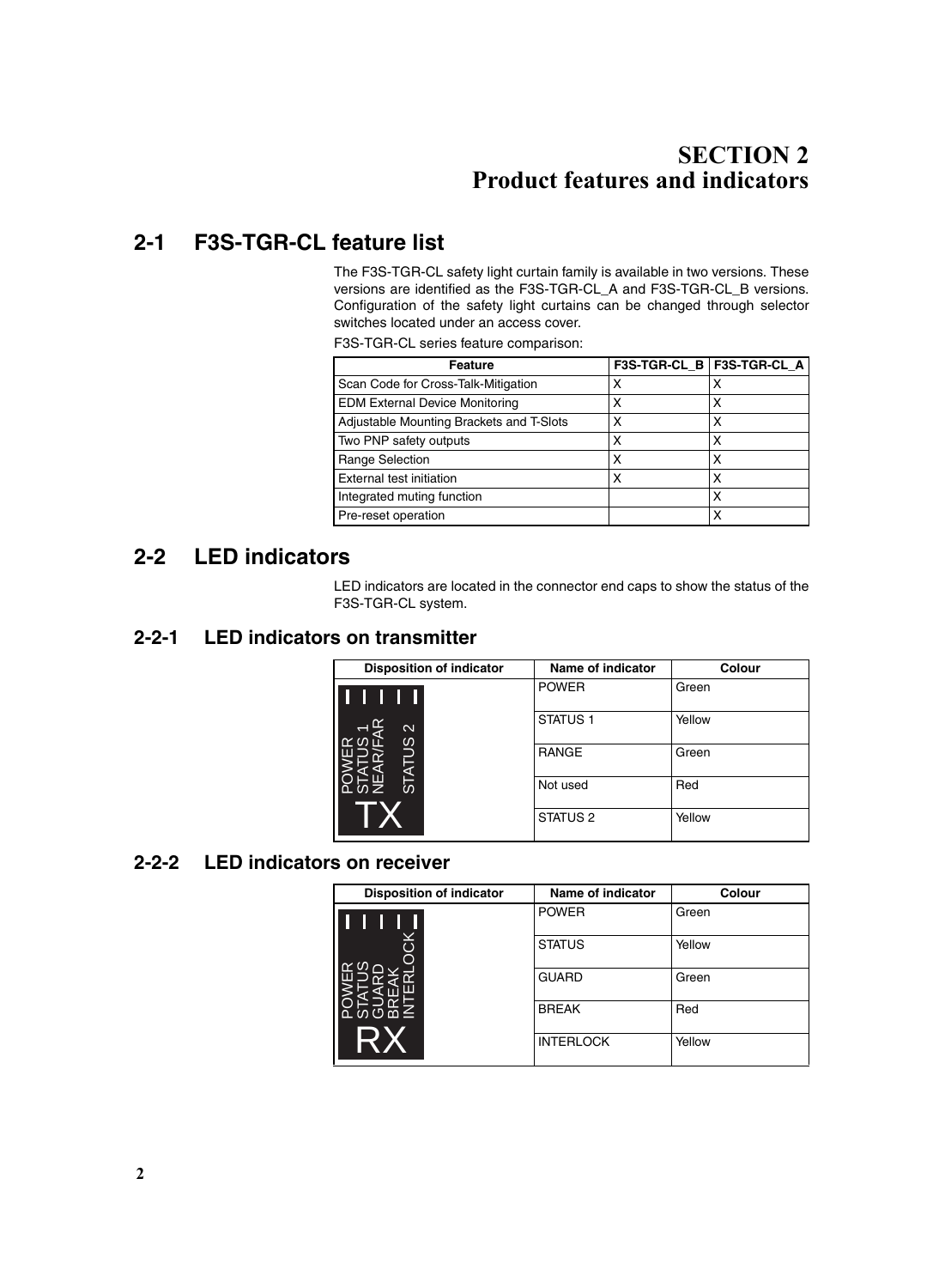# **SECTION 2 Product features and indicators**

# <span id="page-15-1"></span><span id="page-15-0"></span>**2-1 F3S-TGR-CL feature list**

The F3S-TGR-CL safety light curtain family is available in two versions. These versions are identified as the F3S-TGR-CL\_A and F3S-TGR-CL\_B versions. Configuration of the safety light curtains can be changed through selector switches located under an access cover.

F3S-TGR-CL series feature comparison:

| <b>Feature</b>                           |   | F3S-TGR-CL_B   F3S-TGR-CL_A |
|------------------------------------------|---|-----------------------------|
| Scan Code for Cross-Talk-Mitigation      | х | х                           |
| <b>EDM External Device Monitoring</b>    | Χ | х                           |
| Adjustable Mounting Brackets and T-Slots | х | х                           |
| Two PNP safety outputs                   | х | х                           |
| <b>Range Selection</b>                   | х | х                           |
| External test initiation                 | х | х                           |
| Integrated muting function               |   | х                           |
| Pre-reset operation                      |   | х                           |

### <span id="page-15-2"></span>**2-2 LED indicators**

LED indicators are located in the connector end caps to show the status of the F3S-TGR-CL system.

### <span id="page-15-3"></span>**2-2-1 LED indicators on transmitter**

| <b>Disposition of indicator</b> | Name of indicator   | <b>Colour</b> |
|---------------------------------|---------------------|---------------|
|                                 | <b>POWER</b>        | Green         |
| $\mathbf{\Omega}$               | STATUS <sub>1</sub> | Yellow        |
| <b>STATUS</b>                   | <b>RANGE</b>        | Green         |
| 立の乙                             | Not used            | Red           |
|                                 | STATUS <sub>2</sub> | Yellow        |

### <span id="page-15-4"></span>**2-2-2 LED indicators on receiver**

| <b>Disposition of indicator</b> | <b>Name of indicator</b> | <b>Colour</b> |
|---------------------------------|--------------------------|---------------|
|                                 | <b>POWER</b>             | Green         |
| 중                               | <b>STATUS</b>            | Yellow        |
|                                 | <b>GUARD</b>             | Green         |
| ്ഗ∪മ≦                           | <b>BREAK</b>             | Red           |
| R X                             | <b>INTERLOCK</b>         | Yellow        |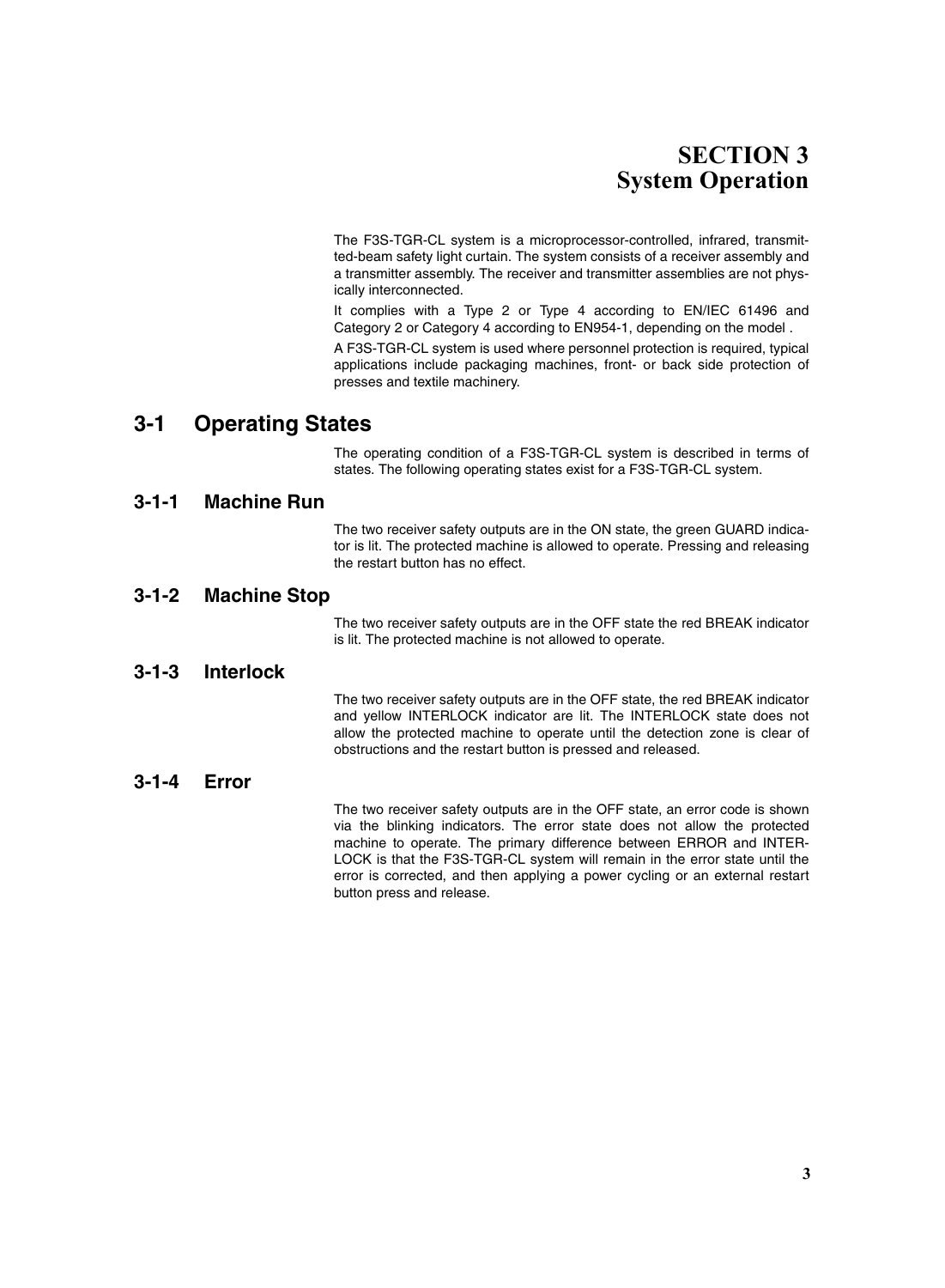# **SECTION 3 System Operation**

<span id="page-16-0"></span>The F3S-TGR-CL system is a microprocessor-controlled, infrared, transmitted-beam safety light curtain. The system consists of a receiver assembly and a transmitter assembly. The receiver and transmitter assemblies are not physically interconnected.

It complies with a Type 2 or Type 4 according to EN/IEC 61496 and Category 2 or Category 4 according to EN954-1, depending on the model .

A F3S-TGR-CL system is used where personnel protection is required, typical applications include packaging machines, front- or back side protection of presses and textile machinery.

### <span id="page-16-1"></span>**3-1 Operating States**

The operating condition of a F3S-TGR-CL system is described in terms of states. The following operating states exist for a F3S-TGR-CL system.

#### <span id="page-16-2"></span>**3-1-1 Machine Run**

The two receiver safety outputs are in the ON state, the green GUARD indicator is lit. The protected machine is allowed to operate. Pressing and releasing the restart button has no effect.

#### <span id="page-16-3"></span>**3-1-2 Machine Stop**

The two receiver safety outputs are in the OFF state the red BREAK indicator is lit. The protected machine is not allowed to operate.

#### <span id="page-16-4"></span>**3-1-3 Interlock**

The two receiver safety outputs are in the OFF state, the red BREAK indicator and yellow INTERLOCK indicator are lit. The INTERLOCK state does not allow the protected machine to operate until the detection zone is clear of obstructions and the restart button is pressed and released.

#### <span id="page-16-5"></span>**3-1-4 Error**

The two receiver safety outputs are in the OFF state, an error code is shown via the blinking indicators. The error state does not allow the protected machine to operate. The primary difference between ERROR and INTER-LOCK is that the F3S-TGR-CL system will remain in the error state until the error is corrected, and then applying a power cycling or an external restart button press and release.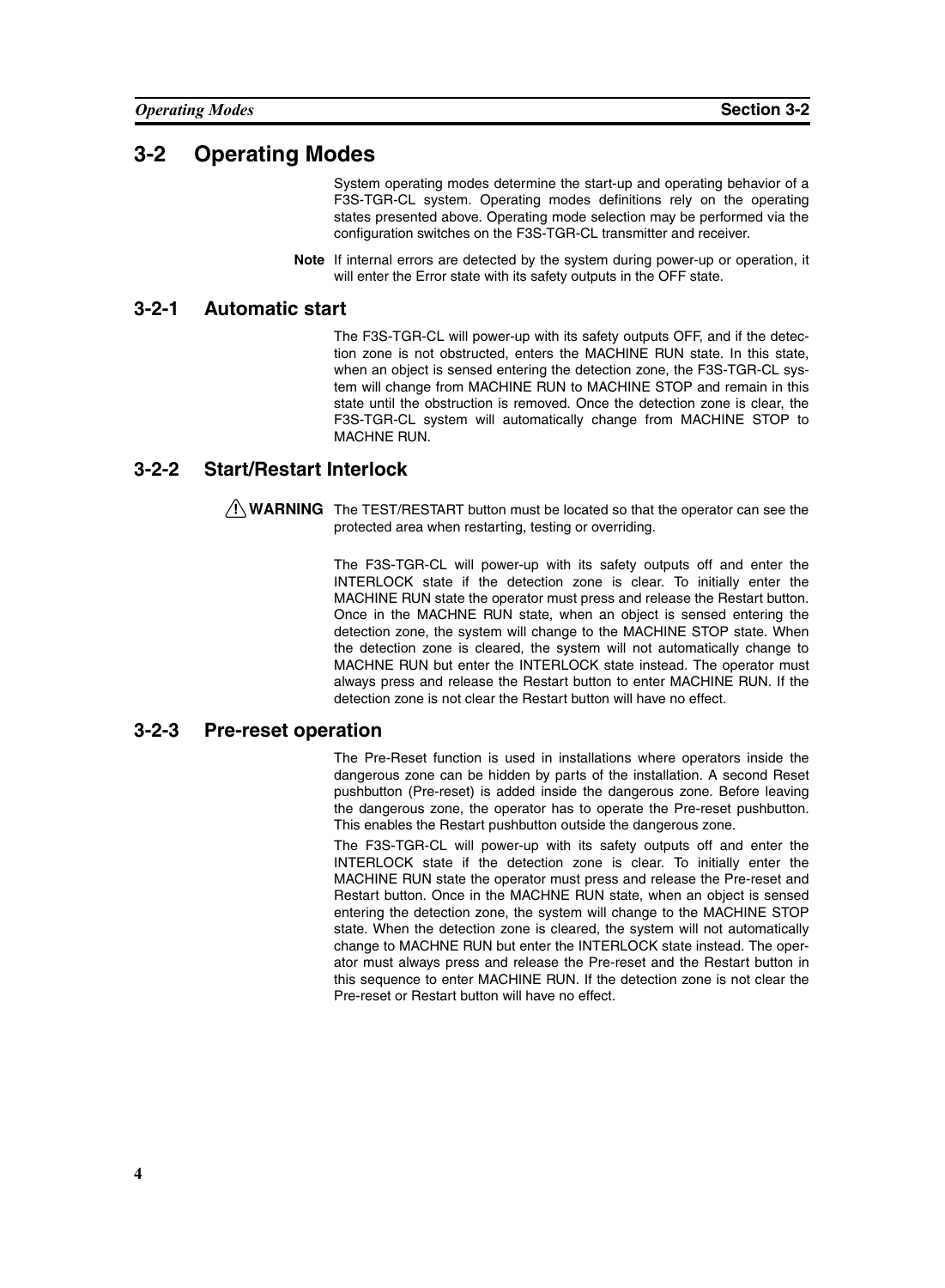### <span id="page-17-0"></span>**3-2 Operating Modes**

System operating modes determine the start-up and operating behavior of a F3S-TGR-CL system. Operating modes definitions rely on the operating states presented above. Operating mode selection may be performed via the configuration switches on the F3S-TGR-CL transmitter and receiver.

**Note** If internal errors are detected by the system during power-up or operation, it will enter the Error state with its safety outputs in the OFF state.

#### <span id="page-17-1"></span>**3-2-1 Automatic start**

The F3S-TGR-CL will power-up with its safety outputs OFF, and if the detection zone is not obstructed, enters the MACHINE RUN state. In this state, when an object is sensed entering the detection zone, the F3S-TGR-CL system will change from MACHINE RUN to MACHINE STOP and remain in this state until the obstruction is removed. Once the detection zone is clear, the F3S-TGR-CL system will automatically change from MACHINE STOP to MACHNE RUN.

#### <span id="page-17-2"></span>**3-2-2 Start/Restart Interlock**

 $\sqrt{N}$  WARNING The TEST/RESTART button must be located so that the operator can see the protected area when restarting, testing or overriding.

> The F3S-TGR-CL will power-up with its safety outputs off and enter the INTERLOCK state if the detection zone is clear. To initially enter the MACHINE RUN state the operator must press and release the Restart button. Once in the MACHNE RUN state, when an object is sensed entering the detection zone, the system will change to the MACHINE STOP state. When the detection zone is cleared, the system will not automatically change to MACHNE RUN but enter the INTERLOCK state instead. The operator must always press and release the Restart button to enter MACHINE RUN. If the detection zone is not clear the Restart button will have no effect.

#### <span id="page-17-3"></span>**3-2-3 Pre-reset operation**

The Pre-Reset function is used in installations where operators inside the dangerous zone can be hidden by parts of the installation. A second Reset pushbutton (Pre-reset) is added inside the dangerous zone. Before leaving the dangerous zone, the operator has to operate the Pre-reset pushbutton. This enables the Restart pushbutton outside the dangerous zone.

The F3S-TGR-CL will power-up with its safety outputs off and enter the INTERLOCK state if the detection zone is clear. To initially enter the MACHINE RUN state the operator must press and release the Pre-reset and Restart button. Once in the MACHNE RUN state, when an object is sensed entering the detection zone, the system will change to the MACHINE STOP state. When the detection zone is cleared, the system will not automatically change to MACHNE RUN but enter the INTERLOCK state instead. The operator must always press and release the Pre-reset and the Restart button in this sequence to enter MACHINE RUN. If the detection zone is not clear the Pre-reset or Restart button will have no effect.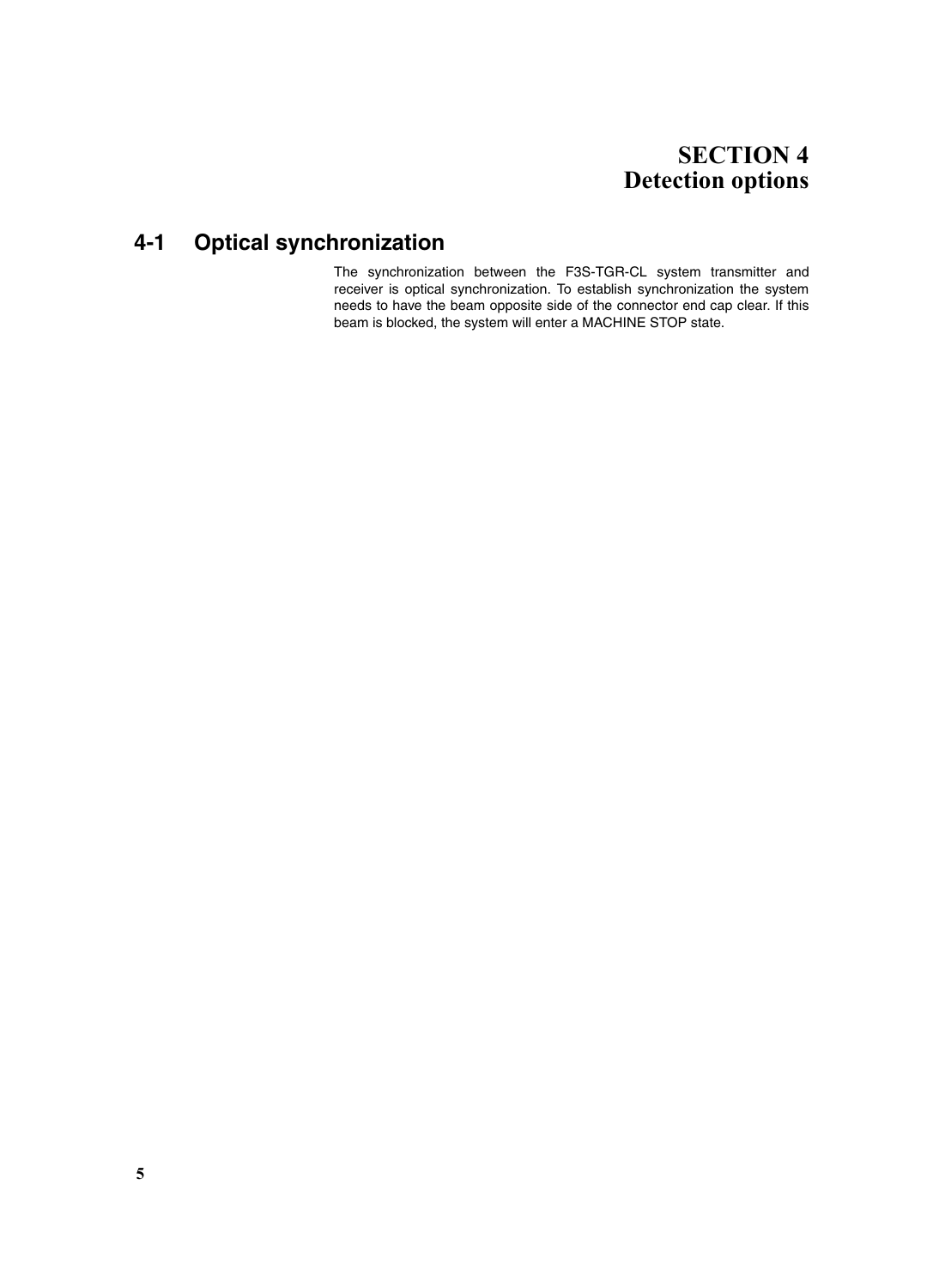# **SECTION 4 Detection options**

# <span id="page-18-1"></span><span id="page-18-0"></span>**4-1 Optical synchronization**

The synchronization between the F3S-TGR-CL system transmitter and receiver is optical synchronization. To establish synchronization the system needs to have the beam opposite side of the connector end cap clear. If this beam is blocked, the system will enter a MACHINE STOP state.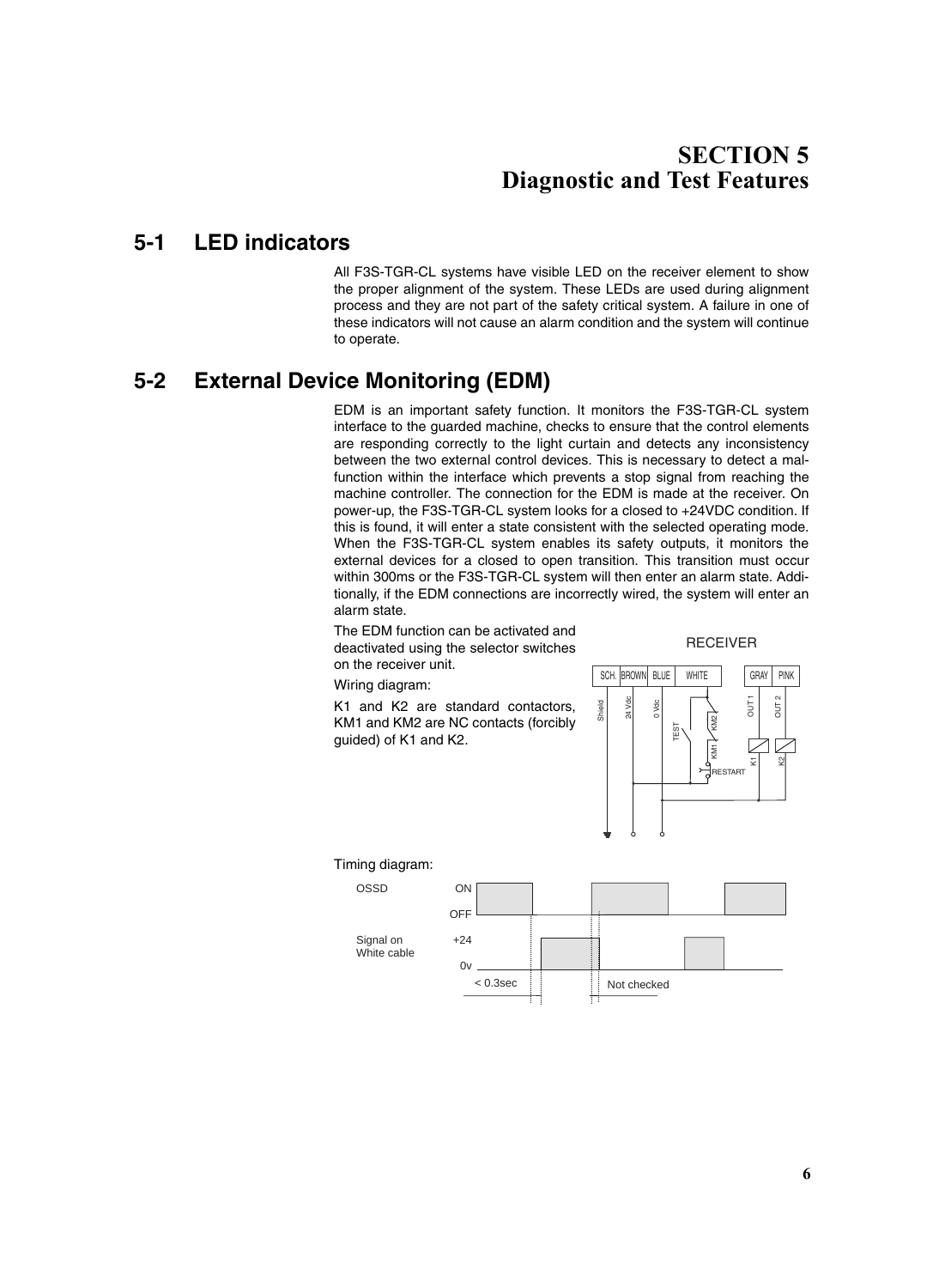# **SECTION 5 Diagnostic and Test Features**

### <span id="page-19-1"></span><span id="page-19-0"></span>**5-1 LED indicators**

All F3S-TGR-CL systems have visible LED on the receiver element to show the proper alignment of the system. These LEDs are used during alignment process and they are not part of the safety critical system. A failure in one of these indicators will not cause an alarm condition and the system will continue to operate.

# <span id="page-19-2"></span>**5-2 External Device Monitoring (EDM)**

EDM is an important safety function. It monitors the F3S-TGR-CL system interface to the guarded machine, checks to ensure that the control elements are responding correctly to the light curtain and detects any inconsistency between the two external control devices. This is necessary to detect a malfunction within the interface which prevents a stop signal from reaching the machine controller. The connection for the EDM is made at the receiver. On power-up, the F3S-TGR-CL system looks for a closed to +24VDC condition. If this is found, it will enter a state consistent with the selected operating mode. When the F3S-TGR-CL system enables its safety outputs, it monitors the external devices for a closed to open transition. This transition must occur within 300ms or the F3S-TGR-CL system will then enter an alarm state. Additionally, if the EDM connections are incorrectly wired, the system will enter an alarm state.

The EDM function can be activated and deactivated using the selector switches on the receiver unit.

RECEIVER

Wiring diagram:

K1 and K2 are standard contactors, KM1 and KM2 are NC contacts (forcibly guided) of K1 and K2.







**6**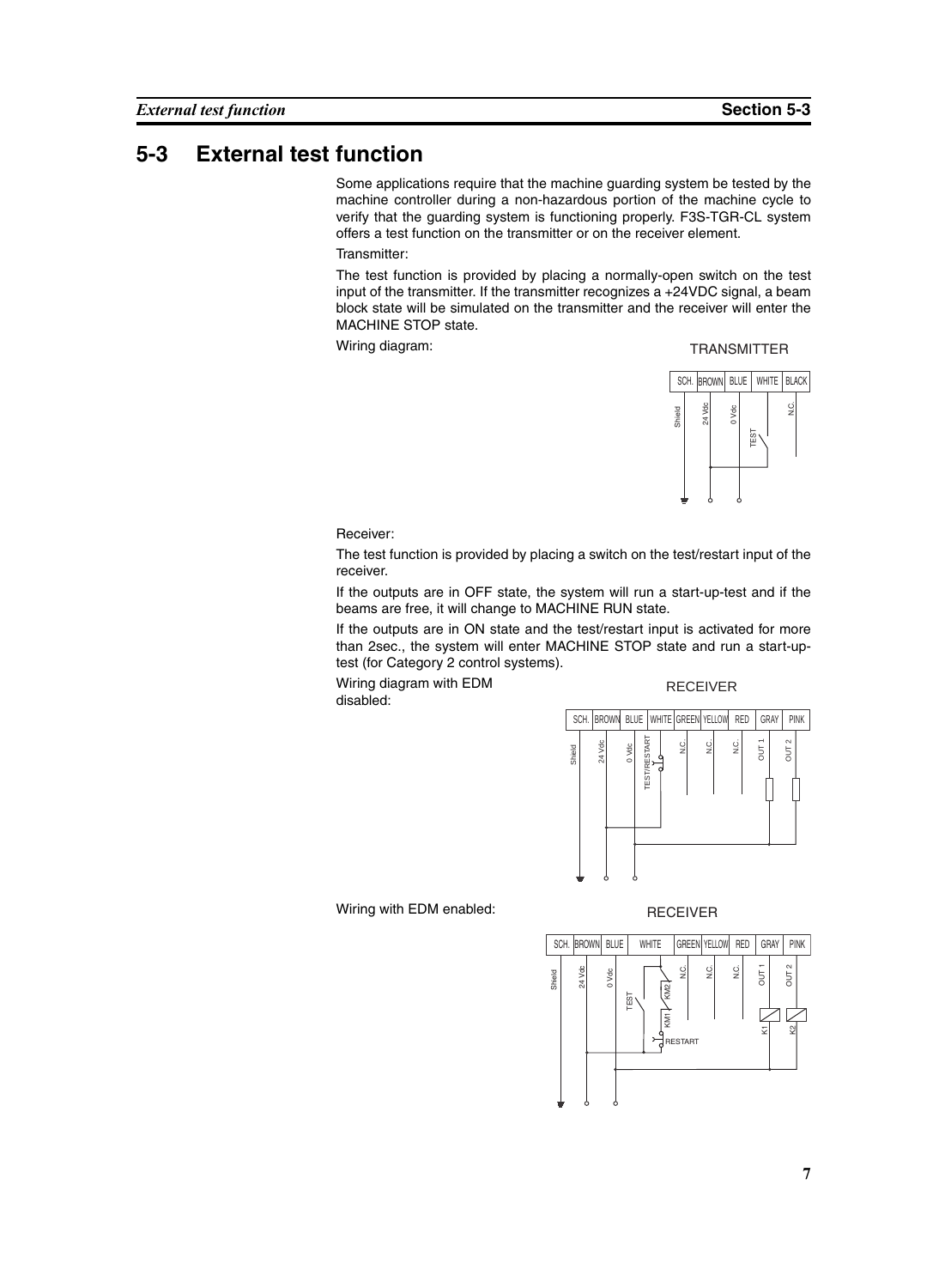### <span id="page-20-0"></span>**5-3 External test function**

Some applications require that the machine guarding system be tested by the machine controller during a non-hazardous portion of the machine cycle to verify that the guarding system is functioning properly. F3S-TGR-CL system offers a test function on the transmitter or on the receiver element.

Transmitter:

The test function is provided by placing a normally-open switch on the test input of the transmitter. If the transmitter recognizes a +24VDC signal, a beam block state will be simulated on the transmitter and the receiver will enter the MACHINE STOP state.

Wiring diagram:

#### TRANSMITTER



Receiver:

The test function is provided by placing a switch on the test/restart input of the receiver.

If the outputs are in OFF state, the system will run a start-up-test and if the beams are free, it will change to MACHINE RUN state.

If the outputs are in ON state and the test/restart input is activated for more than 2sec., the system will enter MACHINE STOP state and run a start-uptest (for Category 2 control systems).

Wiring diagram with EDM disabled:

#### RECEIVER



Wiring with EDM enabled:

#### RECEIVER

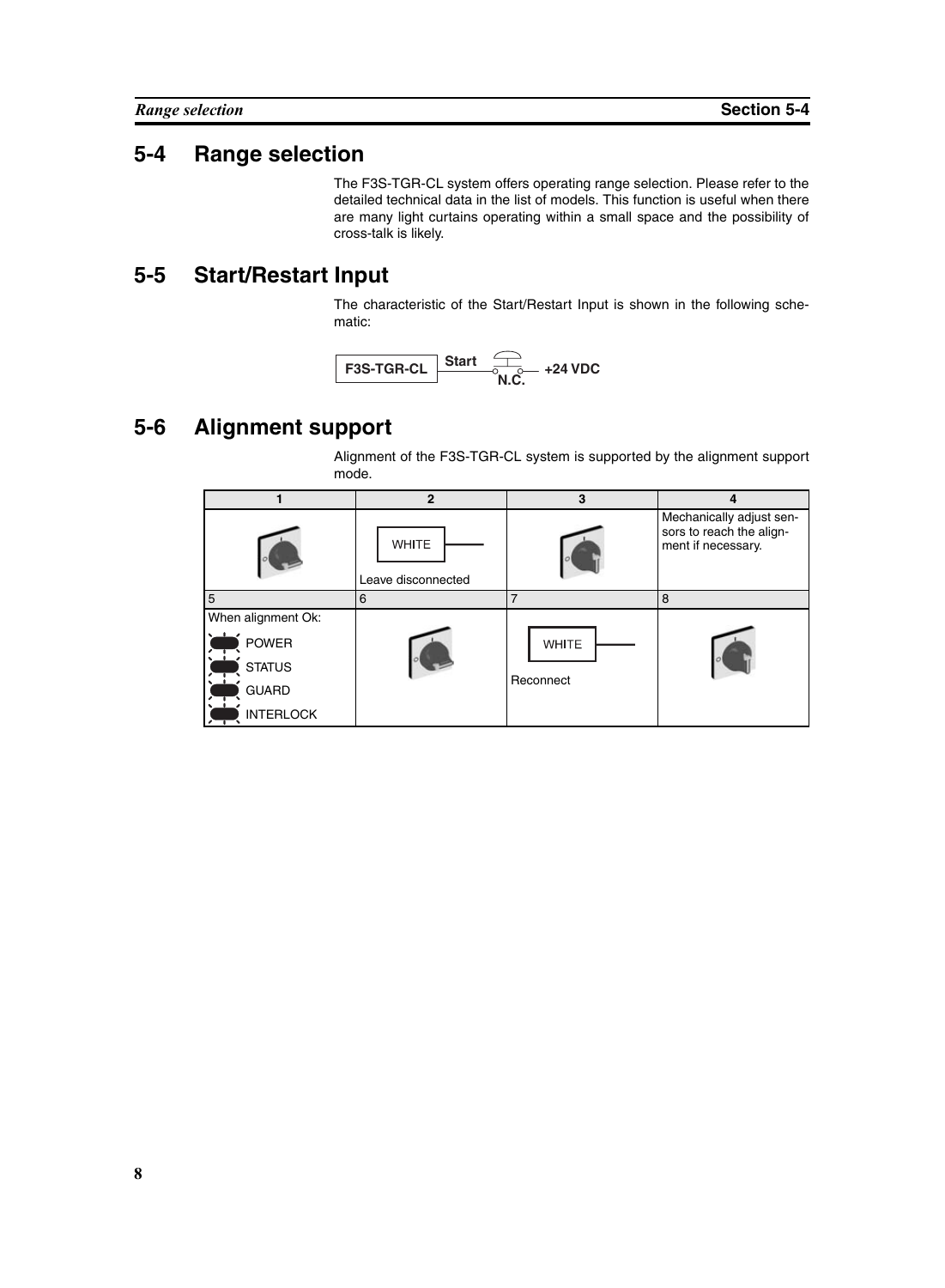### <span id="page-21-0"></span>**5-4 Range selection**

The F3S-TGR-CL system offers operating range selection. Please refer to the detailed technical data in the list of models. This function is useful when there are many light curtains operating within a small space and the possibility of cross-talk is likely.

### <span id="page-21-1"></span>**5-5 Start/Restart Input**

The characteristic of the Start/Restart Input is shown in the following schematic:

**F3S-TGR-CL N.C. +24 VDC**

# <span id="page-21-2"></span>**5-6 Alignment support**

Alignment of the F3S-TGR-CL system is supported by the alignment support mode.

|                    | $\overline{2}$                     | 3            | 4                                                                          |
|--------------------|------------------------------------|--------------|----------------------------------------------------------------------------|
|                    | <b>WHITE</b><br>Leave disconnected |              | Mechanically adjust sen-<br>sors to reach the align-<br>ment if necessary. |
| 5                  | 6                                  | 7            | 8                                                                          |
| When alignment Ok: |                                    |              |                                                                            |
| <b>POWER</b>       |                                    | <b>WHITE</b> |                                                                            |
| <b>STATUS</b>      |                                    |              |                                                                            |
| <b>GUARD</b>       |                                    | Reconnect    |                                                                            |
| <b>INTERLOCK</b>   |                                    |              |                                                                            |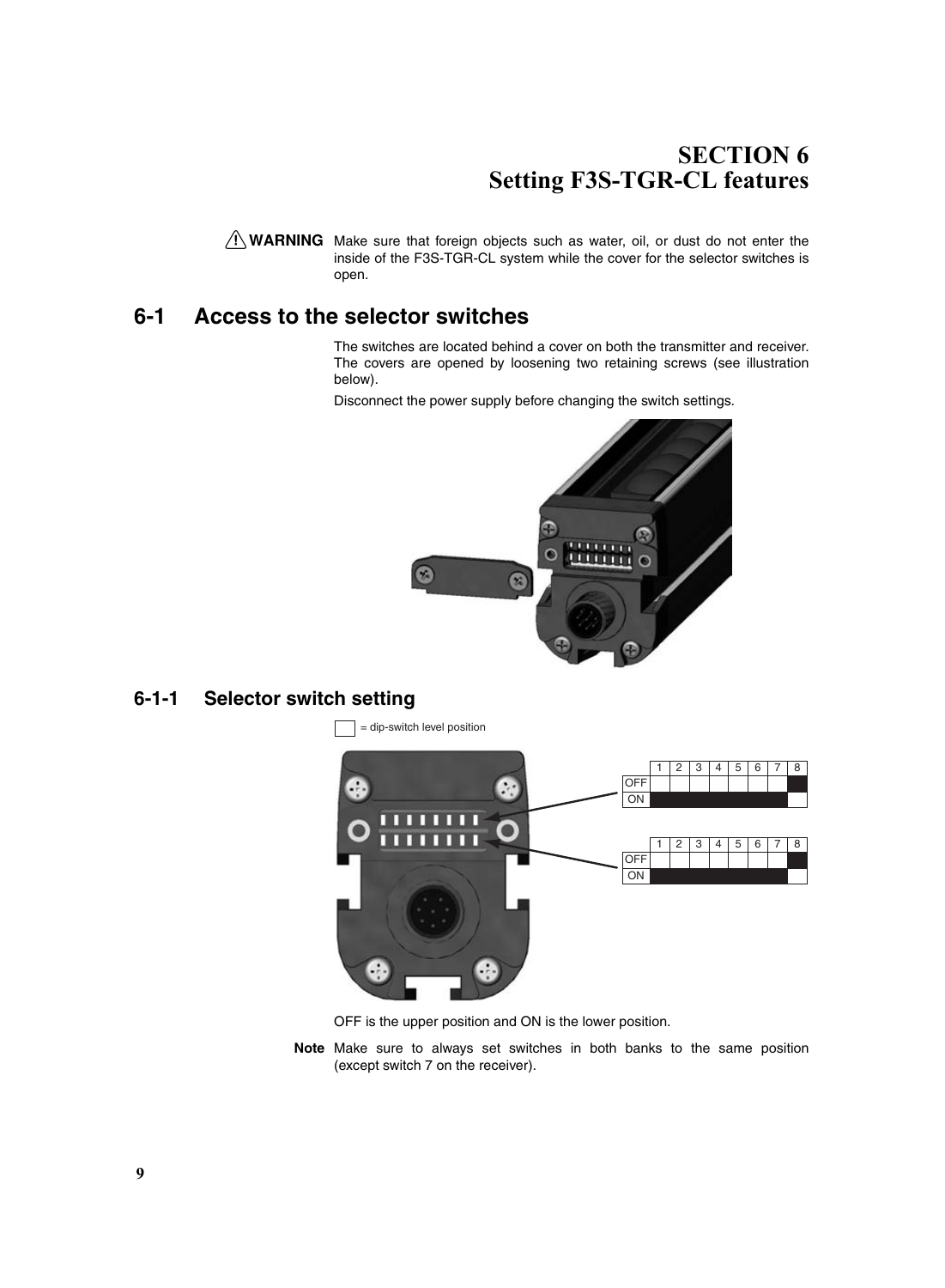# **SECTION 6 Setting F3S-TGR-CL features**

<span id="page-22-0"></span> $\sqrt{N}$  WARNING Make sure that foreign objects such as water, oil, or dust do not enter the inside of the F3S-TGR-CL system while the cover for the selector switches is open.

### <span id="page-22-1"></span>**6-1 Access to the selector switches**

The switches are located behind a cover on both the transmitter and receiver. The covers are opened by loosening two retaining screws (see illustration below).

Disconnect the power supply before changing the switch settings.



<span id="page-22-2"></span>**6-1-1 Selector switch setting**



OFF is the upper position and ON is the lower position.

**Note** Make sure to always set switches in both banks to the same position (except switch 7 on the receiver).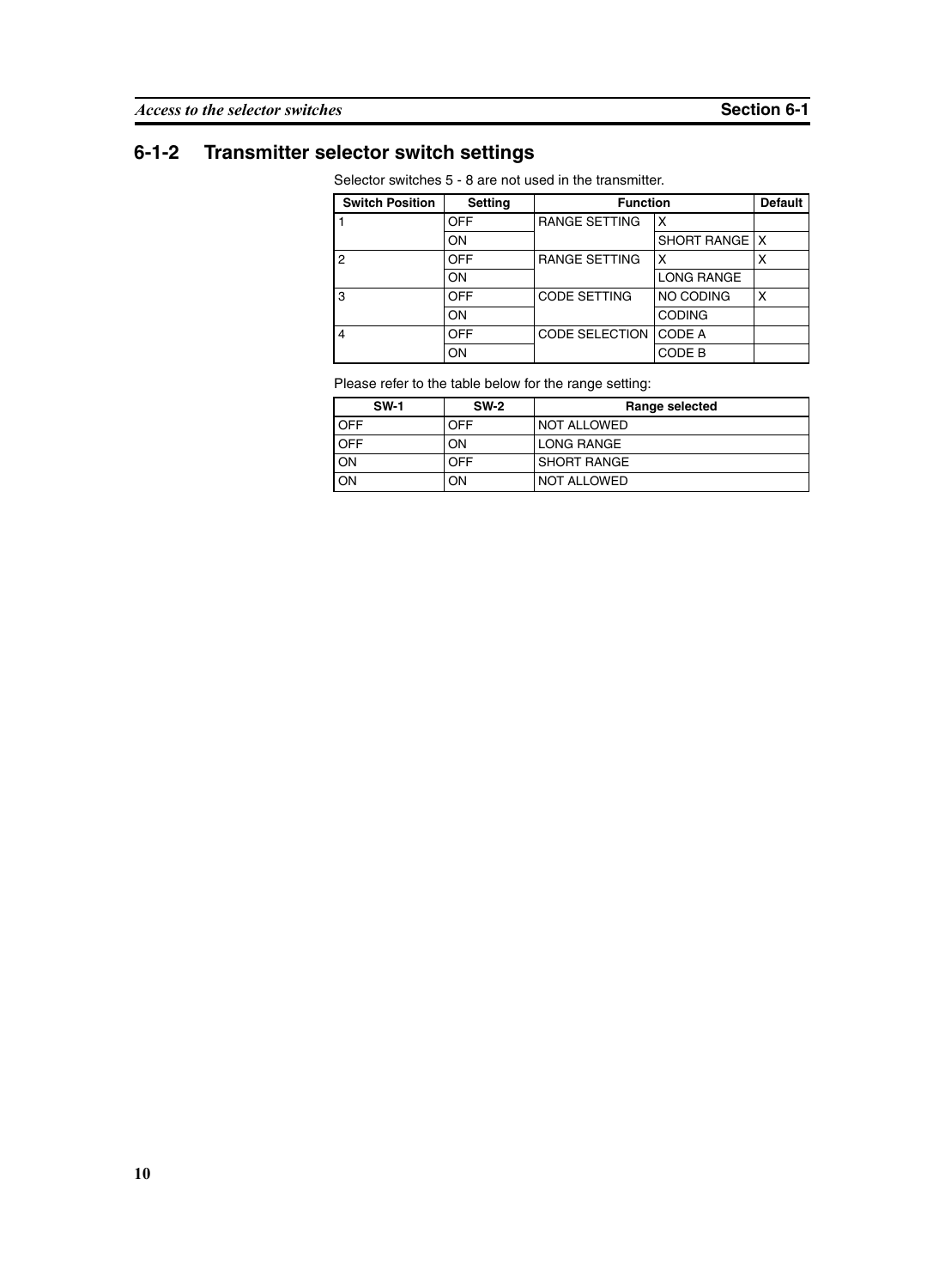# <span id="page-23-0"></span>**6-1-2 Transmitter selector switch settings**

Selector switches 5 - 8 are not used in the transmitter.

| <b>Switch Position</b> | <b>Setting</b> | <b>Function</b>       |                   | <b>Default</b> |
|------------------------|----------------|-----------------------|-------------------|----------------|
|                        | <b>OFF</b>     | <b>RANGE SETTING</b>  | x                 |                |
|                        | ON             |                       | SHORT RANGE   X   |                |
| $\overline{2}$         | <b>OFF</b>     | <b>RANGE SETTING</b>  | x                 | χ              |
|                        | ON             |                       | <b>LONG RANGE</b> |                |
| 3                      | <b>OFF</b>     | <b>CODE SETTING</b>   | NO CODING         | x              |
|                        | ON             |                       | <b>CODING</b>     |                |
| $\overline{4}$         | <b>OFF</b>     | <b>CODE SELECTION</b> | <b>CODE A</b>     |                |
|                        | ON             |                       | CODE B            |                |

Please refer to the table below for the range setting:

| <b>SW-1</b> | <b>SW-2</b> | Range selected     |
|-------------|-------------|--------------------|
| <b>OFF</b>  | OFF         | I NOT ALLOWED      |
| <b>OFF</b>  | OΝ          | LONG RANGE         |
| ON          | OFF         | <b>SHORT RANGE</b> |
| ON          | ΟN          | NOT ALLOWED        |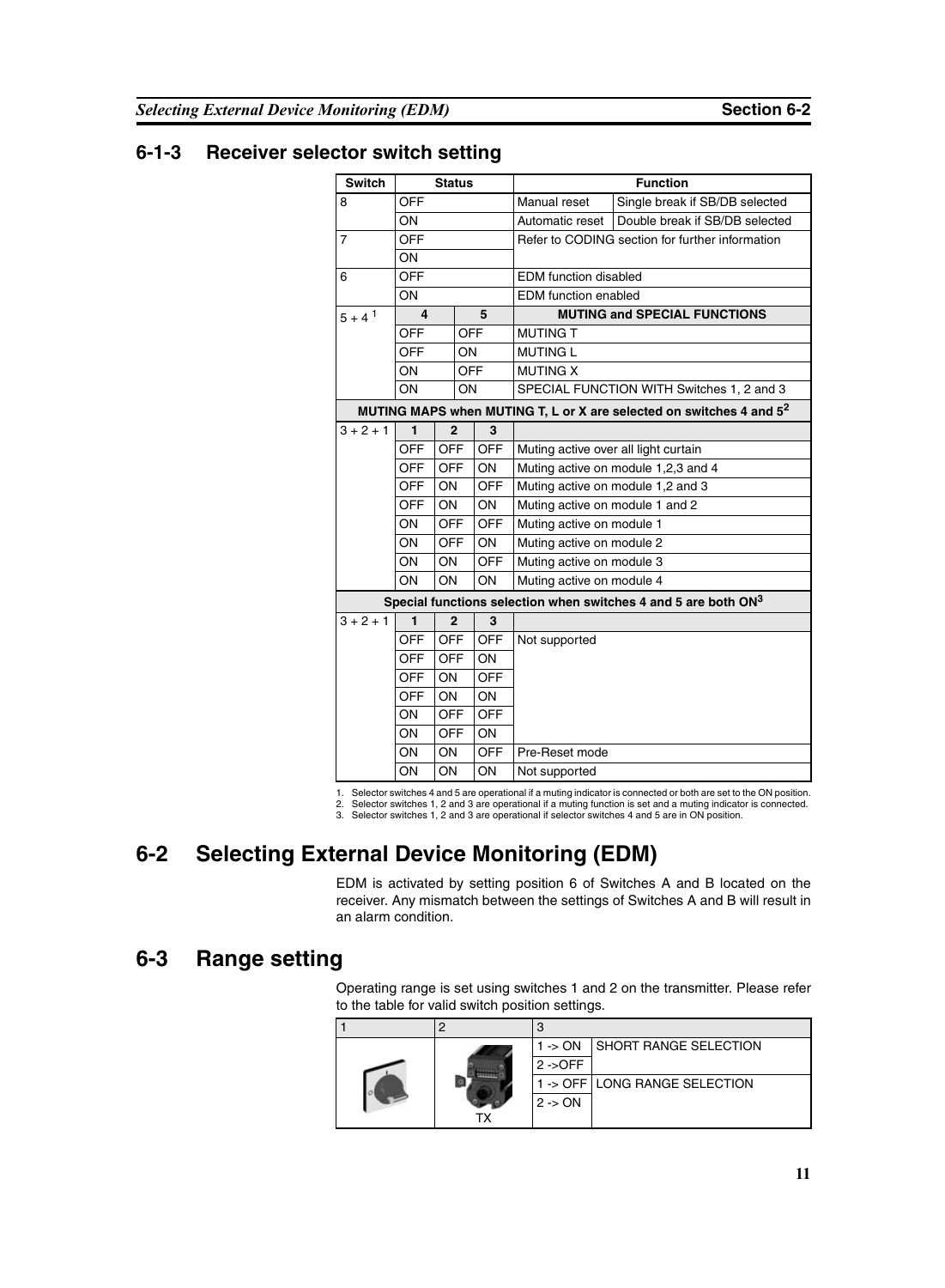### <span id="page-24-0"></span>**6-1-3 Receiver selector switch setting**

| <b>Switch</b>  | <b>Status</b>  |                |            |                 | <b>Function</b>                                 |                                                                                 |  |
|----------------|----------------|----------------|------------|-----------------|-------------------------------------------------|---------------------------------------------------------------------------------|--|
| 8              | <b>OFF</b>     |                |            |                 | Manual reset                                    | Single break if SB/DB selected                                                  |  |
|                | ON             |                |            | Automatic reset | Double break if SB/DB selected                  |                                                                                 |  |
| $\overline{7}$ | <b>OFF</b>     |                |            |                 | Refer to CODING section for further information |                                                                                 |  |
|                | ON             |                |            |                 |                                                 |                                                                                 |  |
| 6              | <b>OFF</b>     |                |            |                 | <b>EDM</b> function disabled                    |                                                                                 |  |
|                | ON             |                |            |                 | <b>EDM</b> function enabled                     |                                                                                 |  |
| $5 + 4^1$      | 4              |                | 5          |                 | <b>MUTING and SPECIAL FUNCTIONS</b>             |                                                                                 |  |
|                | <b>OFF</b>     |                | <b>OFF</b> |                 | <b>MUTING T</b>                                 |                                                                                 |  |
|                | <b>OFF</b>     |                | ON         |                 | <b>MUTING L</b>                                 |                                                                                 |  |
|                | ON             |                | <b>OFF</b> |                 | <b>MUTING X</b>                                 |                                                                                 |  |
|                | ON             |                | ON         |                 | SPECIAL FUNCTION WITH Switches 1, 2 and 3       |                                                                                 |  |
|                |                |                |            |                 |                                                 | MUTING MAPS when MUTING T, L or X are selected on switches 4 and 5 <sup>2</sup> |  |
| $3 + 2 + 1$    | $\blacksquare$ | $\mathbf{2}$   |            | 3               |                                                 |                                                                                 |  |
|                | <b>OFF</b>     | <b>OFF</b>     |            | <b>OFF</b>      | Muting active over all light curtain            |                                                                                 |  |
|                | <b>OFF</b>     | <b>OFF</b>     |            | ON              |                                                 | Muting active on module 1,2,3 and 4                                             |  |
|                | <b>OFF</b>     | ON             |            | <b>OFF</b>      |                                                 | Muting active on module 1,2 and 3                                               |  |
|                | <b>OFF</b>     | ON             |            | ON              | Muting active on module 1 and 2                 |                                                                                 |  |
|                | ON             | <b>OFF</b>     |            | <b>OFF</b>      | Muting active on module 1                       |                                                                                 |  |
|                | ON             | <b>OFF</b>     |            | ON              | Muting active on module 2                       |                                                                                 |  |
|                | ON             | ON             |            | <b>OFF</b>      | Muting active on module 3                       |                                                                                 |  |
|                | ON             | ON             |            | ON              | Muting active on module 4                       |                                                                                 |  |
|                |                |                |            |                 |                                                 | Special functions selection when switches 4 and 5 are both $ON3$                |  |
| $3 + 2 + 1$    | $\blacksquare$ | $\overline{2}$ |            | 3               |                                                 |                                                                                 |  |
|                | <b>OFF</b>     | <b>OFF</b>     |            | <b>OFF</b>      | Not supported                                   |                                                                                 |  |
|                | <b>OFF</b>     | <b>OFF</b>     |            | ON              |                                                 |                                                                                 |  |
|                | <b>OFF</b>     | ON             |            | <b>OFF</b>      |                                                 |                                                                                 |  |
|                | <b>OFF</b>     | <b>ON</b>      |            | ON              |                                                 |                                                                                 |  |
|                | ON             | <b>OFF</b>     |            | <b>OFF</b>      |                                                 |                                                                                 |  |
|                | ON             | <b>OFF</b>     |            | ON              |                                                 |                                                                                 |  |
|                | ON             | ON             |            | <b>OFF</b>      | Pre-Reset mode                                  |                                                                                 |  |
|                | ON             | ON             |            | ON              | Not supported                                   |                                                                                 |  |

1. Selector switches 4 and 5 are operational if a muting indicator is connected or both are set to the ON position.

2. Selector switches 1, 2 and 3 are operational if a muting function is set and a muting indicator is connected. 3. Selector switches 1, 2 and 3 are operational if selector switches 4 and 5 are in ON position.

# <span id="page-24-1"></span>**6-2 Selecting External Device Monitoring (EDM)**

EDM is activated by setting position 6 of Switches A and B located on the receiver. Any mismatch between the settings of Switches A and B will result in an alarm condition.

### <span id="page-24-2"></span>**6-3 Range setting**

Operating range is set using switches 1 and 2 on the transmitter. Please refer to the table for valid switch position settings.

|  |  | $1 - \geq ON$ | <b>I SHORT RANGE SELECTION</b> |  |  |
|--|--|---------------|--------------------------------|--|--|
|  |  |               | $2 -$ OFF                      |  |  |
|  |  |               | 1 -> OFF LONG RANGE SELECTION  |  |  |
|  |  | $2 - 5$ ON    |                                |  |  |
|  |  |               |                                |  |  |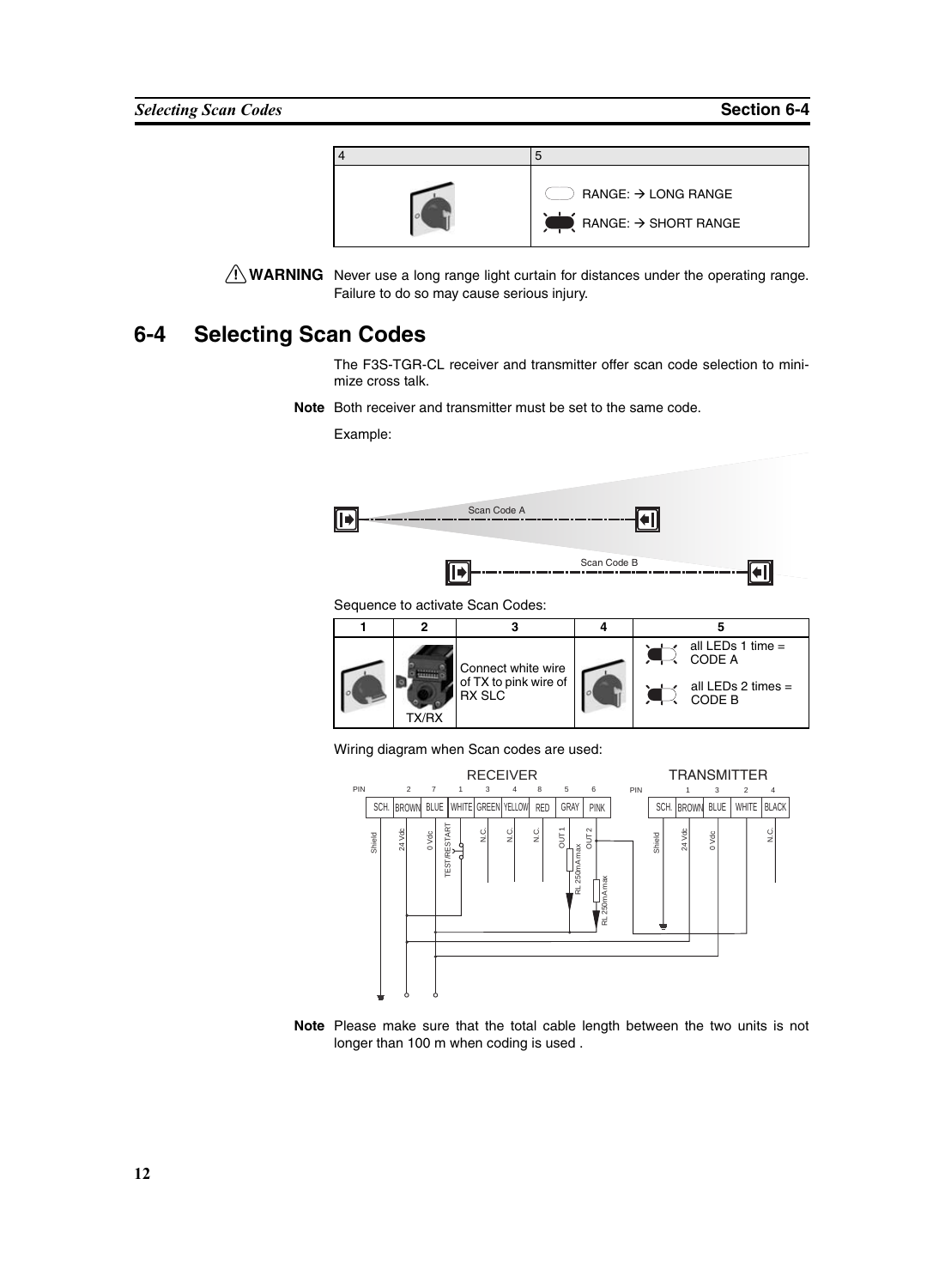

 $\sqrt{N}$  WARNING Never use a long range light curtain for distances under the operating range. Failure to do so may cause serious injury.

### <span id="page-25-0"></span>**6-4 Selecting Scan Codes**

The F3S-TGR-CL receiver and transmitter offer scan code selection to minimize cross talk.

**Note** Both receiver and transmitter must be set to the same code.

Example:



Sequence to activate Scan Codes:



Wiring diagram when Scan codes are used:



**Note** Please make sure that the total cable length between the two units is not longer than 100 m when coding is used .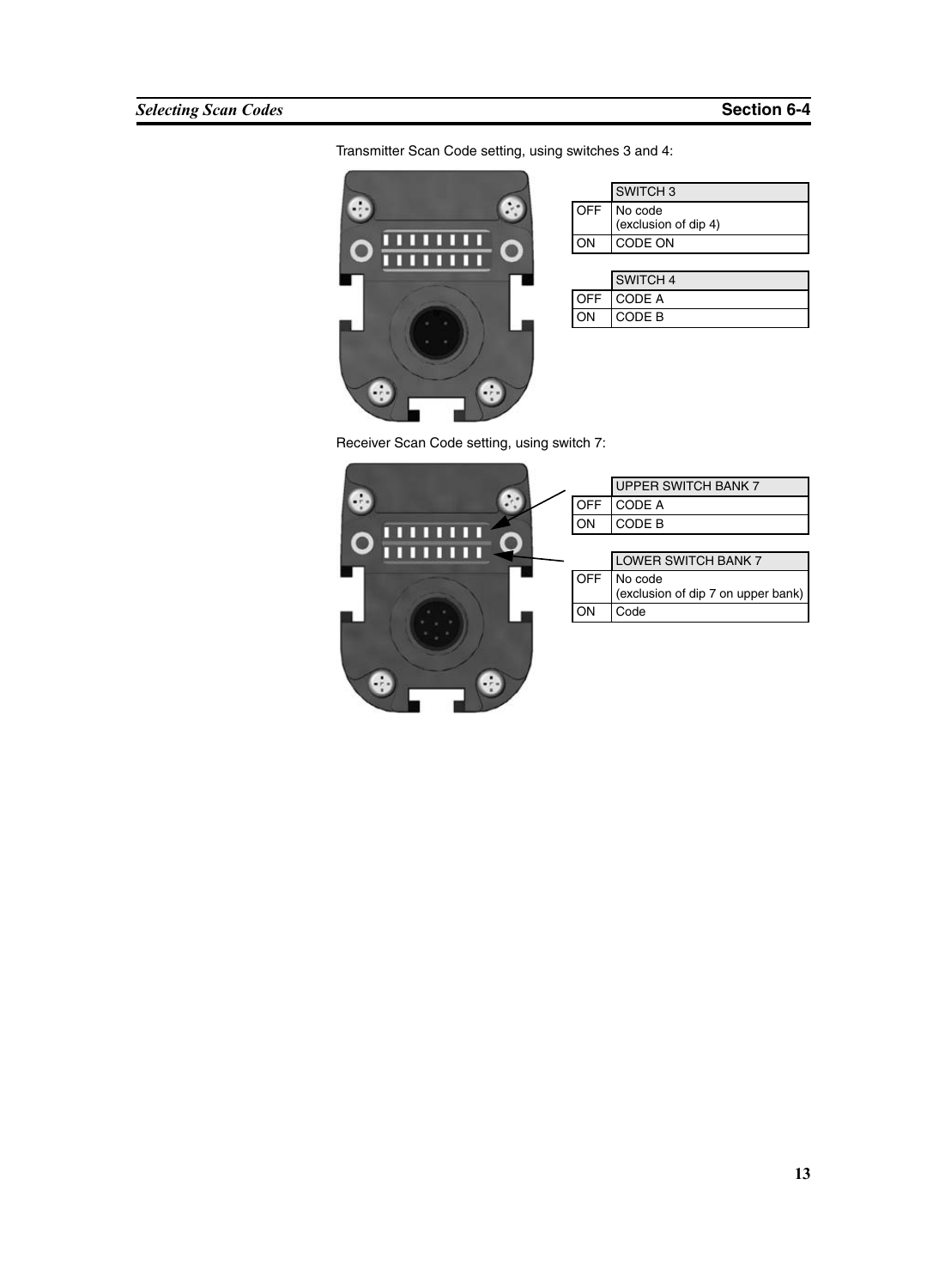Transmitter Scan Code setting, using switches 3 and 4:



| SWITCH <sub>3</sub>                 |
|-------------------------------------|
| OFF No code<br>(exclusion of dip 4) |
| CODE ON                             |
|                                     |

|    | SWITCH 4   |
|----|------------|
|    | OFF CODE A |
| ON | CODE B     |

Receiver Scan Code setting, using switch 7:

|            | UPPER SWITCH BANK 7                           |
|------------|-----------------------------------------------|
| <b>OFF</b> | CODE A                                        |
| ON         | CODE B                                        |
|            |                                               |
|            | LOWER SWITCH BANK 7                           |
| <b>OFF</b> | No code<br>(exclusion of dip 7 on upper bank) |
| ON         | Code                                          |
|            |                                               |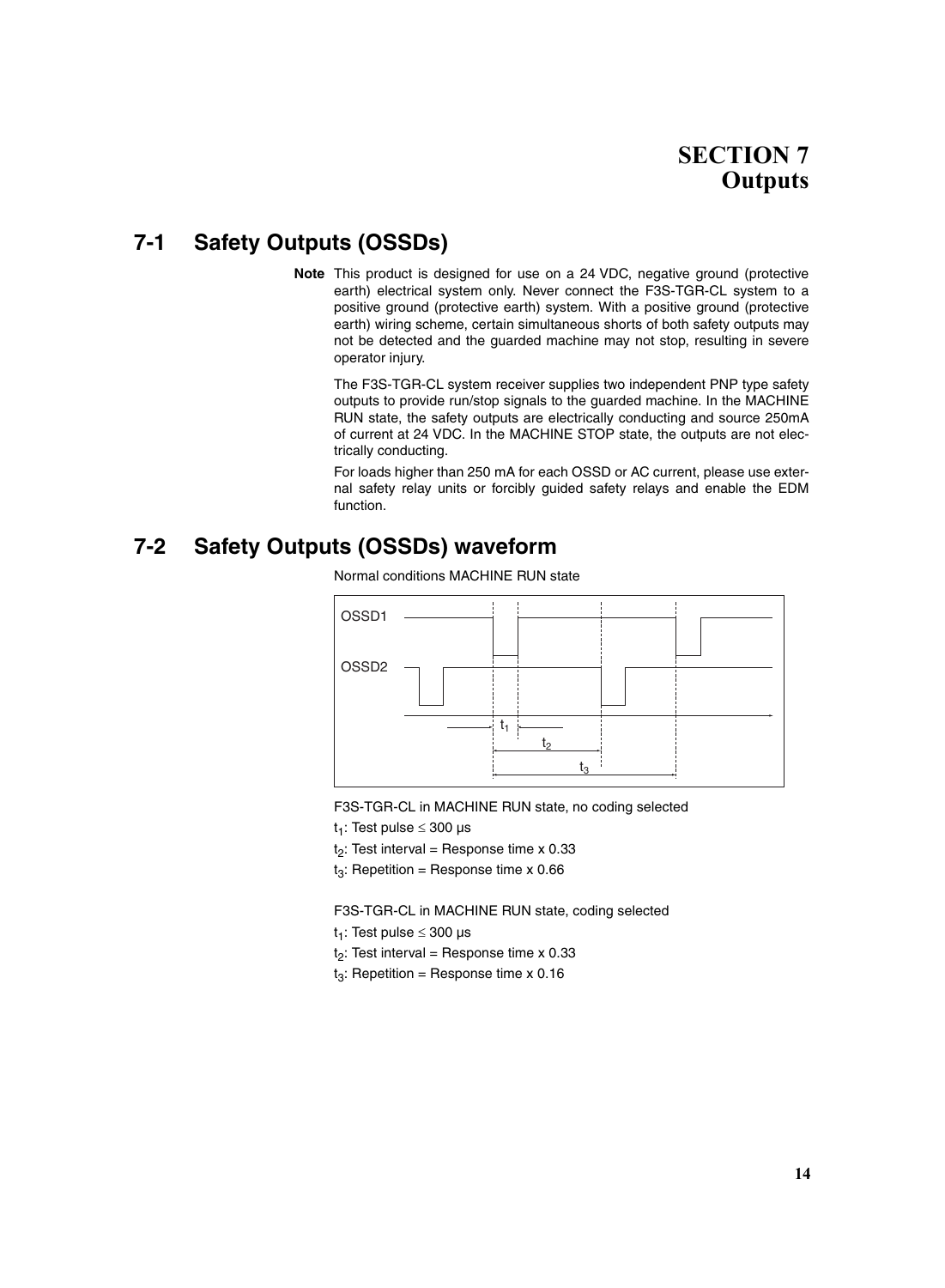# **SECTION 7 Outputs**

# <span id="page-27-1"></span><span id="page-27-0"></span>**7-1 Safety Outputs (OSSDs)**

**Note** This product is designed for use on a 24 VDC, negative ground (protective earth) electrical system only. Never connect the F3S-TGR-CL system to a positive ground (protective earth) system. With a positive ground (protective earth) wiring scheme, certain simultaneous shorts of both safety outputs may not be detected and the guarded machine may not stop, resulting in severe operator injury.

The F3S-TGR-CL system receiver supplies two independent PNP type safety outputs to provide run/stop signals to the guarded machine. In the MACHINE RUN state, the safety outputs are electrically conducting and source 250mA of current at 24 VDC. In the MACHINE STOP state, the outputs are not electrically conducting.

For loads higher than 250 mA for each OSSD or AC current, please use external safety relay units or forcibly guided safety relays and enable the EDM function.

### <span id="page-27-2"></span>**7-2 Safety Outputs (OSSDs) waveform**



Normal conditions MACHINE RUN state

F3S-TGR-CL in MACHINE RUN state, no coding selected

t<sub>1</sub>: Test pulse  $\leq$  300 µs

 $t<sub>2</sub>$ : Test interval = Response time x 0.33

 $t_3$ : Repetition = Response time x 0.66

F3S-TGR-CL in MACHINE RUN state, coding selected

t<sub>1</sub>: Test pulse  $\leq$  300 µs

 $t<sub>2</sub>$ : Test interval = Response time x 0.33

 $t_3$ : Repetition = Response time x 0.16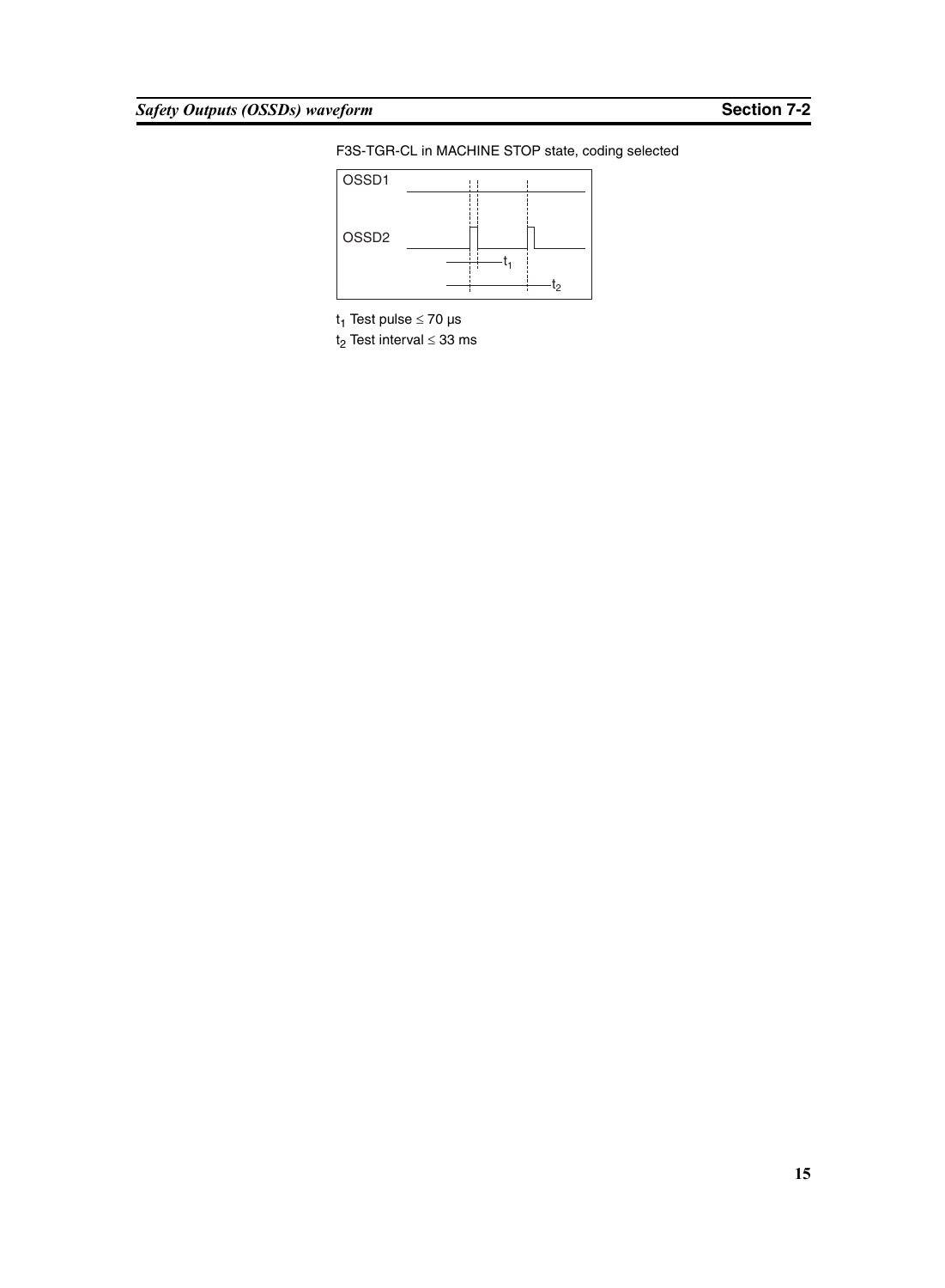F3S-TGR-CL in MACHINE STOP state, coding selected



t<sub>1</sub> Test pulse  $\leq 70$  µs

t<sub>2</sub> Test interval  $\leq$  33 ms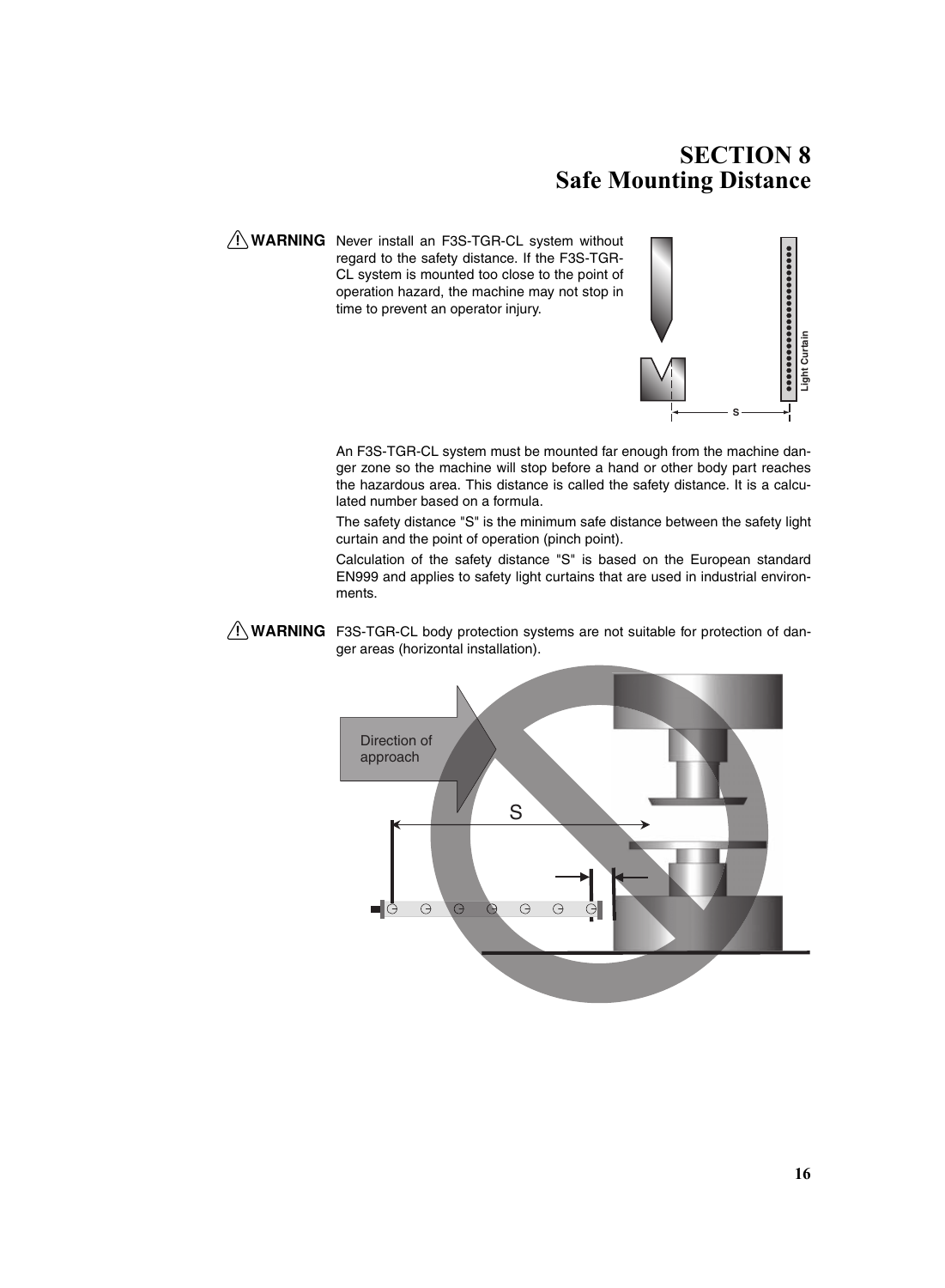# **SECTION 8 Safe Mounting Distance**

<span id="page-29-0"></span>A WARNING Never install an F3S-TGR-CL system without regard to the safety distance. If the F3S-TGR-CL system is mounted too close to the point of operation hazard, the machine may not stop in time to prevent an operator injury.



An F3S-TGR-CL system must be mounted far enough from the machine danger zone so the machine will stop before a hand or other body part reaches the hazardous area. This distance is called the safety distance. It is a calculated number based on a formula. An F3S-TGR-CL system must be mounted far enough from the machine danger zone so the machine will stop before a hand or other body part reaches the hazardous area. This distance is called the safety distance. It is a calcul

The safety distance "S" is the minimum safe distance between the safety light curtain and the point of operation (pinch point).

Calculation of the safety distance "S" is based on the European standard EN999 and applies to safety light curtains that are used in industrial environments.

 $\bigwedge$  WARNING F3S-TGR-CL body protection systems are not suitable for protection of dan-

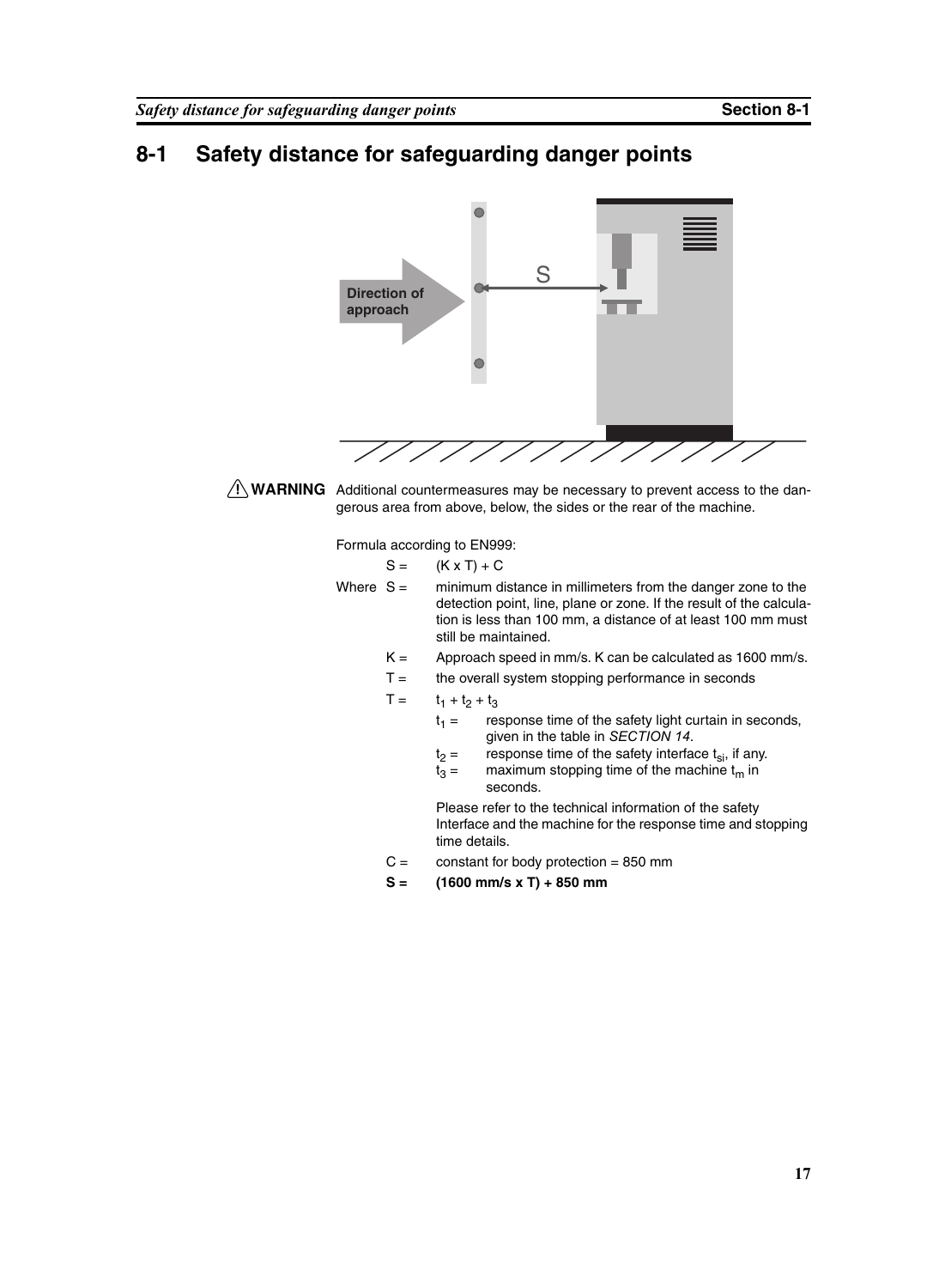### <span id="page-30-0"></span>**8-1 Safety distance for safeguarding danger points**



 $\sqrt{N}$  WARNING Additional countermeasures may be necessary to prevent access to the dangerous area from above, below, the sides or the rear of the machine.

Formula according to EN999:

 $S = (K \times T) + C$ 

- Where  $S =$  minimum distance in millimeters from the danger zone to the detection point, line, plane or zone. If the result of the calculation is less than 100 mm, a distance of at least 100 mm must still be maintained.
	- $K =$  Approach speed in mm/s. K can be calculated as 1600 mm/s.
	- $T =$  the overall system stopping performance in seconds
	- $T =$   $t_1 + t_2 + t_3$ 
		- $t_1$  = response time of the safety light curtain in seconds, given in the table in *[SECTION 14](#page-54-2)*.
			-
		- $t_2$  = response time of the safety interface  $t_{si}$ , if any.<br> $t_3$  = maximum stopping time of the machine  $t_m$  in maximum stopping time of the machine  $t_m$  in seconds.

Please refer to the technical information of the safety Interface and the machine for the response time and stopping time details.

- $C =$  constant for body protection = 850 mm
- **S = (1600 mm/s x T) + 850 mm**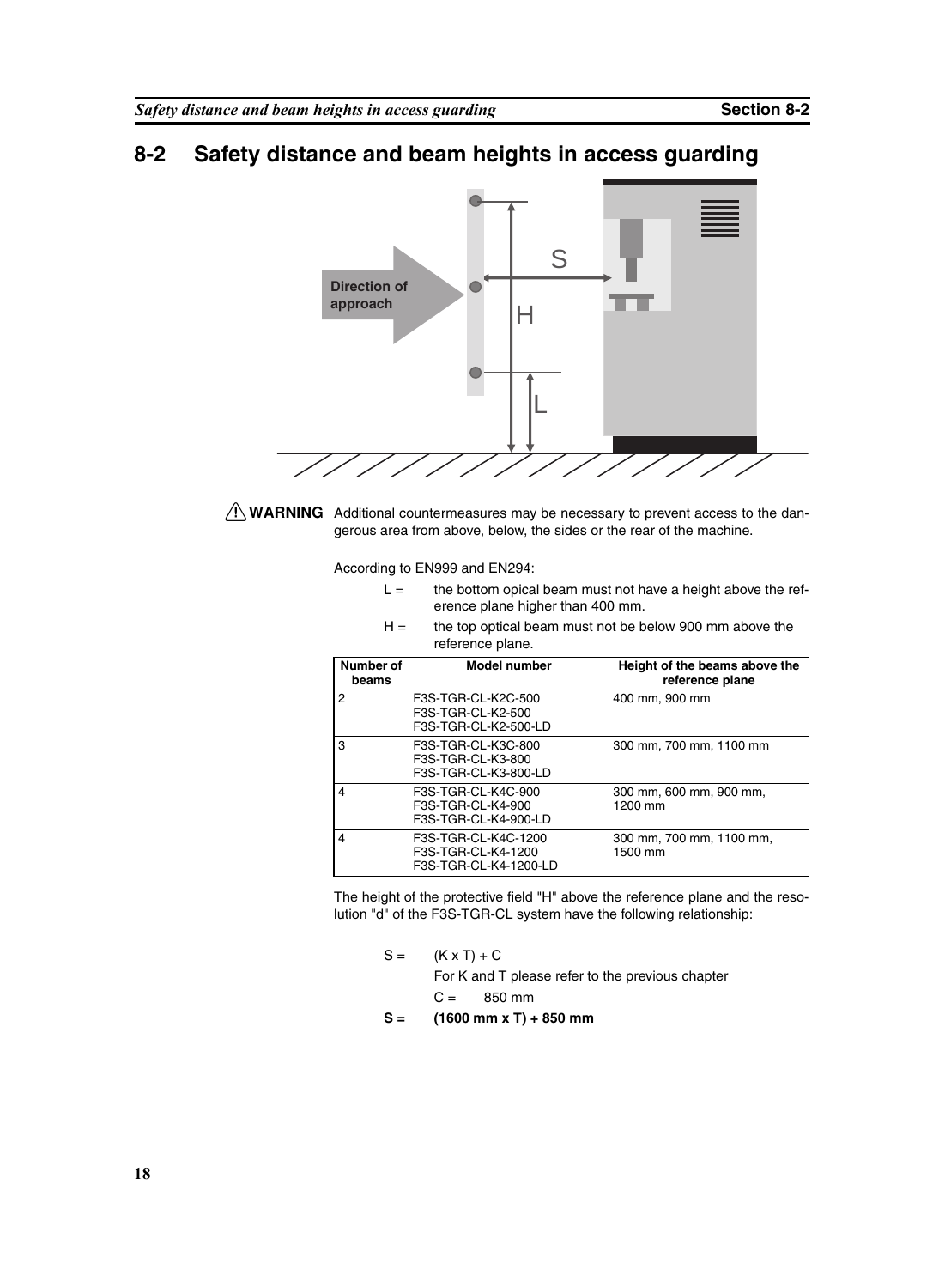# <span id="page-31-0"></span>**8-2 Safety distance and beam heights in access guarding**



 $\bigwedge$  WARNING Additional countermeasures may be necessary to prevent access to the dangerous area from above, below, the sides or the rear of the machine.

According to EN999 and EN294:

- $L =$  the bottom opical beam must not have a height above the reference plane higher than 400 mm.
- $H =$  the top optical beam must not be below 900 mm above the reference plane.

| Number of<br>beams | <b>Model number</b>                                                | Height of the beams above the<br>reference plane |
|--------------------|--------------------------------------------------------------------|--------------------------------------------------|
| 2                  | F3S-TGR-CL-K2C-500<br>F3S-TGR-CL-K2-500<br>F3S-TGR-CL-K2-500-LD    | 400 mm, 900 mm                                   |
| 3                  | F3S-TGR-CL-K3C-800<br>F3S-TGR-CL-K3-800<br>F3S-TGR-CL-K3-800-LD    | 300 mm. 700 mm. 1100 mm                          |
| 4                  | F3S-TGR-CL-K4C-900<br>F3S-TGR-CL-K4-900<br>F3S-TGR-CL-K4-900-LD    | 300 mm, 600 mm, 900 mm,<br>1200 mm               |
| 4                  | F3S-TGR-CL-K4C-1200<br>F3S-TGR-CL-K4-1200<br>F3S-TGR-CL-K4-1200-LD | 300 mm, 700 mm, 1100 mm,<br>1500 mm              |

The height of the protective field "H" above the reference plane and the resolution "d" of the F3S-TGR-CL system have the following relationship:

|  | $S = (K \times T) + C$ |                                                  |  |  |  |
|--|------------------------|--------------------------------------------------|--|--|--|
|  |                        | For K and T please refer to the previous chapter |  |  |  |
|  |                        | $C = 850$ mm                                     |  |  |  |

**S = (1600 mm x T) + 850 mm**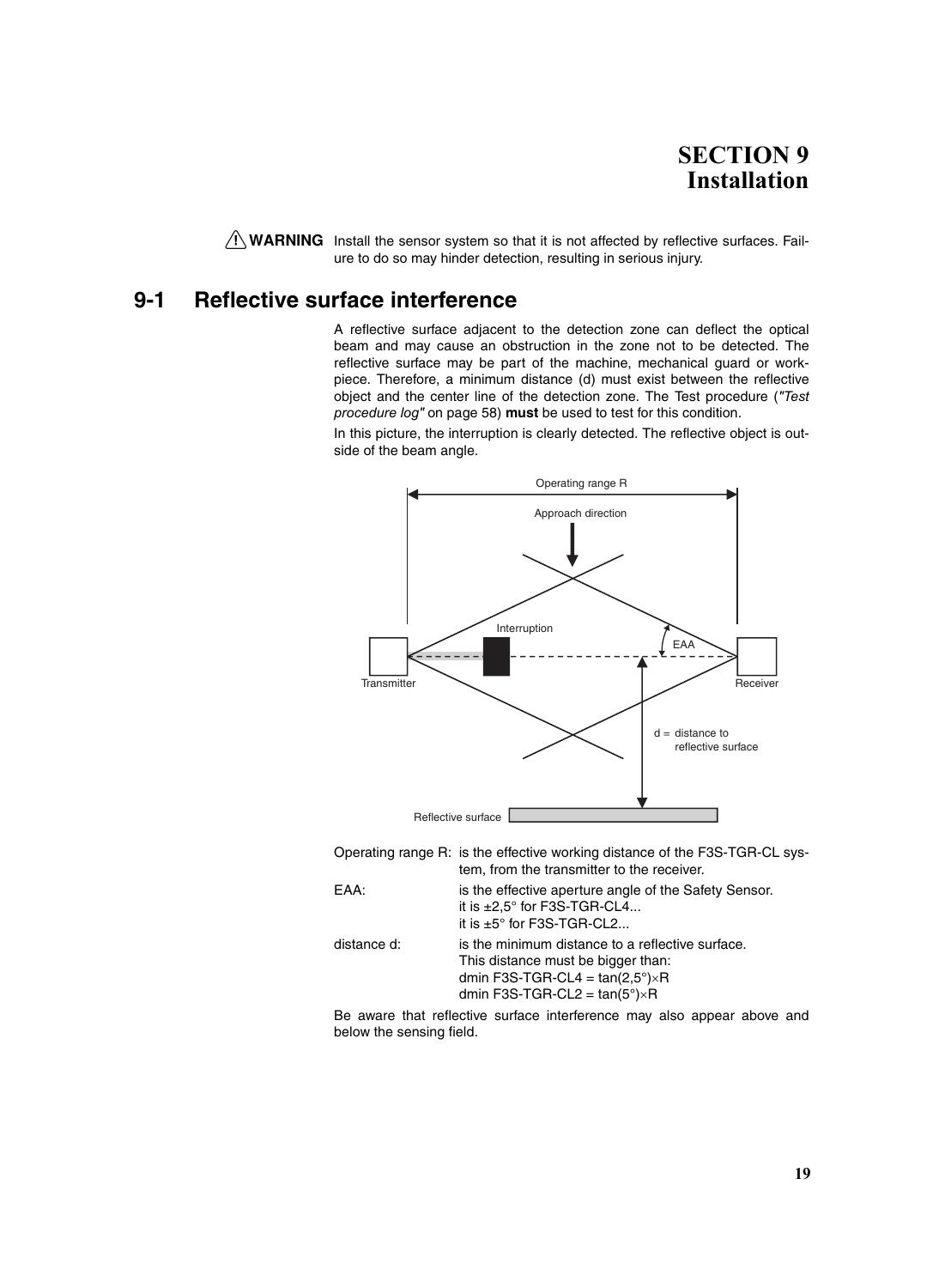# **SECTION 9 Installation**

<span id="page-32-0"></span> $\bigwedge$  WARNING Install the sensor system so that it is not affected by reflective surfaces. Failure to do so may hinder detection, resulting in serious injury.

### <span id="page-32-1"></span>**9-1 Reflective surface interference**

A reflective surface adjacent to the detection zone can deflect the optical beam and may cause an obstruction in the zone not to be detected. The reflective surface may be part of the machine, mechanical guard or workpiece. Therefore, a minimum distance (d) must exist between the reflective object and the center line of the detection zone. The Test procedure (*["Test](#page-71-1) [procedure log"](#page-71-1)* on page 58) **must** be used to test for this condition.

In this picture, the interruption is clearly detected. The reflective object is outside of the beam angle.



Operating range R: is the effective working distance of the F3S-TGR-CL system, from the transmitter to the receiver.

| EAA:        | is the effective aperture angle of the Safety Sensor.<br>it is $\pm 2.5^\circ$ for F3S-TGR-CL4<br>it is $\pm 5^{\circ}$ for F3S-TGR-CL2                                              |
|-------------|--------------------------------------------------------------------------------------------------------------------------------------------------------------------------------------|
| distance d: | is the minimum distance to a reflective surface.<br>This distance must be bigger than:<br>dmin F3S-TGR-CL4 = $tan(2,5^{\circ})\times$ R<br>dmin F3S-TGR-CL2 = $tan(5^\circ)\times R$ |

Be aware that reflective surface interference may also appear above and below the sensing field.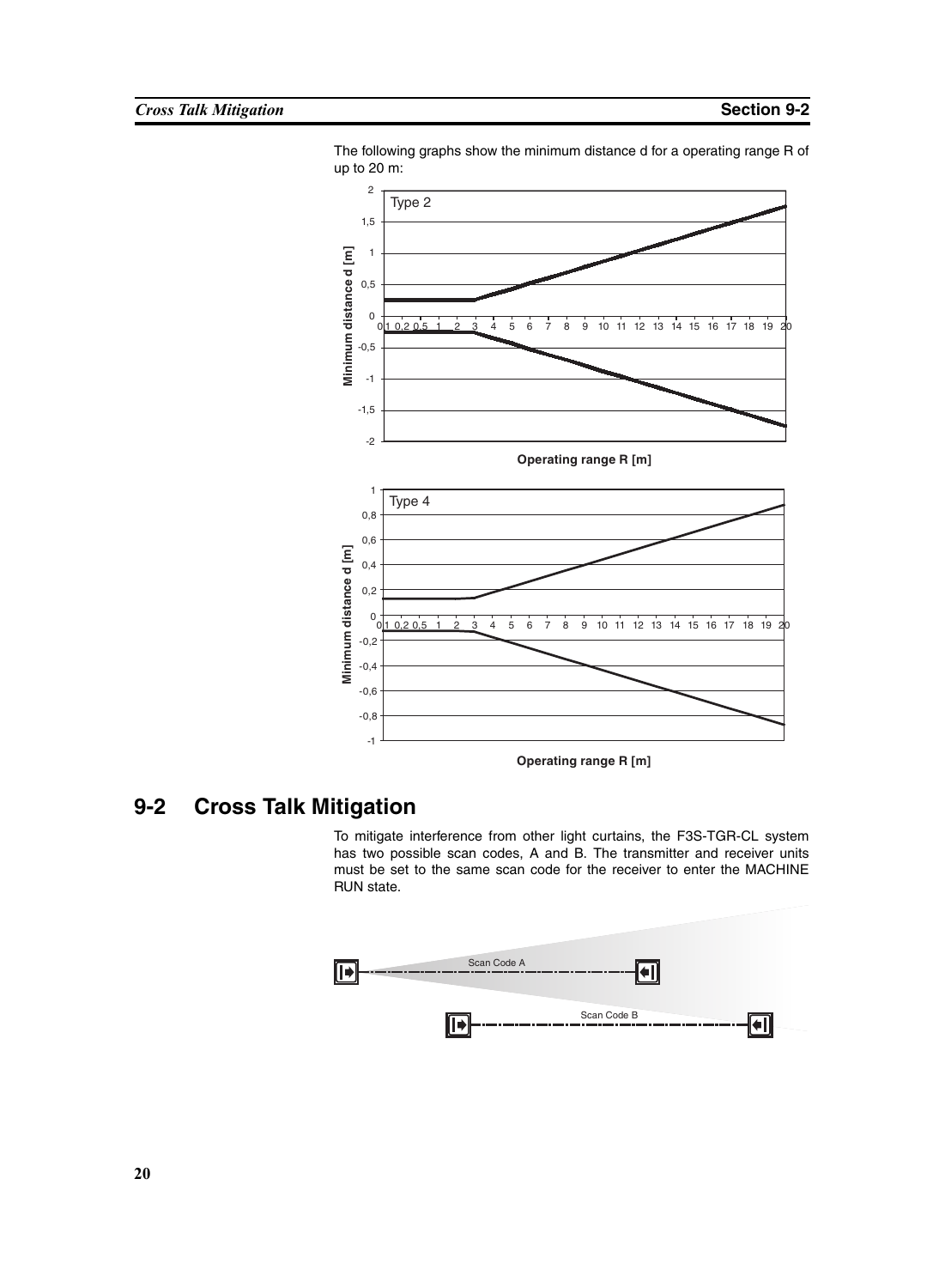

The following graphs show the minimum distance d for a operating range R of up to 20 m:

# <span id="page-33-0"></span>**9-2 Cross Talk Mitigation**

To mitigate interference from other light curtains, the F3S-TGR-CL system has two possible scan codes, A and B. The transmitter and receiver units must be set to the same scan code for the receiver to enter the MACHINE RUN state.

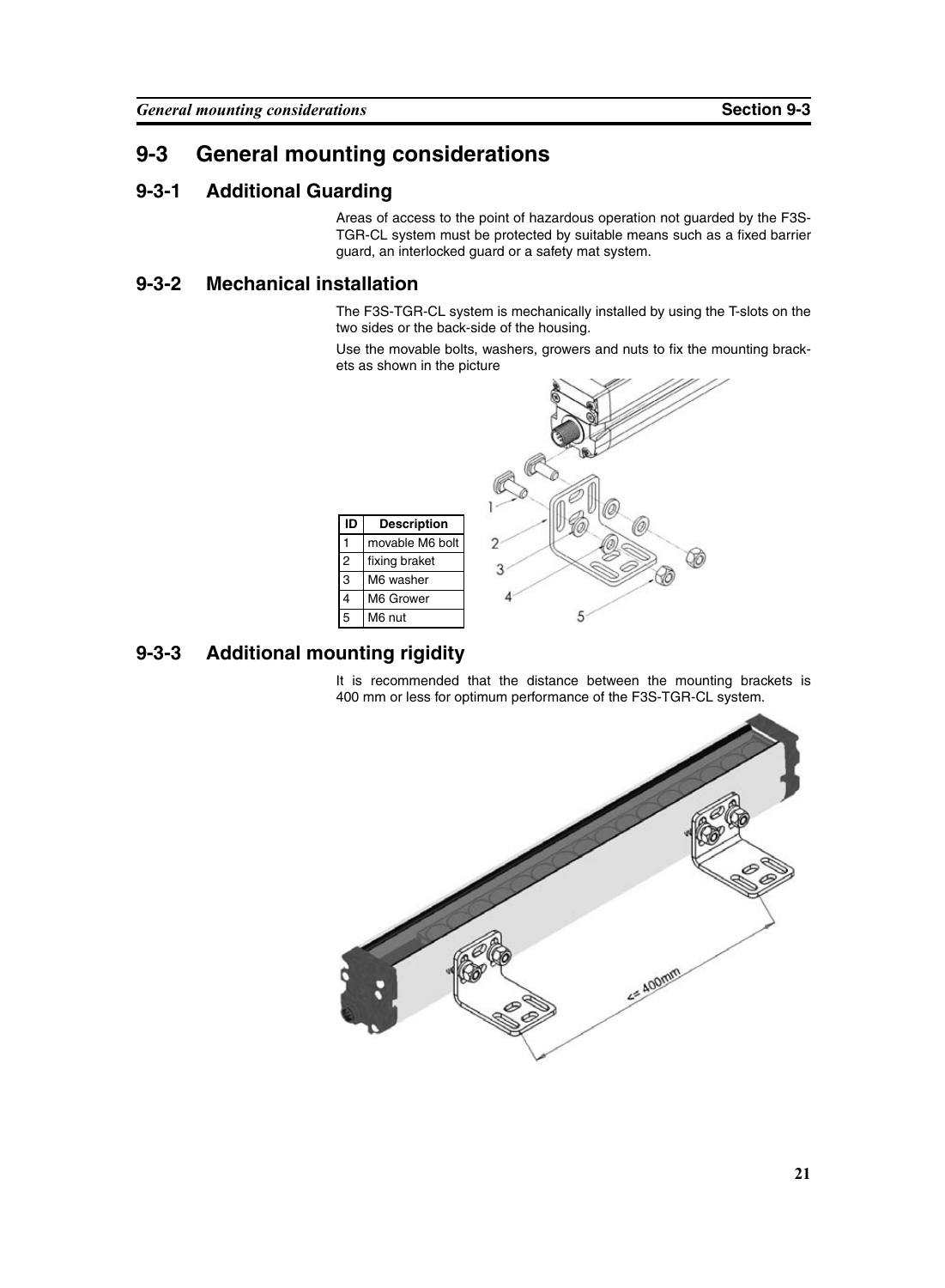### <span id="page-34-0"></span>**9-3 General mounting considerations**

#### <span id="page-34-1"></span>**9-3-1 Additional Guarding**

Areas of access to the point of hazardous operation not guarded by the F3S-TGR-CL system must be protected by suitable means such as a fixed barrier guard, an interlocked guard or a safety mat system.

### <span id="page-34-2"></span>**9-3-2 Mechanical installation**

The F3S-TGR-CL system is mechanically installed by using the T-slots on the two sides or the back-side of the housing.

Use the movable bolts, washers, growers and nuts to fix the mounting brackets as shown in the picture



### <span id="page-34-3"></span>**9-3-3 Additional mounting rigidity**

It is recommended that the distance between the mounting brackets is 400 mm or less for optimum performance of the F3S-TGR-CL system.

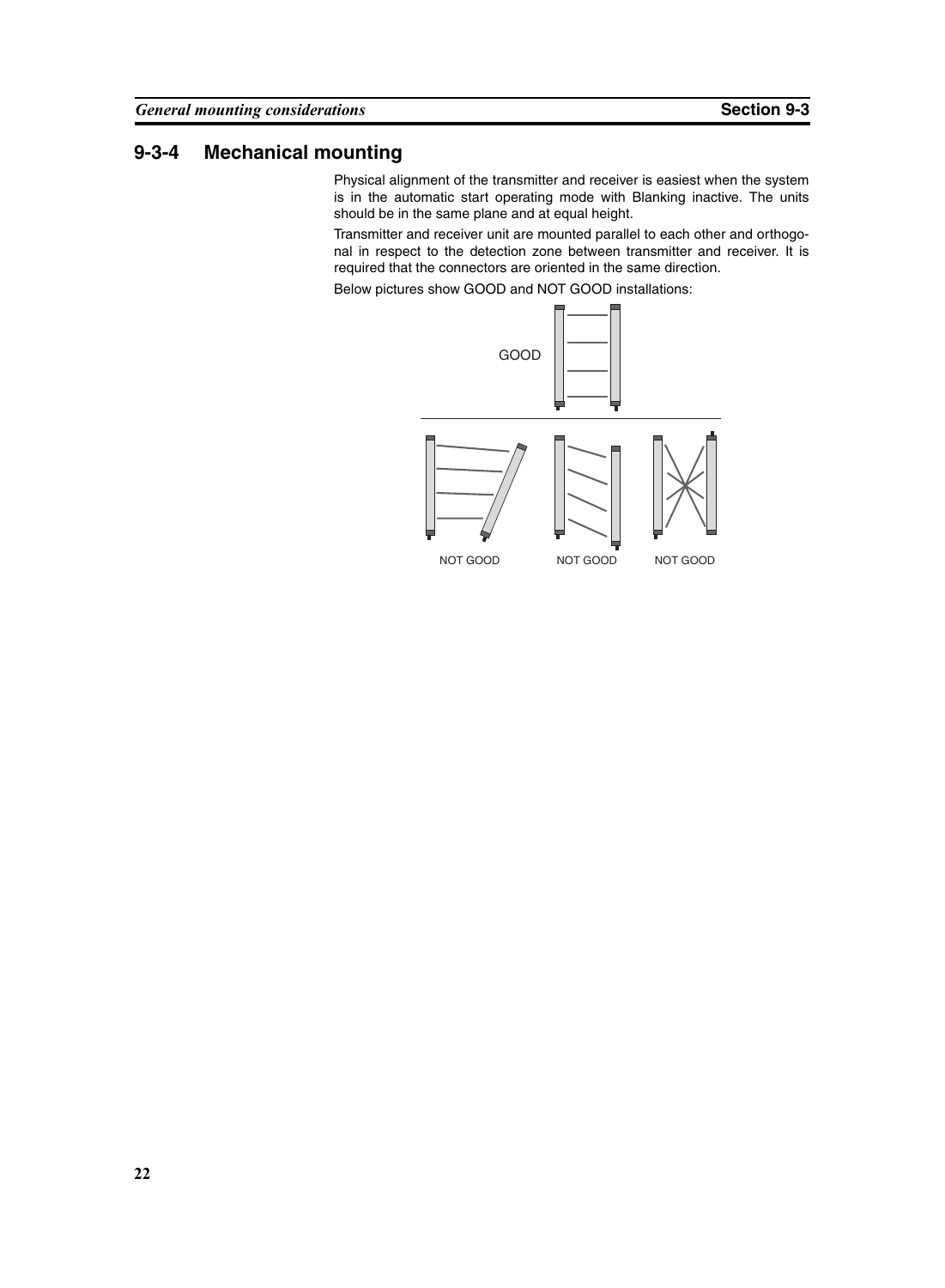### <span id="page-35-0"></span>**9-3-4 Mechanical mounting**

Physical alignment of the transmitter and receiver is easiest when the system is in the automatic start operating mode with Blanking inactive. The units should be in the same plane and at equal height.

Transmitter and receiver unit are mounted parallel to each other and orthogonal in respect to the detection zone between transmitter and receiver. It is required that the connectors are oriented in the same direction.

Below pictures show GOOD and NOT GOOD installations:

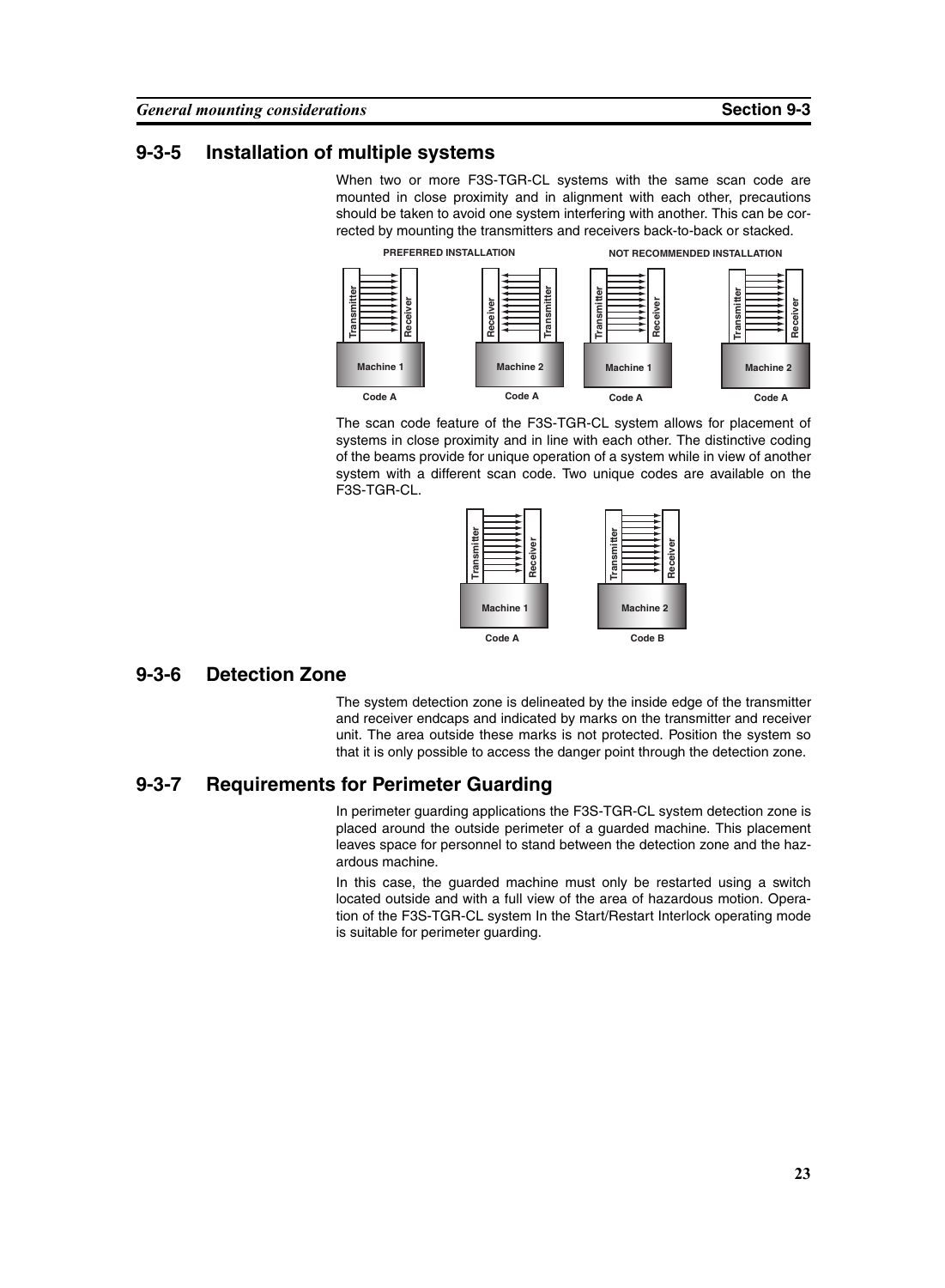#### **9-3-5 Installation of multiple systems**

When two or more F3S-TGR-CL systems with the same scan code are mounted in close proximity and in alignment with each other, precautions should be taken to avoid one system interfering with another. This can be corrected by mounting the transmitters and receivers back-to-back or stacked.

**PREFERRED INSTALLATION**

**NOT RECOMMENDED INSTALLATION**



The scan code feature of the F3S-TGR-CL system allows for placement of systems in close proximity and in line with each other. The distinctive coding of the beams provide for unique operation of a system while in view of another system with a different scan code. Two unique codes are available on the F3S-TGR-CL.



#### **9-3-6 Detection Zone**

The system detection zone is delineated by the inside edge of the transmitter and receiver endcaps and indicated by marks on the transmitter and receiver unit. The area outside these marks is not protected. Position the system so that it is only possible to access the danger point through the detection zone.

#### **9-3-7 Requirements for Perimeter Guarding**

In perimeter guarding applications the F3S-TGR-CL system detection zone is placed around the outside perimeter of a guarded machine. This placement leaves space for personnel to stand between the detection zone and the hazardous machine.

In this case, the guarded machine must only be restarted using a switch located outside and with a full view of the area of hazardous motion. Operation of the F3S-TGR-CL system In the Start/Restart Interlock operating mode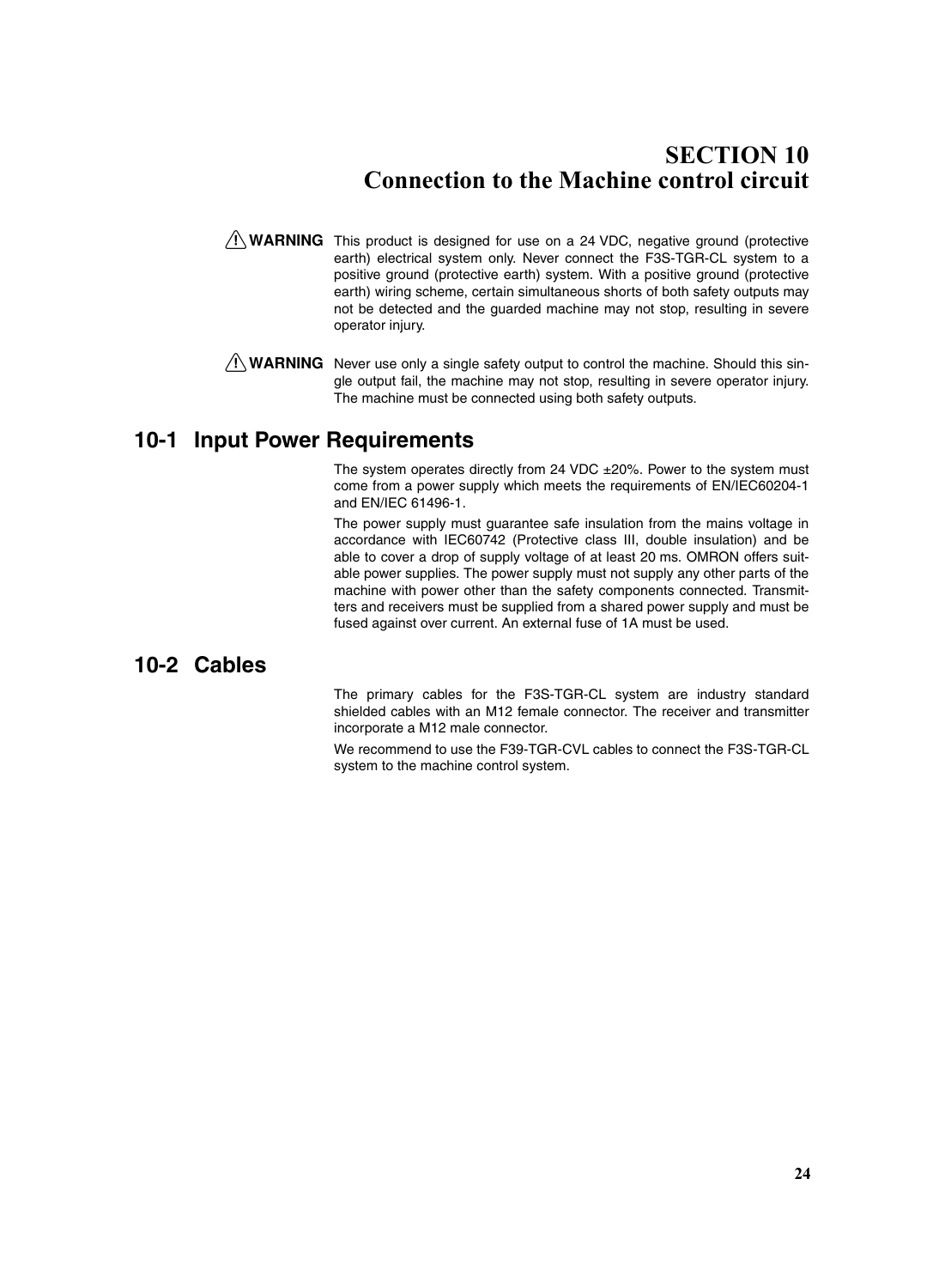### <span id="page-37-0"></span>**SECTION 10 Connection to the Machine control circuit**

- $\sqrt{N}$  WARNING This product is designed for use on a 24 VDC, negative ground (protective earth) electrical system only. Never connect the F3S-TGR-CL system to a positive ground (protective earth) system. With a positive ground (protective earth) wiring scheme, certain simultaneous shorts of both safety outputs may not be detected and the guarded machine may not stop, resulting in severe operator injury.
- $\bigwedge$  WARNING Never use only a single safety output to control the machine. Should this single output fail, the machine may not stop, resulting in severe operator injury. The machine must be connected using both safety outputs.

#### **10-1 Input Power Requirements**

The system operates directly from 24 VDC  $\pm$ 20%. Power to the system must come from a power supply which meets the requirements of EN/IEC60204-1 and EN/IEC 61496-1.

The power supply must guarantee safe insulation from the mains voltage in accordance with IEC60742 (Protective class III, double insulation) and be able to cover a drop of supply voltage of at least 20 ms. OMRON offers suitable power supplies. The power supply must not supply any other parts of the machine with power other than the safety components connected. Transmitters and receivers must be supplied from a shared power supply and must be fused against over current. An external fuse of 1A must be used.

#### **10-2 Cables**

The primary cables for the F3S-TGR-CL system are industry standard shielded cables with an M12 female connector. The receiver and transmitter incorporate a M12 male connector.

We recommend to use the F39-TGR-CVL cables to connect the F3S-TGR-CL system to the machine control system.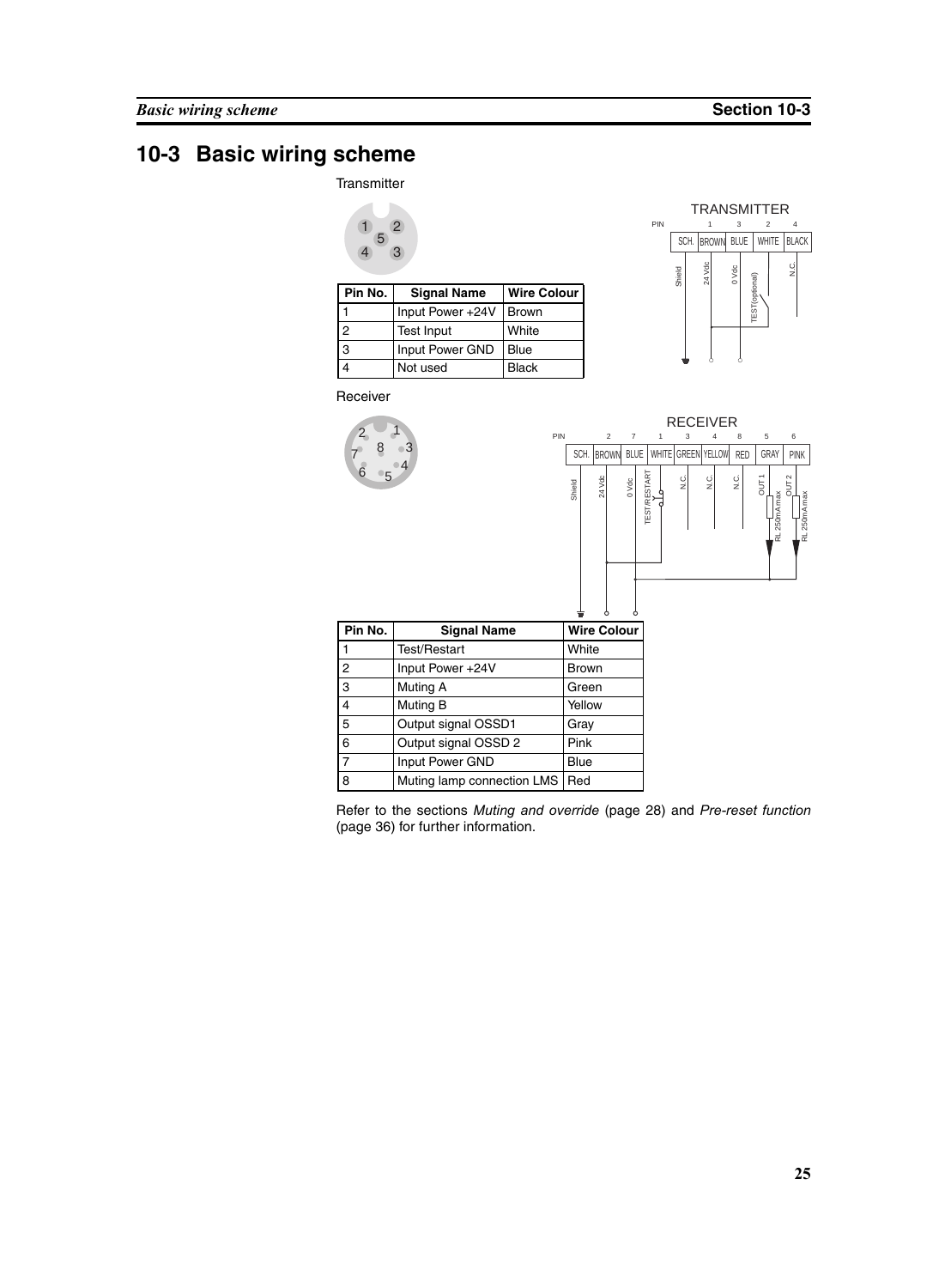## **10-3 Basic wiring scheme**

**Transmitter** 



| Pin No. | <b>Signal Name</b> | <b>Wire Colour</b> |
|---------|--------------------|--------------------|
|         | Input Power +24V   | l Brown            |
| っ       | <b>Test Input</b>  | White              |
| 3       | Input Power GND    | Blue               |
|         | Not used           | Black              |



OUT 1<br>RL 250mA max<br>OUT 2

RL 250mA max

Receiver



Refer to the sections *[Muting and override](#page-41-0)* (page 28) and *[Pre-reset function](#page-49-0)* [\(page 36\)](#page-49-0) for further information.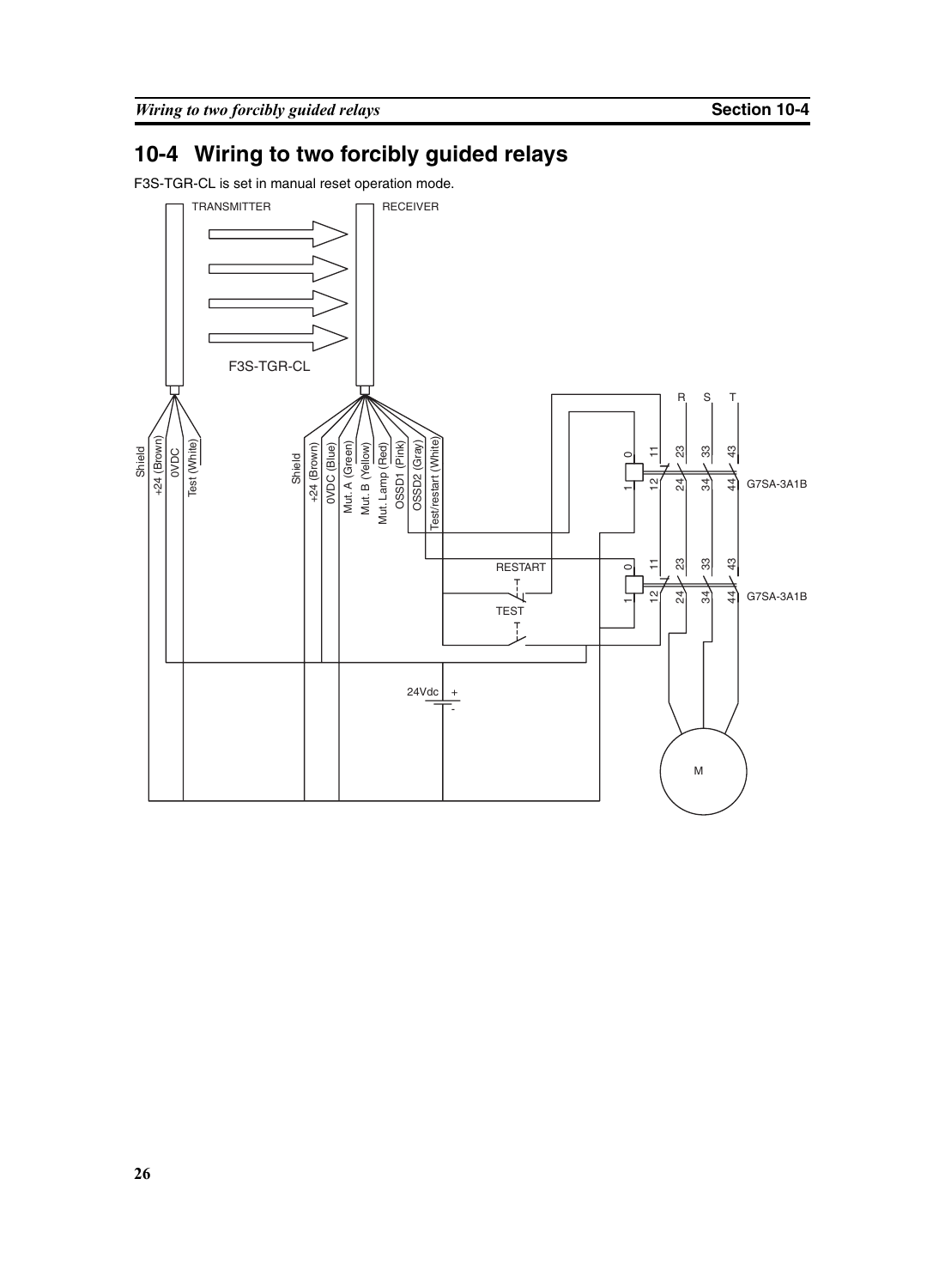## **10-4 Wiring to two forcibly guided relays**

F3S-TGR-CL is set in manual reset operation mode.

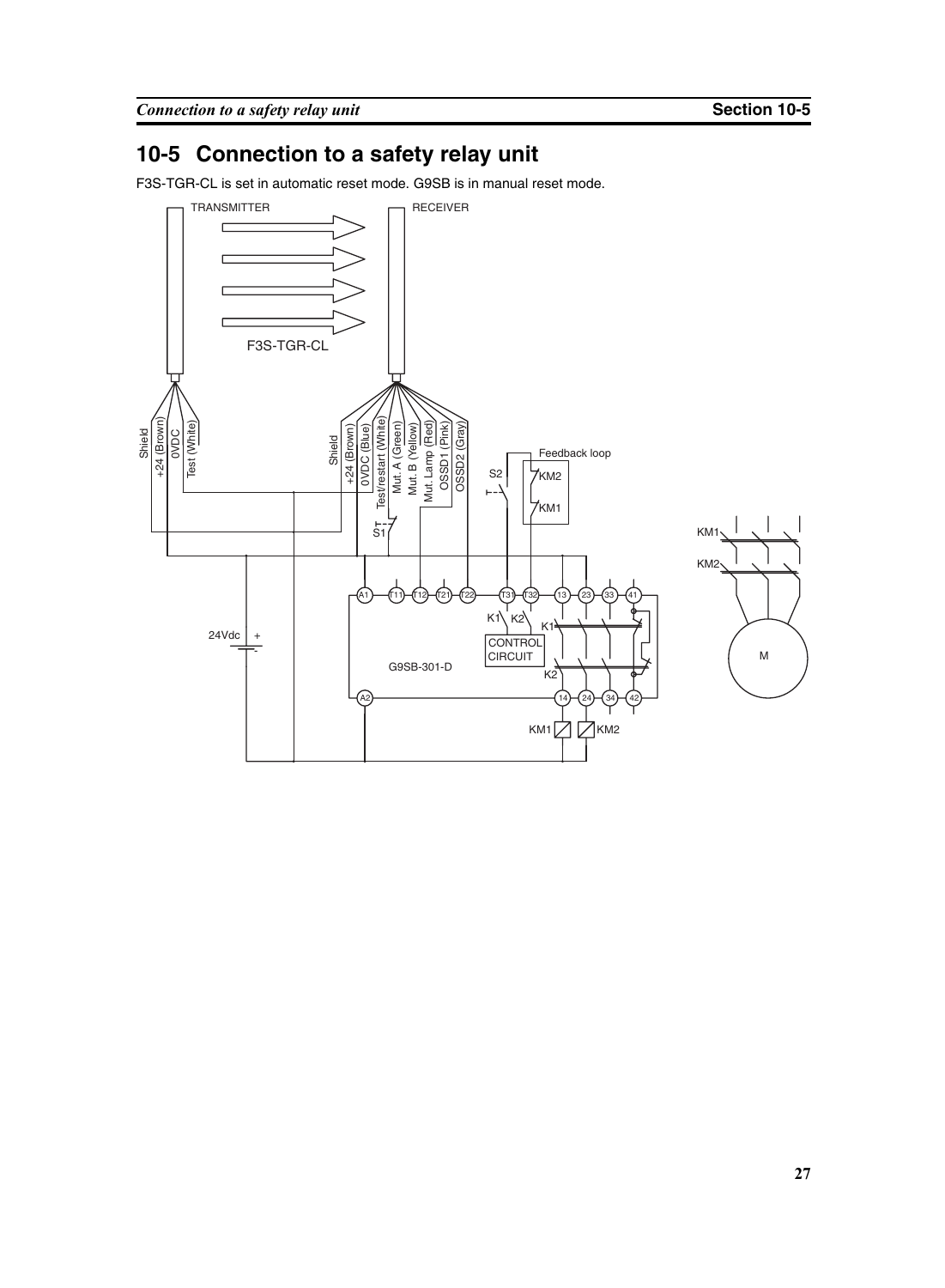## **10-5 Connection to a safety relay unit**

F3S-TGR-CL is set in automatic reset mode. G9SB is in manual reset mode.

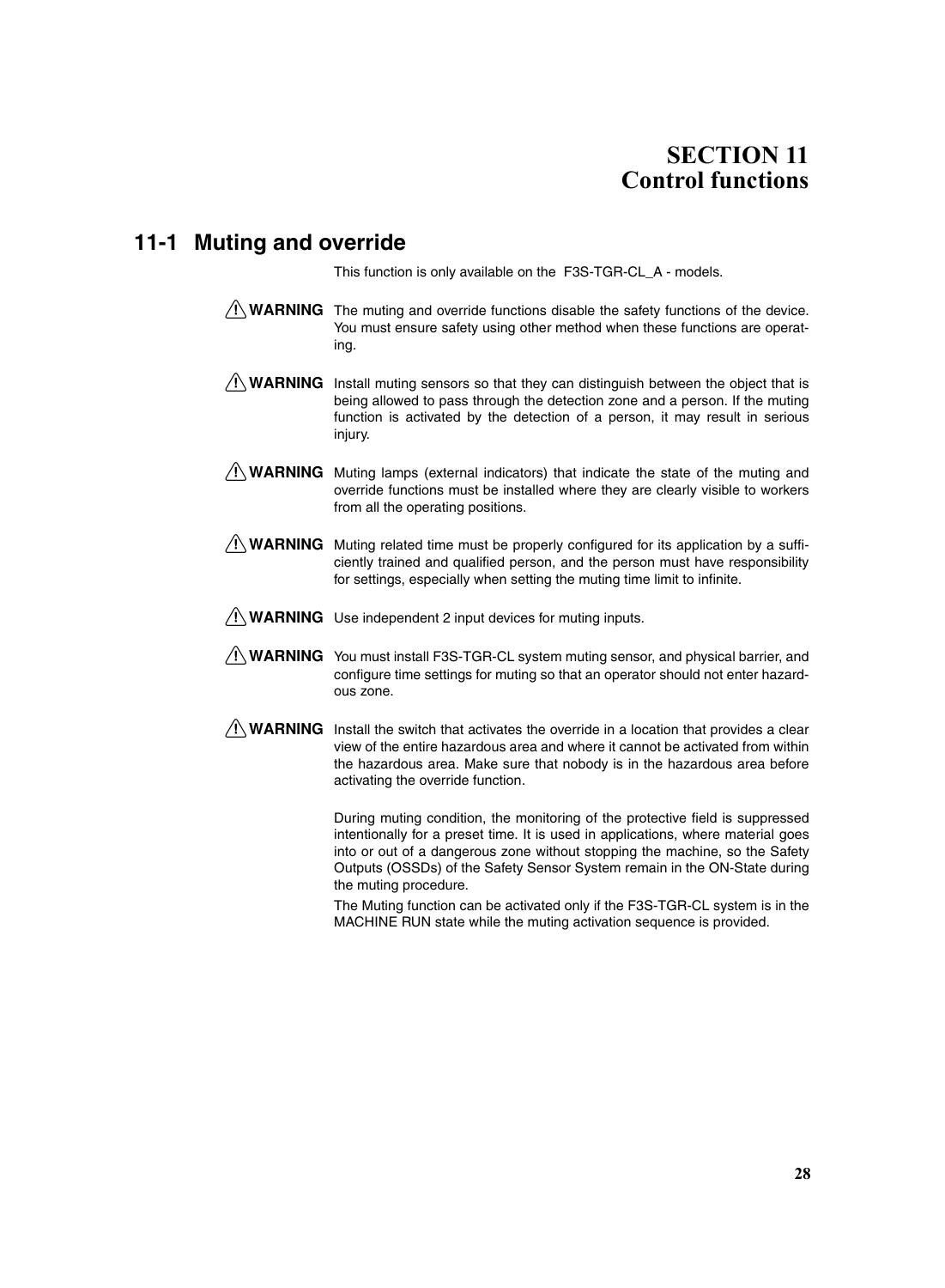## <span id="page-41-1"></span>**SECTION 11 Control functions**

#### <span id="page-41-0"></span>**11-1 Muting and override**

This function is only available on the F3S-TGR-CL\_A - models.

- $\bigwedge$  WARNING The muting and override functions disable the safety functions of the device. You must ensure safety using other method when these functions are operating.
- $\hat{A}$  WARNING Install muting sensors so that they can distinguish between the object that is being allowed to pass through the detection zone and a person. If the muting function is activated by the detection of a person, it may result in serious injury.
- $\sqrt{N}$  WARNING Muting lamps (external indicators) that indicate the state of the muting and override functions must be installed where they are clearly visible to workers from all the operating positions.
- $\bigwedge$  WARNING Muting related time must be properly configured for its application by a sufficiently trained and qualified person, and the person must have responsibility for settings, especially when setting the muting time limit to infinite.
- $\sqrt{N}$  WARNING Use independent 2 input devices for muting inputs.
- $\sqrt{N}$  WARNING You must install F3S-TGR-CL system muting sensor, and physical barrier, and configure time settings for muting so that an operator should not enter hazardous zone.
- $\bigwedge$  WARNING Install the switch that activates the override in a location that provides a clear view of the entire hazardous area and where it cannot be activated from within the hazardous area. Make sure that nobody is in the hazardous area before activating the override function.

During muting condition, the monitoring of the protective field is suppressed intentionally for a preset time. It is used in applications, where material goes into or out of a dangerous zone without stopping the machine, so the Safety Outputs (OSSDs) of the Safety Sensor System remain in the ON-State during the muting procedure.

The Muting function can be activated only if the F3S-TGR-CL system is in the MACHINE RUN state while the muting activation sequence is provided.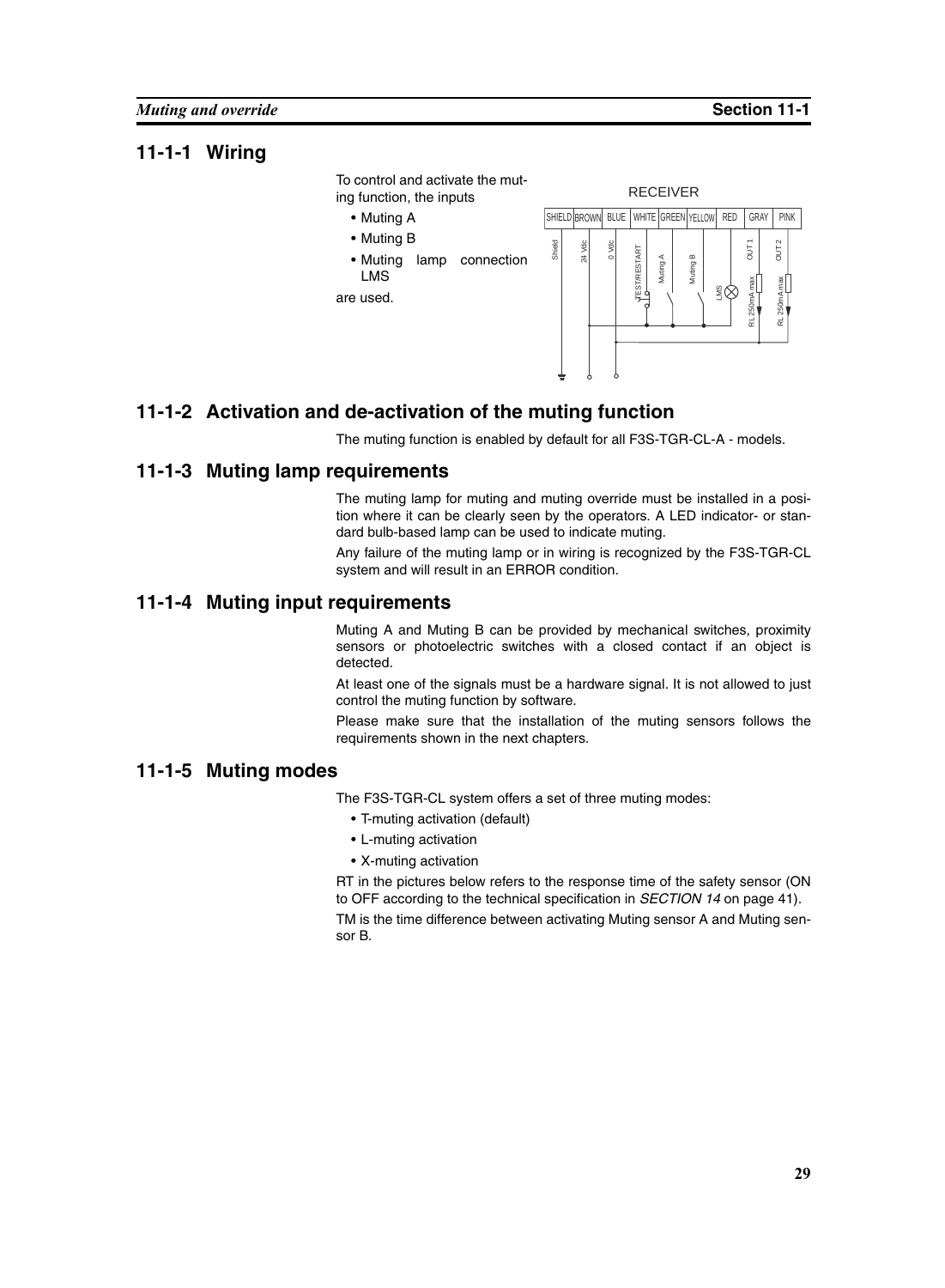To control and activate the muting function, the inputs

- Muting A
- Muting B
- Muting lamp connection LMS

are used.



#### **11-1-2 Activation and de-activation of the muting function**

The muting function is enabled by default for all F3S-TGR-CL-A - models.

#### **11-1-3 Muting lamp requirements**

The muting lamp for muting and muting override must be installed in a position where it can be clearly seen by the operators. A LED indicator- or standard bulb-based lamp can be used to indicate muting.

Any failure of the muting lamp or in wiring is recognized by the F3S-TGR-CL system and will result in an ERROR condition.

#### **11-1-4 Muting input requirements**

Muting A and Muting B can be provided by mechanical switches, proximity sensors or photoelectric switches with a closed contact if an object is detected.

At least one of the signals must be a hardware signal. It is not allowed to just control the muting function by software.

Please make sure that the installation of the muting sensors follows the requirements shown in the next chapters.

#### **11-1-5 Muting modes**

The F3S-TGR-CL system offers a set of three muting modes:

- T-muting activation (default)
- L-muting activation
- X-muting activation

RT in the pictures below refers to the response time of the safety sensor (ON to OFF according to the technical specification in *[SECTION 14](#page-54-0)* on page 41).

TM is the time difference between activating Muting sensor A and Muting sen-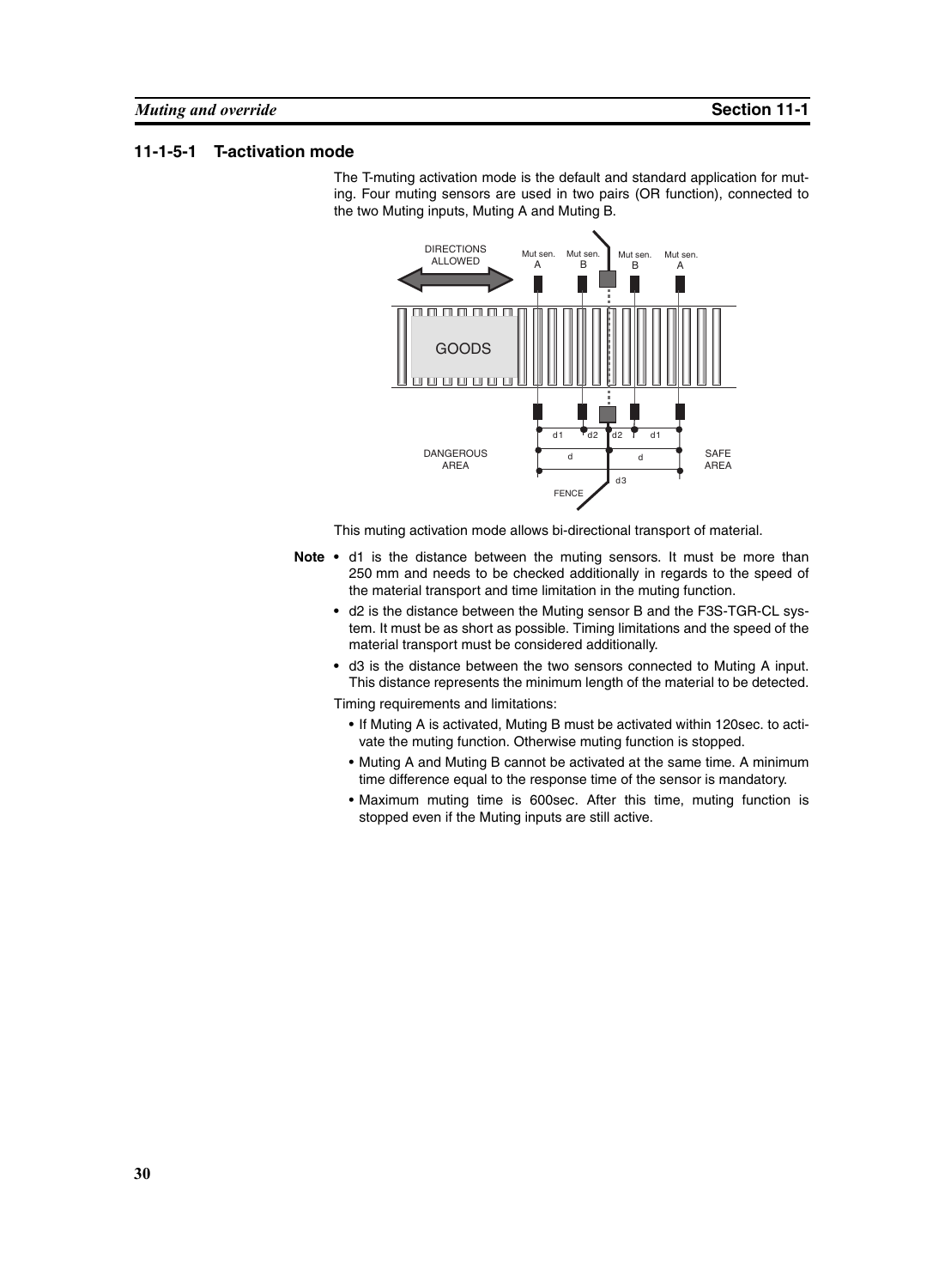#### **11-1-5-1 T-activation mode**

The T-muting activation mode is the default and standard application for muting. Four muting sensors are used in two pairs (OR function), connected to the two Muting inputs, Muting A and Muting B.



This muting activation mode allows bi-directional transport of material.

- Note d1 is the distance between the muting sensors. It must be more than 250 mm and needs to be checked additionally in regards to the speed of the material transport and time limitation in the muting function.
	- **•** d2 is the distance between the Muting sensor B and the F3S-TGR-CL system. It must be as short as possible. Timing limitations and the speed of the material transport must be considered additionally.
	- **•** d3 is the distance between the two sensors connected to Muting A input. This distance represents the minimum length of the material to be detected.

Timing requirements and limitations:

- If Muting A is activated, Muting B must be activated within 120sec. to activate the muting function. Otherwise muting function is stopped.
- Muting A and Muting B cannot be activated at the same time. A minimum time difference equal to the response time of the sensor is mandatory.
- Maximum muting time is 600sec. After this time, muting function is stopped even if the Muting inputs are still active.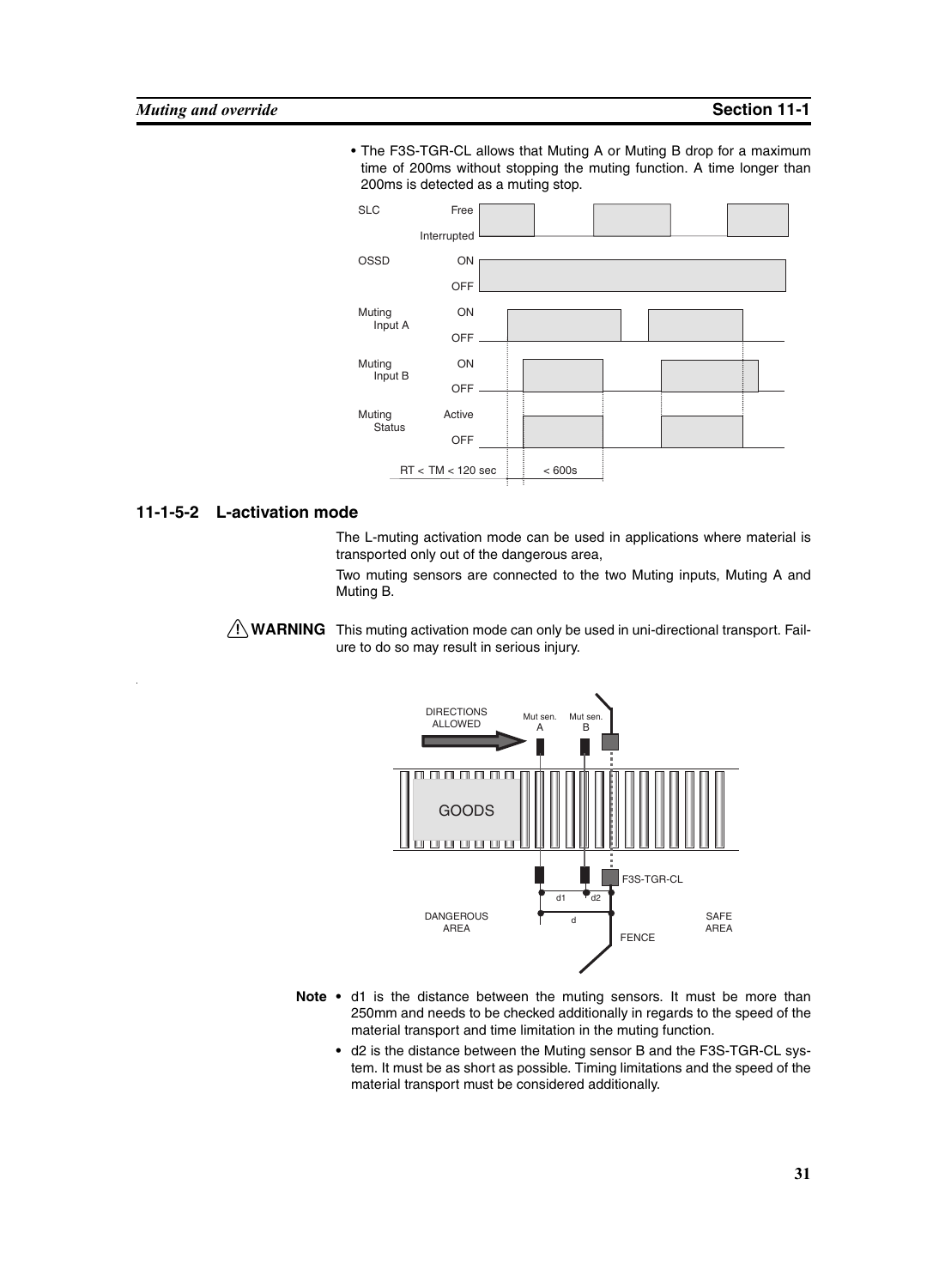• The F3S-TGR-CL allows that Muting A or Muting B drop for a maximum time of 200ms without stopping the muting function. A time longer than 200ms is detected as a muting stop.



#### **11-1-5-2 L-activation mode**

The L-muting activation mode can be used in applications where material is transported only out of the dangerous area,

Two muting sensors are connected to the two Muting inputs, Muting A and Muting B.

 $\bigwedge$  WARNING This muting activation mode can only be used in uni-directional transport. Failure to do so may result in serious injury.



- Note d1 is the distance between the muting sensors. It must be more than 250mm and needs to be checked additionally in regards to the speed of the material transport and time limitation in the muting function.
	- **•** d2 is the distance between the Muting sensor B and the F3S-TGR-CL system. It must be as short as possible. Timing limitations and the speed of the material transport must be considered additionally.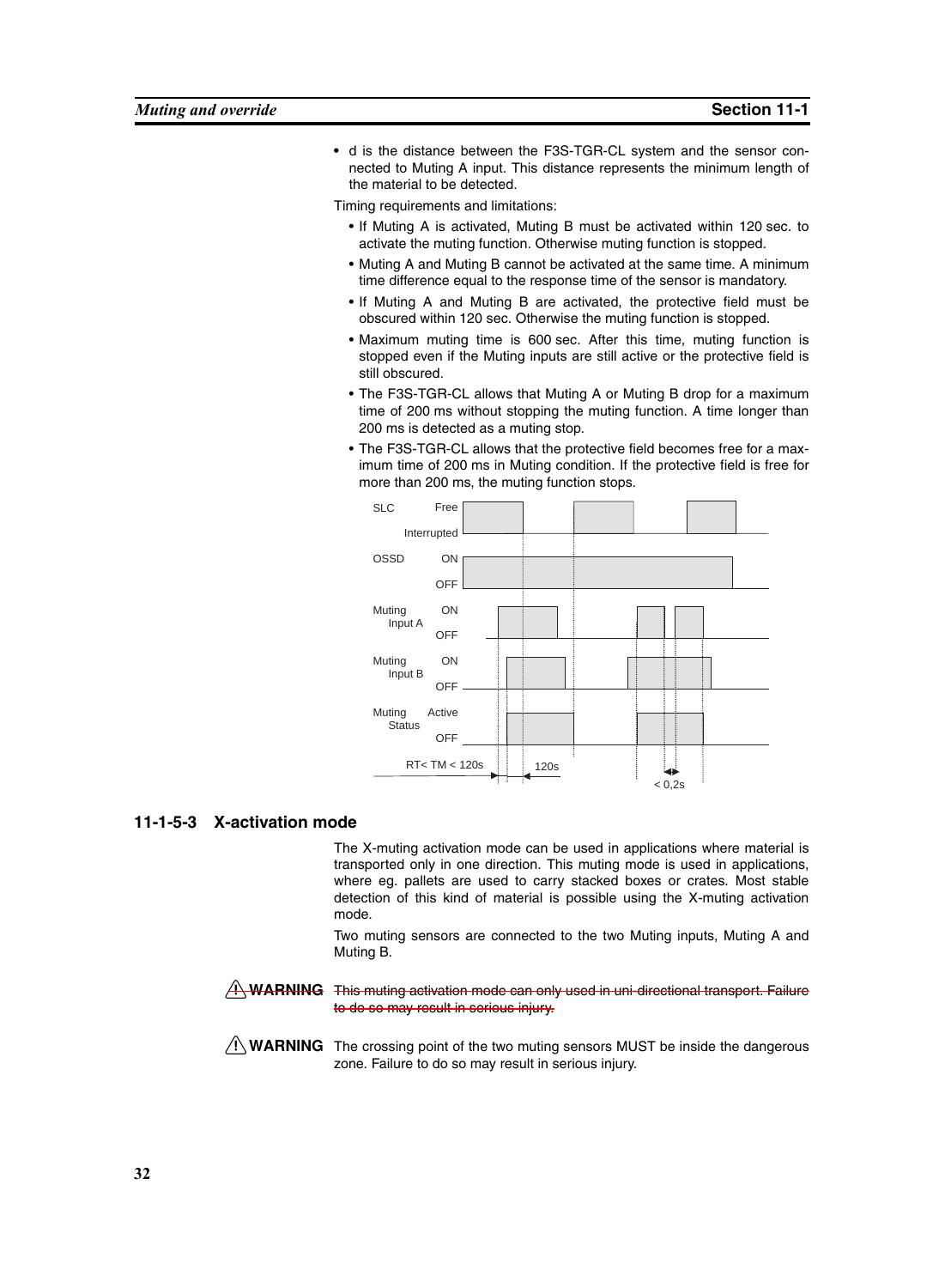**•** d is the distance between the F3S-TGR-CL system and the sensor connected to Muting A input. This distance represents the minimum length of the material to be detected.

Timing requirements and limitations:

- If Muting A is activated, Muting B must be activated within 120 sec. to activate the muting function. Otherwise muting function is stopped.
- Muting A and Muting B cannot be activated at the same time. A minimum time difference equal to the response time of the sensor is mandatory.
- If Muting A and Muting B are activated, the protective field must be obscured within 120 sec. Otherwise the muting function is stopped.
- Maximum muting time is 600 sec. After this time, muting function is stopped even if the Muting inputs are still active or the protective field is still obscured.
- The F3S-TGR-CL allows that Muting A or Muting B drop for a maximum time of 200 ms without stopping the muting function. A time longer than 200 ms is detected as a muting stop.
- The F3S-TGR-CL allows that the protective field becomes free for a maximum time of 200 ms in Muting condition. If the protective field is free for more than 200 ms, the muting function stops.



#### **11-1-5-3 X-activation mode**

The X-muting activation mode can be used in applications where material is transported only in one direction. This muting mode is used in applications, where eg. pallets are used to carry stacked boxes or crates. Most stable detection of this kind of material is possible using the X-muting activation mode.

Two muting sensors are connected to the two Muting inputs, Muting A and Muting B.

 $A$  WARNING This muting activation mode can only used in uni-directional transport. Failure to do so may result in serious injury.

 $\sqrt{N}$  WARNING The crossing point of the two muting sensors MUST be inside the dangerous zone. Failure to do so may result in serious injury.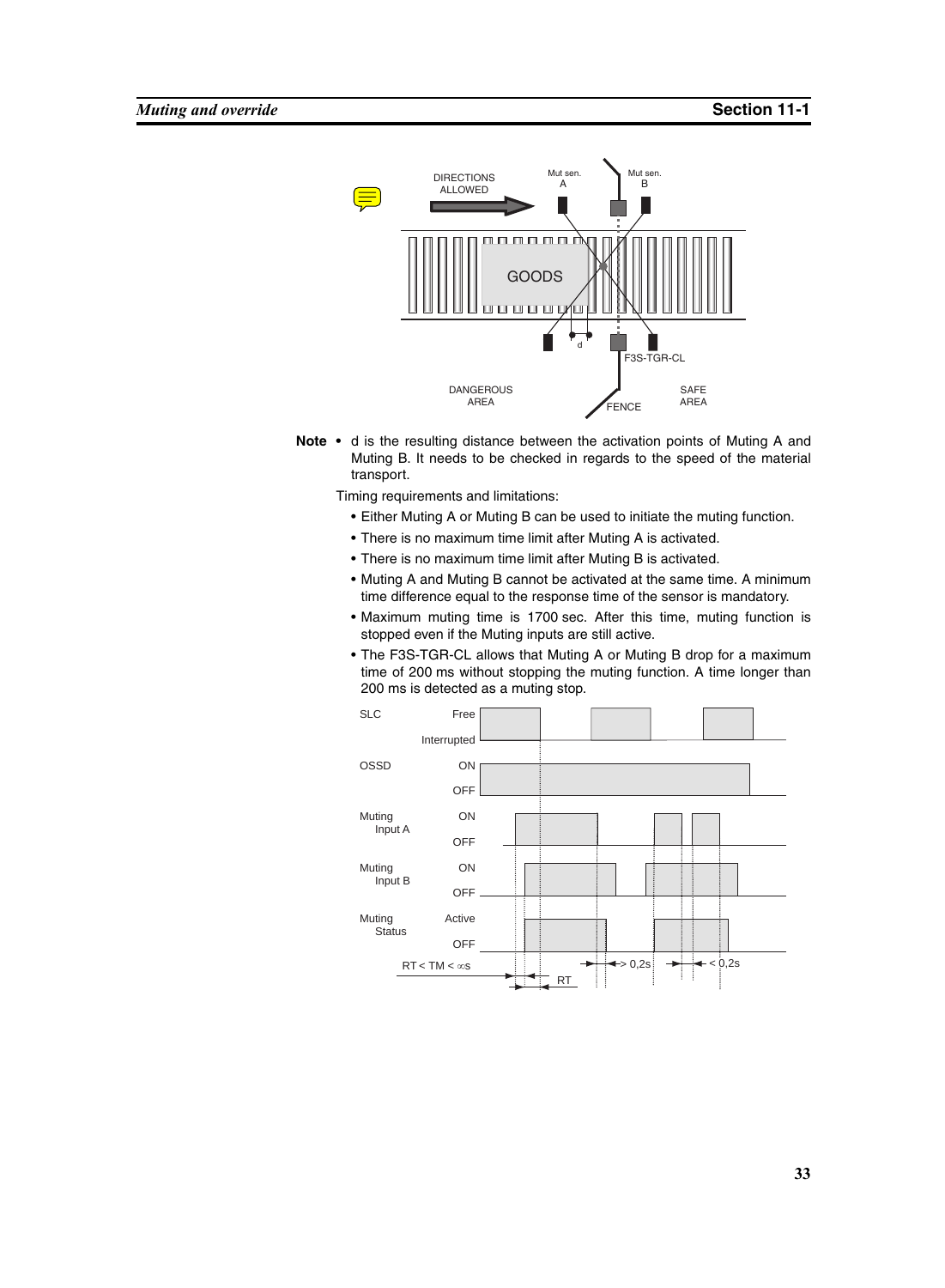

**Note •** d is the resulting distance between the activation points of Muting A and Muting B. It needs to be checked in regards to the speed of the material transport.

Timing requirements and limitations:

- Either Muting A or Muting B can be used to initiate the muting function.
- There is no maximum time limit after Muting A is activated.
- There is no maximum time limit after Muting B is activated.
- Muting A and Muting B cannot be activated at the same time. A minimum time difference equal to the response time of the sensor is mandatory.
- Maximum muting time is 1700 sec. After this time, muting function is stopped even if the Muting inputs are still active.
- The F3S-TGR-CL allows that Muting A or Muting B drop for a maximum time of 200 ms without stopping the muting function. A time longer than 200 ms is detected as a muting stop.

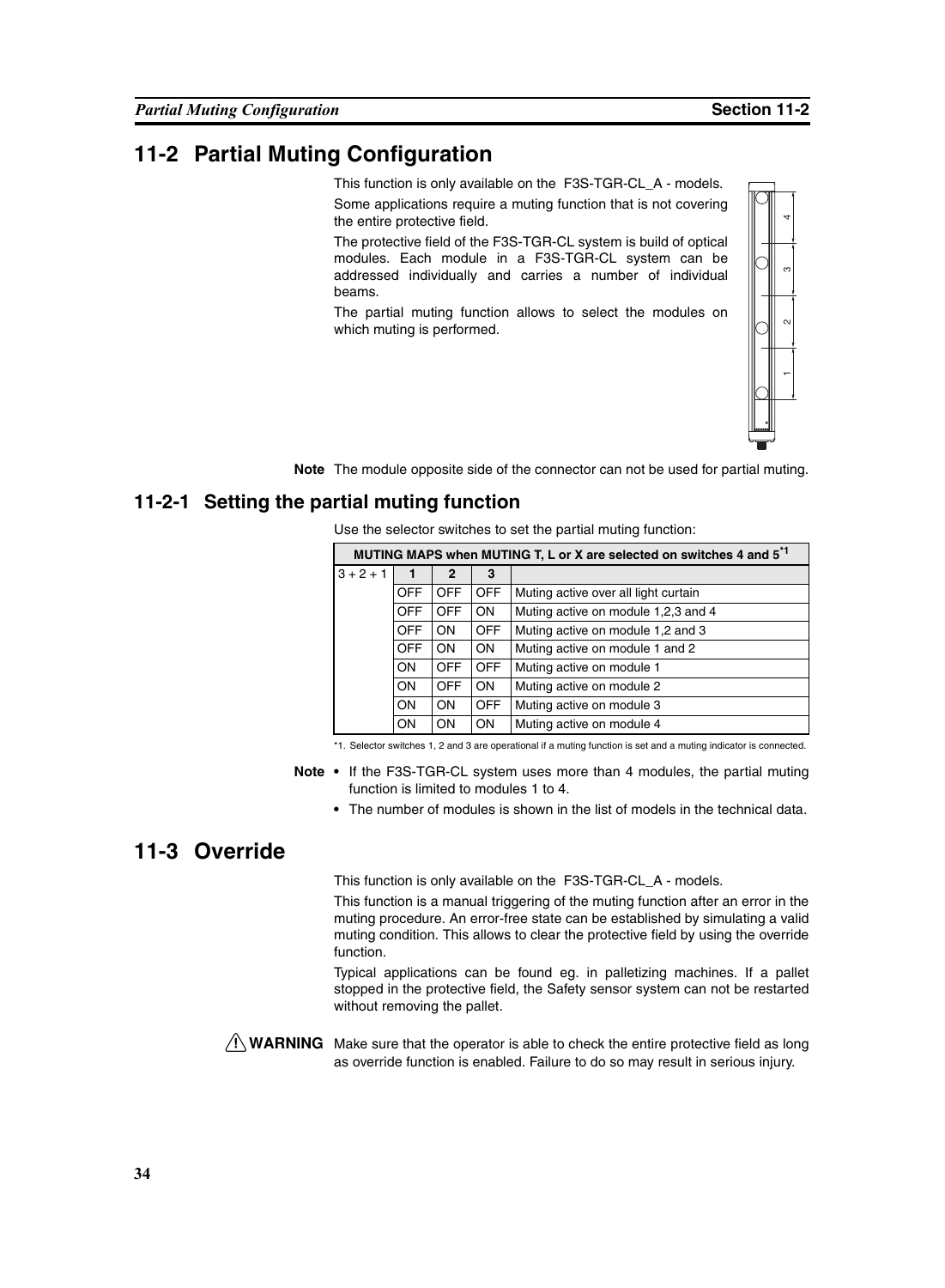## **11-2 Partial Muting Configuration**

This function is only available on the F3S-TGR-CL\_A - models.

Some applications require a muting function that is not covering the entire protective field.

**Note** The module opposite side of the connector can not be used for partial muting.

#### **11-2-1 Setting the partial muting function**

| the entire protective field. |            |                |            |                                                                                                                                                                                                                                                          |   |  |  |
|------------------------------|------------|----------------|------------|----------------------------------------------------------------------------------------------------------------------------------------------------------------------------------------------------------------------------------------------------------|---|--|--|
| beams.                       |            |                |            | The protective field of the F3S-TGR-CL system is build of optical<br>modules. Each module in a F3S-TGR-CL system can be<br>addressed individually and carries a number of individual                                                                     | S |  |  |
| which muting is performed.   |            |                |            | The partial muting function allows to select the modules on                                                                                                                                                                                              | Z |  |  |
|                              |            |                |            |                                                                                                                                                                                                                                                          |   |  |  |
|                              |            |                |            | The module opposite side of the connector can not be used for partial muting.                                                                                                                                                                            |   |  |  |
| rtial muting function        |            |                |            |                                                                                                                                                                                                                                                          |   |  |  |
|                              |            |                |            | Use the selector switches to set the partial muting function:                                                                                                                                                                                            |   |  |  |
|                              |            |                |            | MUTING MAPS when MUTING T, L or X are selected on switches 4 and 5 <sup>*1</sup>                                                                                                                                                                         |   |  |  |
| $3 + 2 + 1$                  | 1          | $\overline{2}$ | 3          |                                                                                                                                                                                                                                                          |   |  |  |
|                              | <b>OFF</b> | <b>OFF</b>     | <b>OFF</b> | Muting active over all light curtain                                                                                                                                                                                                                     |   |  |  |
|                              | <b>OFF</b> | <b>OFF</b>     | ON         | Muting active on module 1,2,3 and 4                                                                                                                                                                                                                      |   |  |  |
|                              | <b>OFF</b> | ON             | <b>OFF</b> | Muting active on module 1,2 and 3                                                                                                                                                                                                                        |   |  |  |
|                              | <b>OFF</b> | ON             | ON         | Muting active on module 1 and 2                                                                                                                                                                                                                          |   |  |  |
|                              | ON         | <b>OFF</b>     | <b>OFF</b> | Muting active on module 1                                                                                                                                                                                                                                |   |  |  |
|                              | ON         | <b>OFF</b>     | ON         | Muting active on module 2                                                                                                                                                                                                                                |   |  |  |
|                              | ON         | ON             | <b>OFF</b> | Muting active on module 3                                                                                                                                                                                                                                |   |  |  |
|                              | ON.        | ON             | ON         | Muting active on module 4                                                                                                                                                                                                                                |   |  |  |
|                              |            |                |            | *1. Selector switches 1, 2 and 3 are operational if a muting function is set and a muting indicator is connected.                                                                                                                                        |   |  |  |
|                              |            |                |            | • If the F3S-TGR-CL system uses more than 4 modules, the partial muting<br>function is limited to modules 1 to 4.<br>• The number of modules is shown in the list of models in the technical data.                                                       |   |  |  |
|                              |            |                |            | This function is only available on the F3S-TGR-CL_A - models.                                                                                                                                                                                            |   |  |  |
| function.                    |            |                |            | This function is a manual triggering of the muting function after an error in the<br>muting procedure. An error-free state can be established by simulating a valid<br>muting condition. This allows to clear the protective field by using the override |   |  |  |
| without removing the pallet. |            |                |            | Typical applications can be found eg. in palletizing machines. If a pallet<br>stopped in the protective field, the Safety sensor system can not be restarted                                                                                             |   |  |  |
|                              |            |                |            | Make sure that the operator is able to check the entire protective field as long<br>as override function is enabled. Failure to do so may result in serious injury.                                                                                      |   |  |  |

- **Note •** If the F3S-TGR-CL system uses more than 4 modules, the partial muting function is limited to modules 1 to 4.
	- **•** The number of modules is shown in the list of models in the technical data.

#### **11-3 Override**

# $\sqrt{N}$  WARNING Make sure that the operator is able to check the entire protective field as long

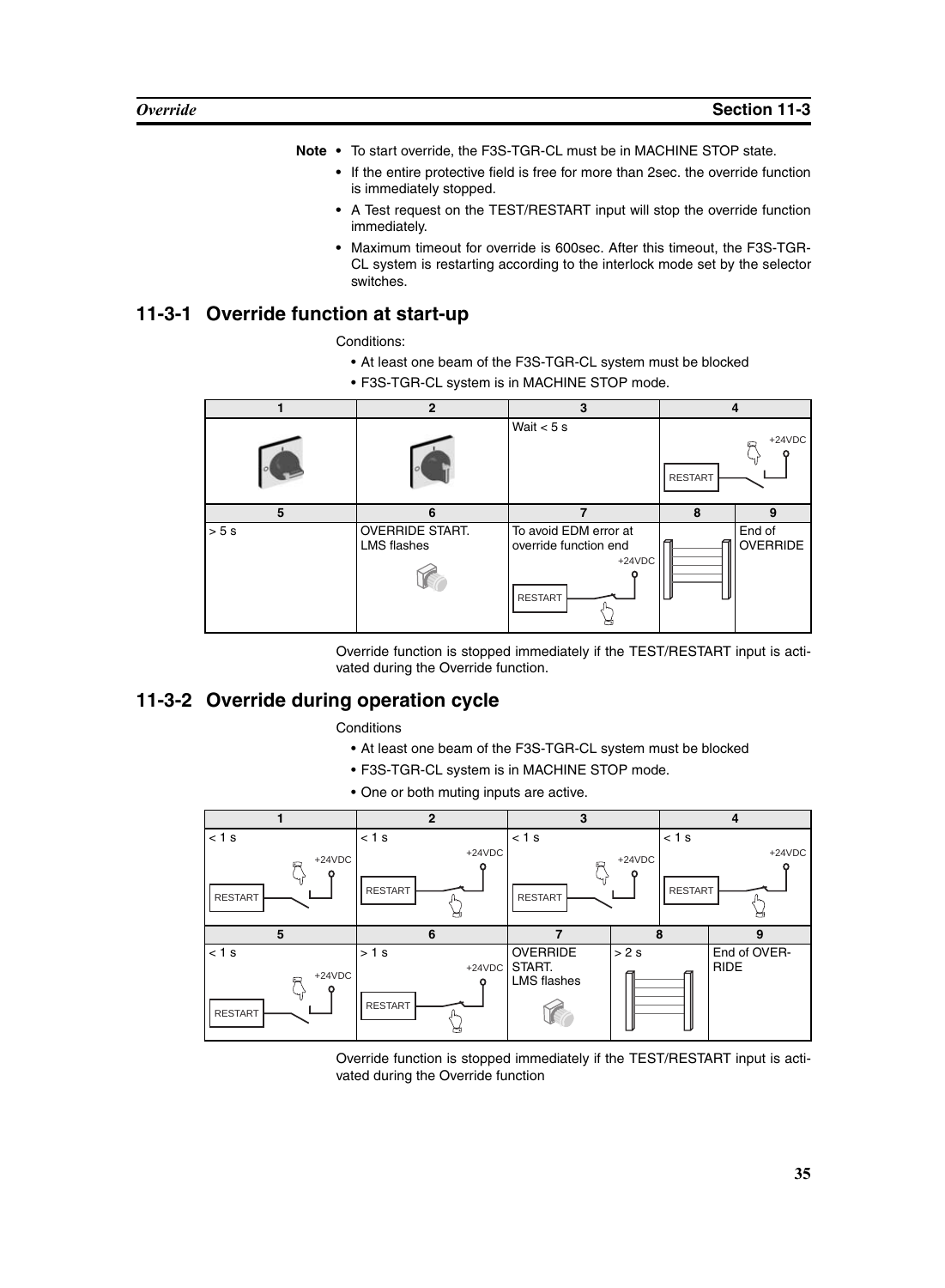- **Note •** To start override, the F3S-TGR-CL must be in MACHINE STOP state.
	- **•** If the entire protective field is free for more than 2sec. the override function is immediately stopped.
	- **•** A Test request on the TEST/RESTART input will stop the override function immediately.
	- **•** Maximum timeout for override is 600sec. After this timeout, the F3S-TGR-CL system is restarting according to the interlock mode set by the selector switches.

#### **11-3-1 Override function at start-up**

Conditions:

- At least one beam of the F3S-TGR-CL system must be blocked
- F3S-TGR-CL system is in MACHINE STOP mode.

|      | $\overline{2}$                               | 3                                                                            | 4              |                           |
|------|----------------------------------------------|------------------------------------------------------------------------------|----------------|---------------------------|
|      |                                              | Wait $<$ 5 s                                                                 | <b>RESTART</b> | $+24VDC$                  |
| 5    | 6                                            | $\overline{\phantom{a}}$                                                     | 8              | 9                         |
| > 5s | <b>OVERRIDE START.</b><br><b>LMS</b> flashes | To avoid EDM error at<br>override function end<br>$+24VDC$<br><b>RESTART</b> |                | End of<br><b>OVERRIDE</b> |

Override function is stopped immediately if the TEST/RESTART input is activated during the Override function.

## **11-3-2 Override during operation cycle**

**Conditions** 

- At least one beam of the F3S-TGR-CL system must be blocked
- F3S-TGR-CL system is in MACHINE STOP mode.
- One or both muting inputs are active.



Override function is stopped immediately if the TEST/RESTART input is activated during the Override function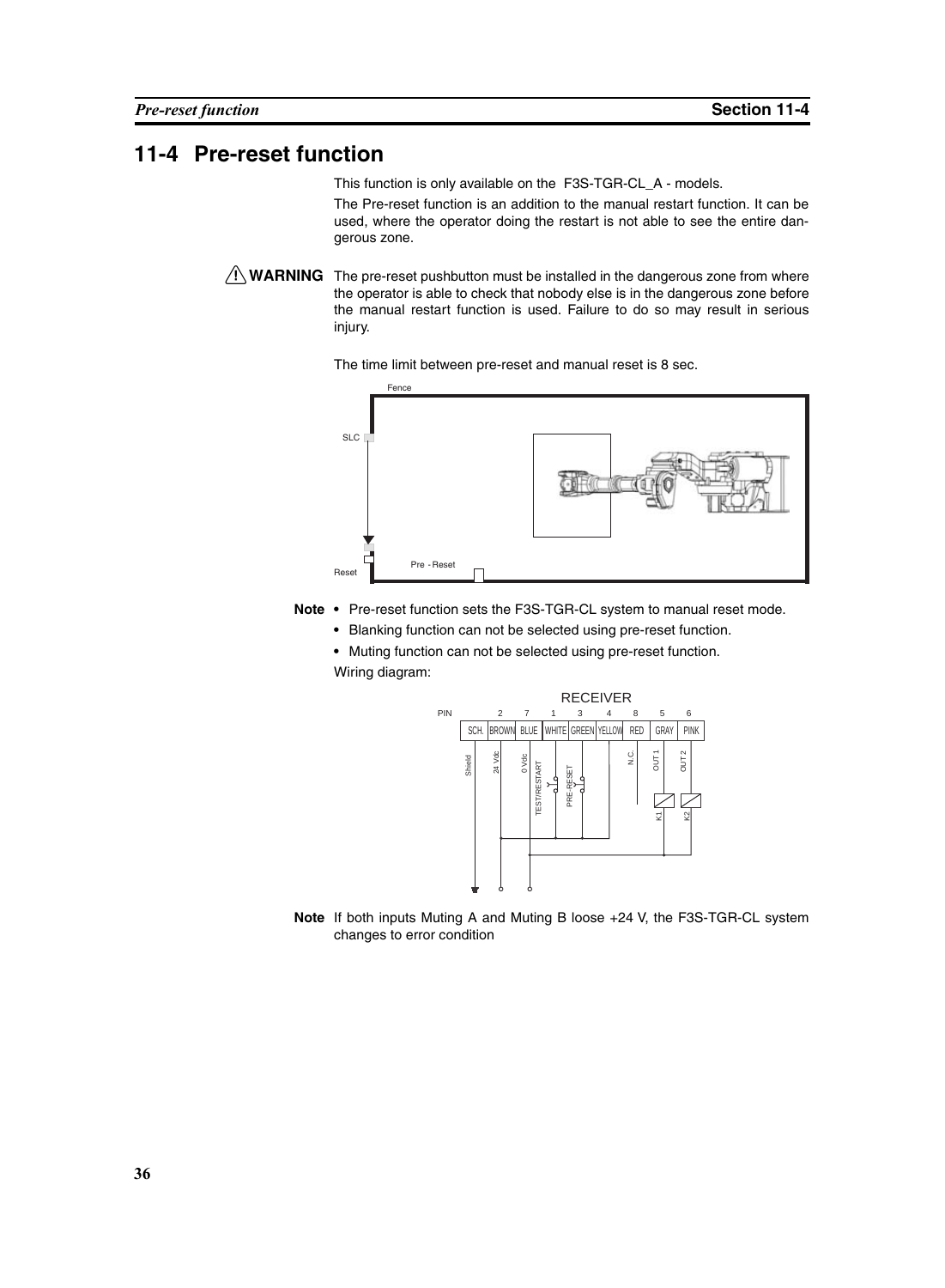#### <span id="page-49-0"></span>**11-4 Pre-reset function**

This function is only available on the F3S-TGR-CL\_A - models.

The Pre-reset function is an addition to the manual restart function. It can be used, where the operator doing the restart is not able to see the entire dangerous zone.

 $\bigwedge$  WARNING The pre-reset pushbutton must be installed in the dangerous zone from where the operator is able to check that nobody else is in the dangerous zone before the manual restart function is used. Failure to do so may result in serious injury.

The time limit between pre-reset and manual reset is 8 sec.



Note • Pre-reset function sets the F3S-TGR-CL system to manual reset mode.

**•** Blanking function can not be selected using pre-reset function.

**•** Muting function can not be selected using pre-reset function. Wiring diagram:



**Note** If both inputs Muting A and Muting B loose +24 V, the F3S-TGR-CL system changes to error condition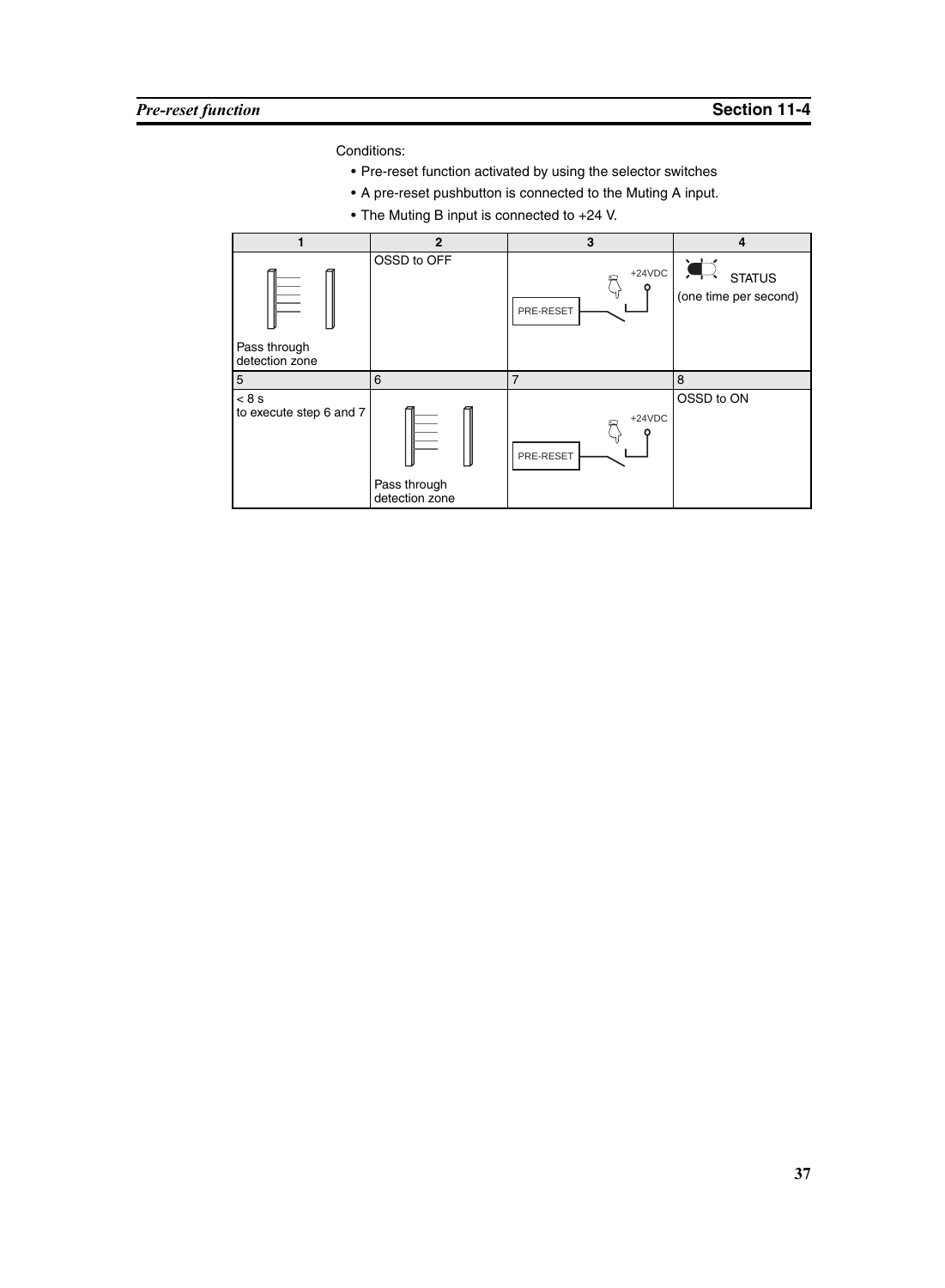Conditions:

- Pre-reset function activated by using the selector switches
- A pre-reset pushbutton is connected to the Muting A input.
- The Muting B input is connected to +24 V.

|                         | $\mathbf{2}$   | 3              | 4                     |
|-------------------------|----------------|----------------|-----------------------|
| Pass through            | OSSD to OFF    | $+24VDC$       | <b>STATUS</b>         |
| detection zone          |                | PRE-RESET      | (one time per second) |
| $\overline{5}$          | 6              | $\overline{7}$ | 8                     |
| < 8 s                   | Pass through   | $+24VDC$       | OSSD to ON            |
| to execute step 6 and 7 | detection zone | PRE-RESET      |                       |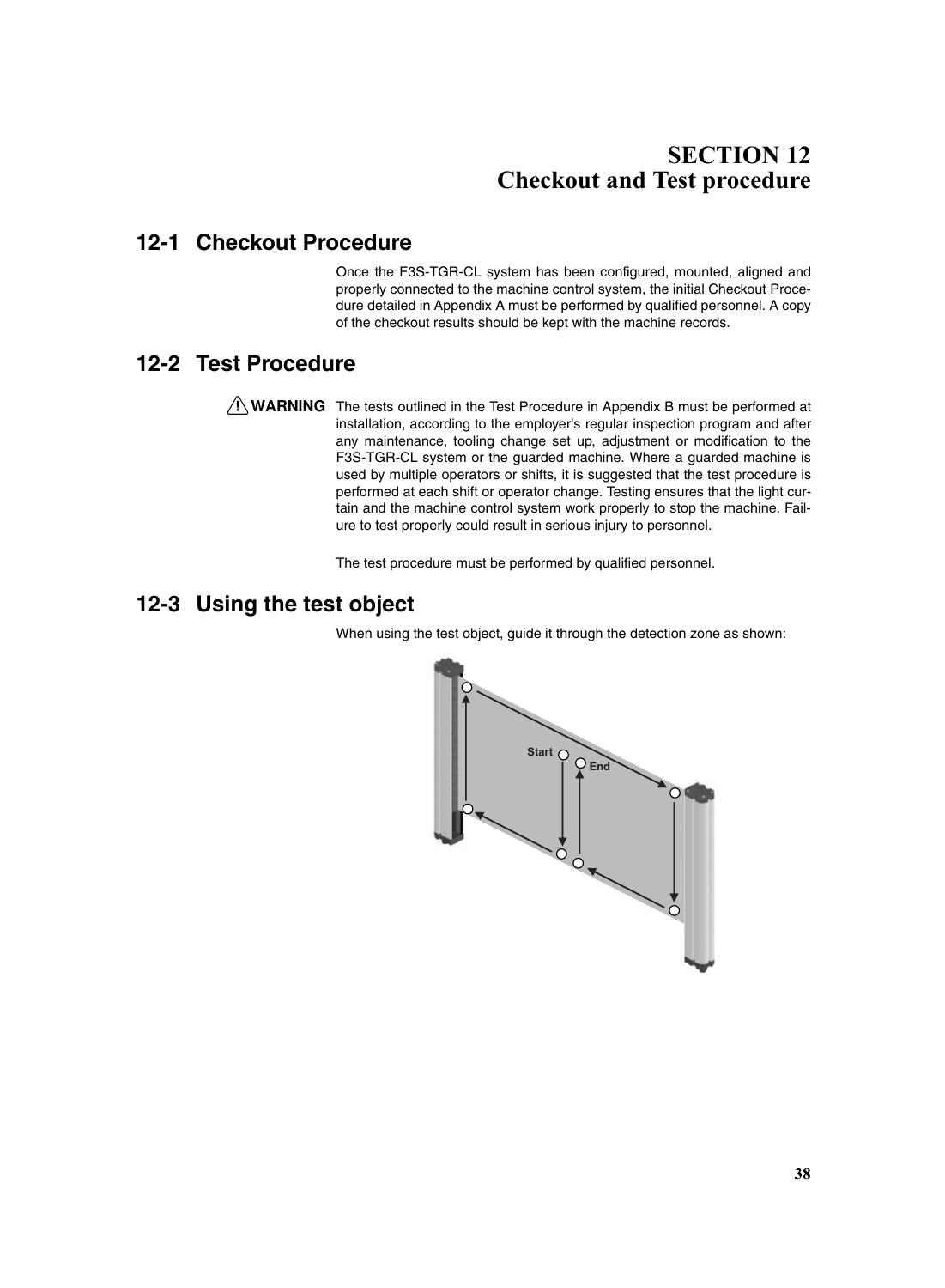## **SECTION 12 Checkout and Test procedure**

## **12-1 Checkout Procedure**

Once the F3S-TGR-CL system has been configured, mounted, aligned and properly connected to the machine control system, the initial Checkout Procedure detailed in Appendix A must be performed by qualified personnel. A copy of the checkout results should be kept with the machine records.

#### **12-2 Test Procedure**

 $\sqrt{N}$  WARNING The tests outlined in the Test Procedure in Appendix B must be performed at installation, according to the employer's regular inspection program and after any maintenance, tooling change set up, adjustment or modification to the F3S-TGR-CL system or the guarded machine. Where a guarded machine is used by multiple operators or shifts, it is suggested that the test procedure is performed at each shift or operator change. Testing ensures that the light curtain and the machine control system work properly to stop the machine. Failure to test properly could result in serious injury to personnel.

The test procedure must be performed by qualified personnel.

### **12-3 Using the test object**

When using the test object, guide it through the detection zone as shown:

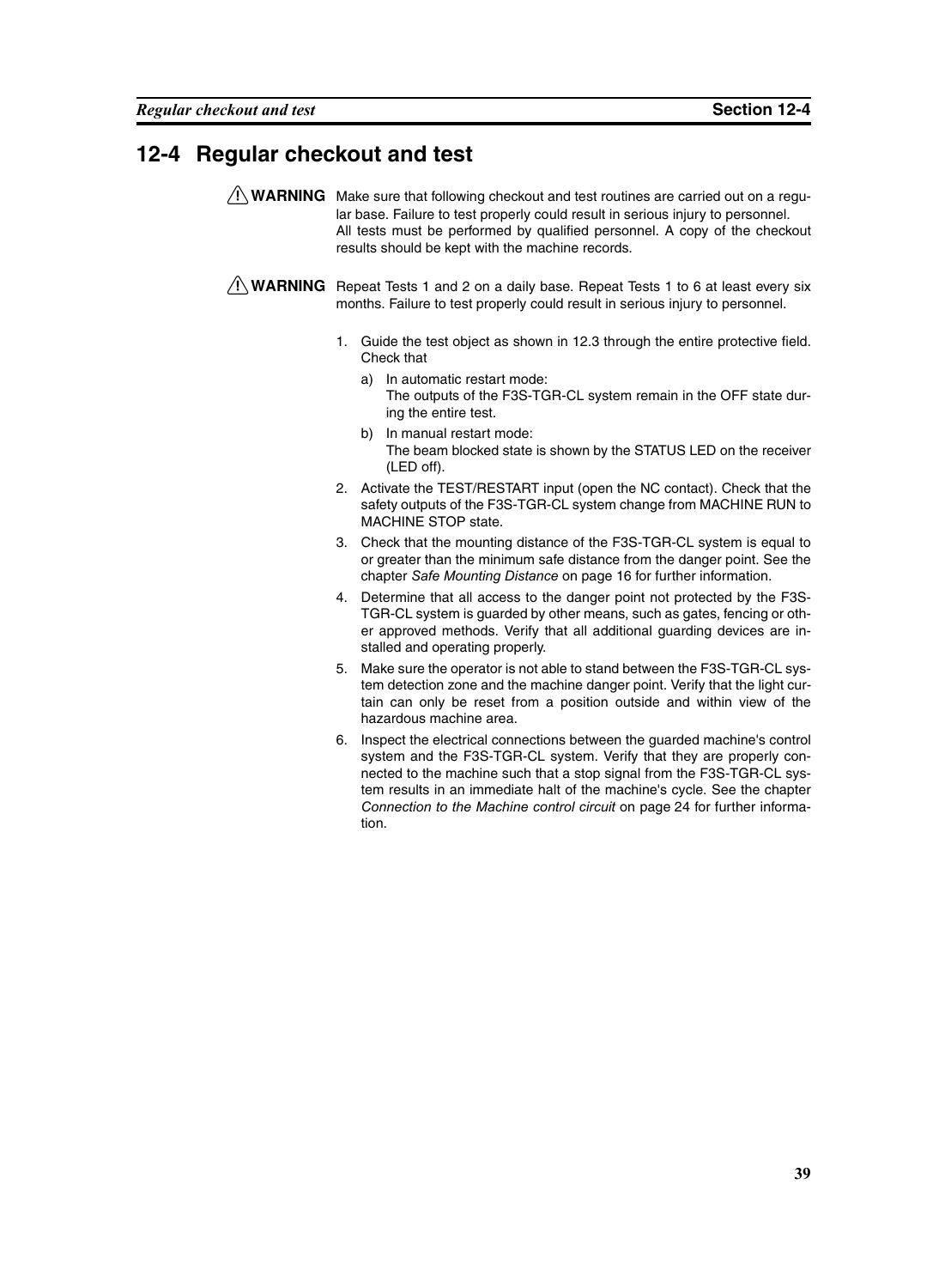### **12-4 Regular checkout and test**

 $\sqrt{N}$  WARNING Make sure that following checkout and test routines are carried out on a regular base. Failure to test properly could result in serious injury to personnel. All tests must be performed by qualified personnel. A copy of the checkout results should be kept with the machine records.

 $\sqrt{N}$  WARNING Repeat Tests 1 and 2 on a daily base. Repeat Tests 1 to 6 at least every six months. Failure to test properly could result in serious injury to personnel.

- 1. Guide the test object as shown in 12.3 through the entire protective field. Check that
	- a) In automatic restart mode: The outputs of the F3S-TGR-CL system remain in the OFF state during the entire test.
	- b) In manual restart mode: The beam blocked state is shown by the STATUS LED on the receiver (LED off).
- 2. Activate the TEST/RESTART input (open the NC contact). Check that the safety outputs of the F3S-TGR-CL system change from MACHINE RUN to MACHINE STOP state.
- 3. Check that the mounting distance of the F3S-TGR-CL system is equal to or greater than the minimum safe distance from the danger point. See the chapter *[Safe Mounting Distance](#page-29-0)* on page 16 for further information.
- 4. Determine that all access to the danger point not protected by the F3S-TGR-CL system is guarded by other means, such as gates, fencing or other approved methods. Verify that all additional guarding devices are installed and operating properly.
- 5. Make sure the operator is not able to stand between the F3S-TGR-CL system detection zone and the machine danger point. Verify that the light curtain can only be reset from a position outside and within view of the hazardous machine area.
- 6. Inspect the electrical connections between the guarded machine's control system and the F3S-TGR-CL system. Verify that they are properly connected to the machine such that a stop signal from the F3S-TGR-CL system results in an immediate halt of the machine's cycle. See the chapter *[Connection to the Machine control circuit](#page-37-0)* on page 24 for further information.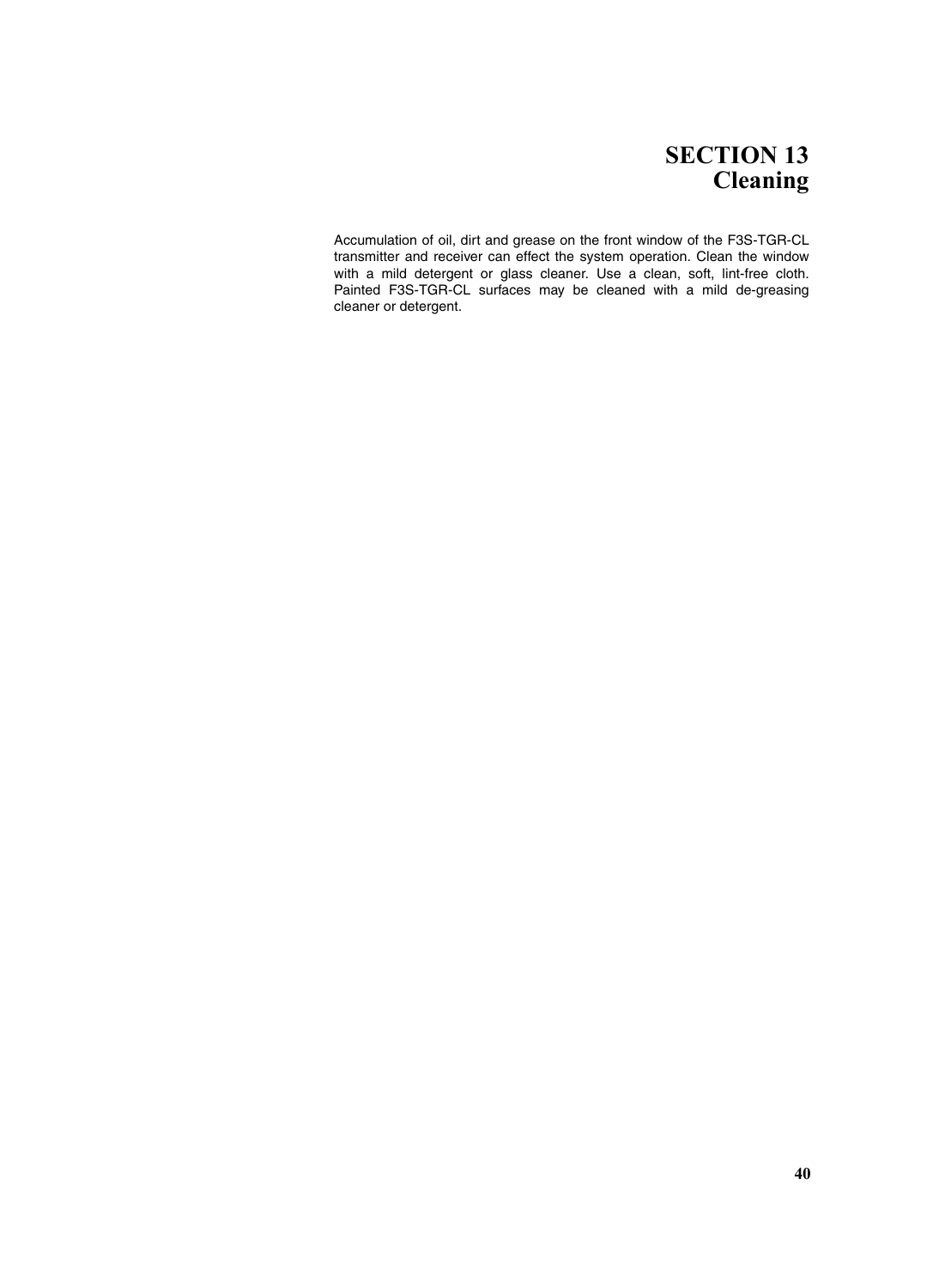## **SECTION 13 Cleaning**

Accumulation of oil, dirt and grease on the front window of the F3S-TGR-CL transmitter and receiver can effect the system operation. Clean the window with a mild detergent or glass cleaner. Use a clean, soft, lint-free cloth. Painted F3S-TGR-CL surfaces may be cleaned with a mild de-greasing cleaner or detergent.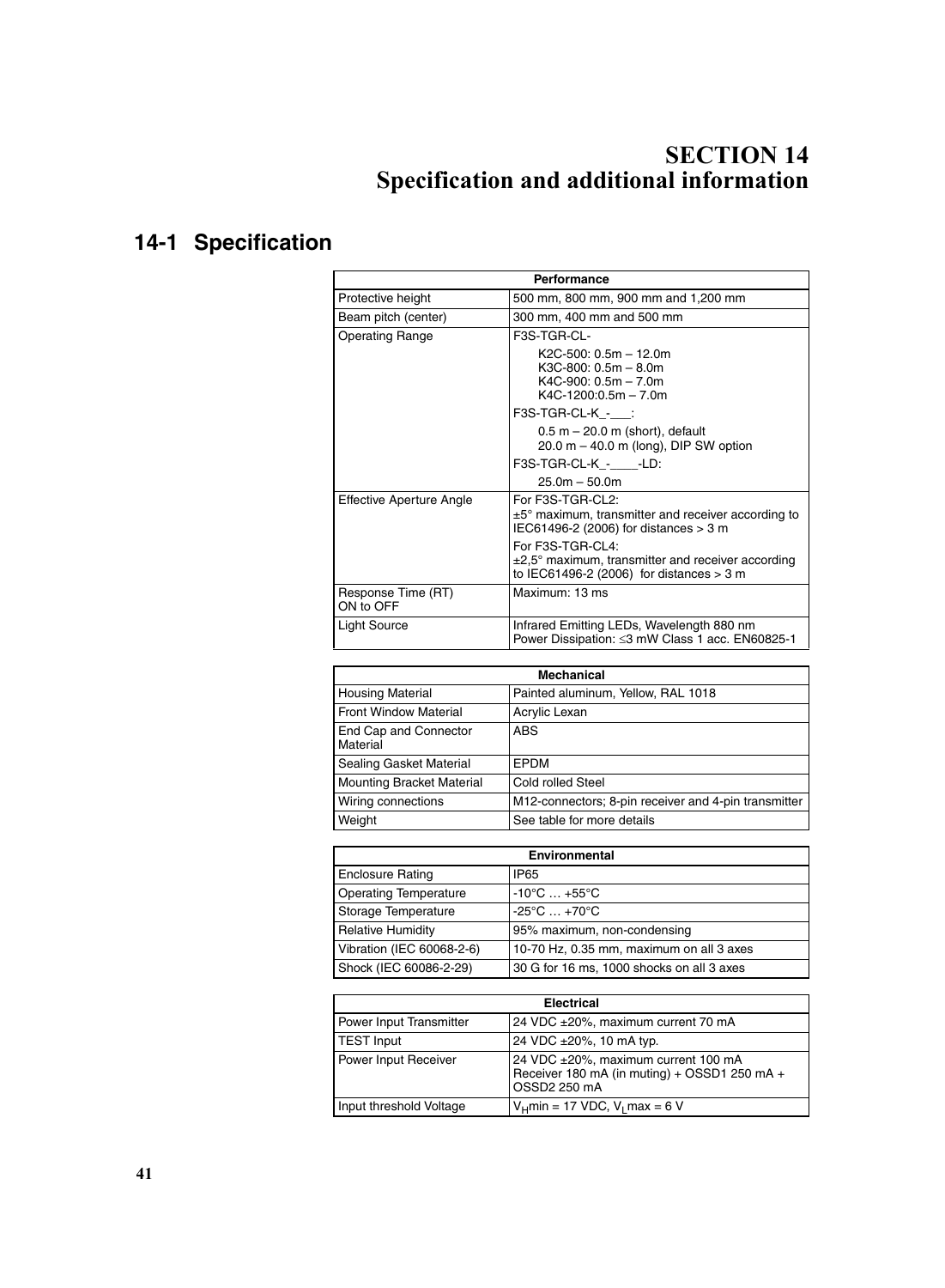# <span id="page-54-0"></span>**SECTION 14 Specification and additional information**

# **14-1 Specification**

| Performance                     |                                                                                                                     |  |  |  |
|---------------------------------|---------------------------------------------------------------------------------------------------------------------|--|--|--|
| Protective height               | 500 mm, 800 mm, 900 mm and 1,200 mm                                                                                 |  |  |  |
| Beam pitch (center)             | 300 mm, 400 mm and 500 mm                                                                                           |  |  |  |
| <b>Operating Range</b>          | F3S-TGR-CL-                                                                                                         |  |  |  |
|                                 | $K2C-500: 0.5m - 12.0m$<br>$K3C-800: 0.5m - 8.0m$<br>$K4C-900: 0.5m - 7.0m$<br>$K4C-1200:0.5m - 7.0m$               |  |  |  |
|                                 | F3S-TGR-CL-K_-__:                                                                                                   |  |  |  |
|                                 | $0.5$ m $-$ 20.0 m (short), default<br>$20.0$ m $-$ 40.0 m (long), DIP SW option                                    |  |  |  |
|                                 | F3S-TGR-CL-K - -LD:                                                                                                 |  |  |  |
|                                 | $25.0m - 50.0m$                                                                                                     |  |  |  |
| Effective Aperture Angle        | For F3S-TGR-CL2:<br>$±5°$ maximum, transmitter and receiver according to<br>IEC61496-2 (2006) for distances > 3 m   |  |  |  |
|                                 | For F3S-TGR-CL4:<br>±2,5° maximum, transmitter and receiver according<br>to IEC61496-2 (2006) for distances $> 3$ m |  |  |  |
| Response Time (RT)<br>ON to OFF | Maximum: 13 ms                                                                                                      |  |  |  |
| Light Source                    | Infrared Emitting LEDs, Wavelength 880 nm<br>Power Dissipation: ≤3 mW Class 1 acc. EN60825-1                        |  |  |  |

| <b>Mechanical</b>                 |                                                      |  |  |
|-----------------------------------|------------------------------------------------------|--|--|
| <b>Housing Material</b>           | Painted aluminum, Yellow, RAL 1018                   |  |  |
| <b>Front Window Material</b>      | Acrylic Lexan                                        |  |  |
| End Cap and Connector<br>Material | <b>ABS</b>                                           |  |  |
| Sealing Gasket Material           | EPDM                                                 |  |  |
| Mounting Bracket Material         | Cold rolled Steel                                    |  |  |
| Wiring connections                | M12-connectors; 8-pin receiver and 4-pin transmitter |  |  |
| Weight                            | See table for more details                           |  |  |

| <b>Environmental</b>         |                                           |  |  |
|------------------------------|-------------------------------------------|--|--|
| <b>Enclosure Rating</b>      | IP <sub>65</sub>                          |  |  |
| <b>Operating Temperature</b> | $-10^{\circ}$ C $ +55^{\circ}$ C          |  |  |
| Storage Temperature          | $-25^{\circ}$ C $+70^{\circ}$ C           |  |  |
| <b>Relative Humidity</b>     | 95% maximum, non-condensing               |  |  |
| Vibration (IEC 60068-2-6)    | 10-70 Hz, 0.35 mm, maximum on all 3 axes  |  |  |
| Shock (IEC 60086-2-29)       | 30 G for 16 ms, 1000 shocks on all 3 axes |  |  |

| <b>Electrical</b>                            |                                                                                                     |  |  |
|----------------------------------------------|-----------------------------------------------------------------------------------------------------|--|--|
| Power Input Transmitter                      | 24 VDC ±20%, maximum current 70 mA                                                                  |  |  |
| <b>TEST Input</b><br>24 VDC ±20%, 10 mA typ. |                                                                                                     |  |  |
| Power Input Receiver                         | 24 VDC ±20%, maximum current 100 mA<br>Receiver 180 mA (in muting) + OSSD1 250 mA +<br>OSSD2 250 mA |  |  |
| Input threshold Voltage                      | $V_H$ min = 17 VDC, $V_I$ max = 6 V                                                                 |  |  |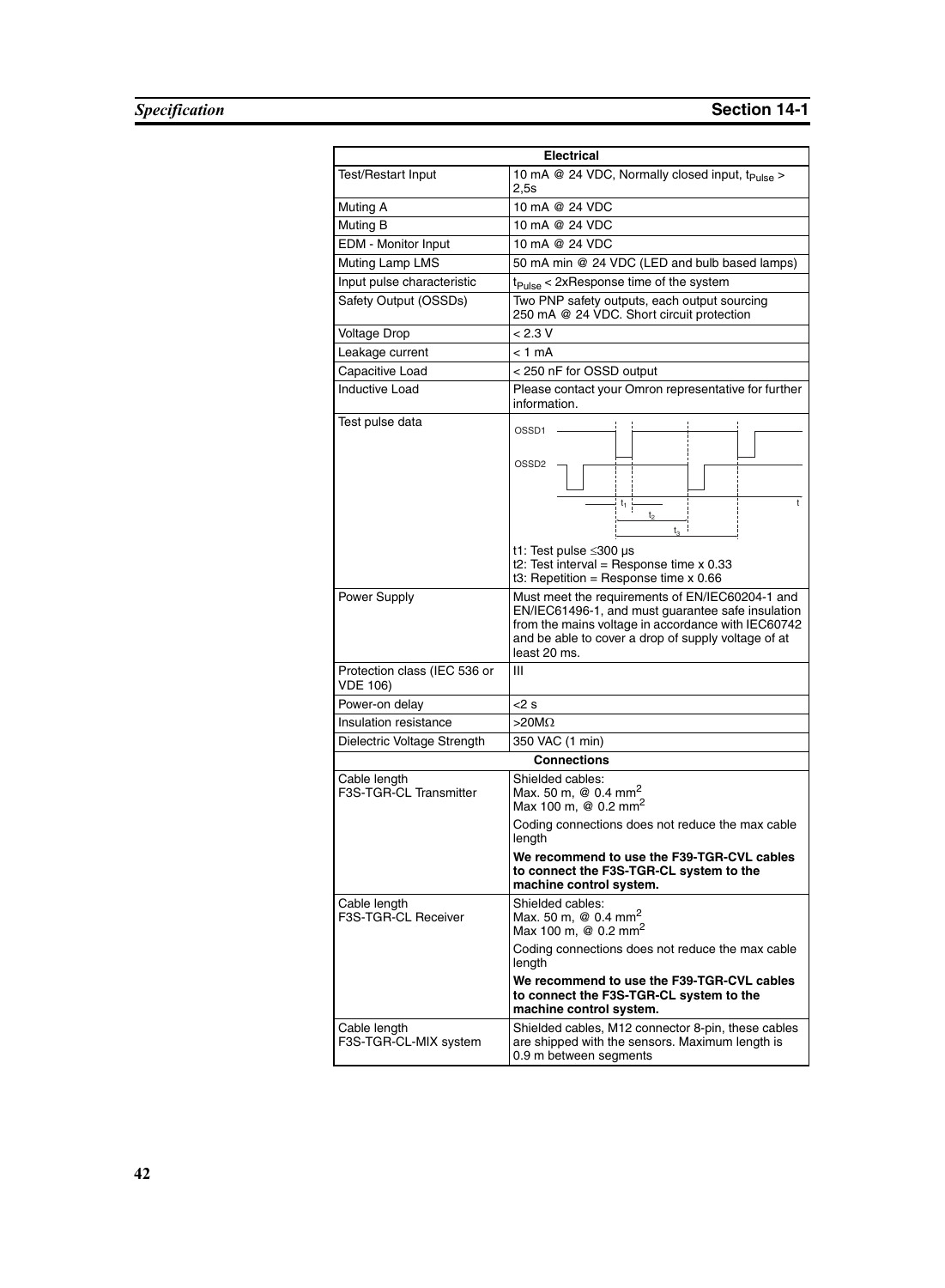| <b>Electrical</b>                               |                                                                                                                                                                                                                                                                                          |  |  |  |
|-------------------------------------------------|------------------------------------------------------------------------------------------------------------------------------------------------------------------------------------------------------------------------------------------------------------------------------------------|--|--|--|
| <b>Test/Restart Input</b>                       | 10 mA @ 24 VDC, Normally closed input, t <sub>Pulse</sub> ><br>2,5s                                                                                                                                                                                                                      |  |  |  |
| Muting A                                        | 10 mA @ 24 VDC                                                                                                                                                                                                                                                                           |  |  |  |
| Muting B                                        | 10 mA @ 24 VDC                                                                                                                                                                                                                                                                           |  |  |  |
| EDM - Monitor Input                             | 10 mA @ 24 VDC                                                                                                                                                                                                                                                                           |  |  |  |
| Muting Lamp LMS                                 | 50 mA min @ 24 VDC (LED and bulb based lamps)                                                                                                                                                                                                                                            |  |  |  |
| Input pulse characteristic                      | $t_{Pulse}$ < 2xResponse time of the system                                                                                                                                                                                                                                              |  |  |  |
| Safety Output (OSSDs)                           | Two PNP safety outputs, each output sourcing<br>250 mA @ 24 VDC. Short circuit protection                                                                                                                                                                                                |  |  |  |
| <b>Voltage Drop</b>                             | < 2.3 V                                                                                                                                                                                                                                                                                  |  |  |  |
| Leakage current                                 | < 1 mA                                                                                                                                                                                                                                                                                   |  |  |  |
| Capacitive Load                                 | < 250 nF for OSSD output                                                                                                                                                                                                                                                                 |  |  |  |
| <b>Inductive Load</b>                           | Please contact your Omron representative for further<br>information.                                                                                                                                                                                                                     |  |  |  |
| Test pulse data                                 | OSSD1<br>OSSD <sub>2</sub><br>$t_1$<br>t<br>$t_3$<br>t1: Test pulse ≤300 µs<br>t2: Test interval = Response time $x$ 0.33<br>t3: Repetition = Response time $x$ 0.66                                                                                                                     |  |  |  |
| Power Supply                                    | Must meet the requirements of EN/IEC60204-1 and<br>EN/IEC61496-1, and must guarantee safe insulation<br>from the mains voltage in accordance with IEC60742<br>and be able to cover a drop of supply voltage of at<br>least 20 ms.                                                        |  |  |  |
| Protection class (IEC 536 or<br><b>VDE 106)</b> | III                                                                                                                                                                                                                                                                                      |  |  |  |
| Power-on delay                                  | <2 s                                                                                                                                                                                                                                                                                     |  |  |  |
| Insulation resistance                           | >20 $\mathsf{M}\Omega$                                                                                                                                                                                                                                                                   |  |  |  |
| Dielectric Voltage Strength                     | 350 VAC (1 min)                                                                                                                                                                                                                                                                          |  |  |  |
|                                                 | <b>Connections</b>                                                                                                                                                                                                                                                                       |  |  |  |
| Cable length<br>F3S-TGR-CL Transmitter          | Shielded cables:<br>Max. 50 m, $\omega$ 0.4 mm <sup>2</sup><br>Max 100 m, $\omega$ 0.2 mm <sup>2</sup><br>Coding connections does not reduce the max cable<br>length<br>We recommend to use the F39-TGR-CVL cables<br>to connect the F3S-TGR-CL system to the<br>machine control system. |  |  |  |
| Cable length<br>F3S-TGR-CL Receiver             | Shielded cables:<br>Max. 50 m, $@$ 0.4 mm <sup>2</sup><br>Max 100 m, $\omega$ 0.2 mm <sup>2</sup>                                                                                                                                                                                        |  |  |  |
|                                                 | Coding connections does not reduce the max cable<br>length<br>We recommend to use the F39-TGR-CVL cables                                                                                                                                                                                 |  |  |  |
|                                                 | to connect the F3S-TGR-CL system to the<br>machine control system.                                                                                                                                                                                                                       |  |  |  |
| Cable length<br>F3S-TGR-CL-MIX system           | Shielded cables, M12 connector 8-pin, these cables<br>are shipped with the sensors. Maximum length is<br>0.9 m between segments                                                                                                                                                          |  |  |  |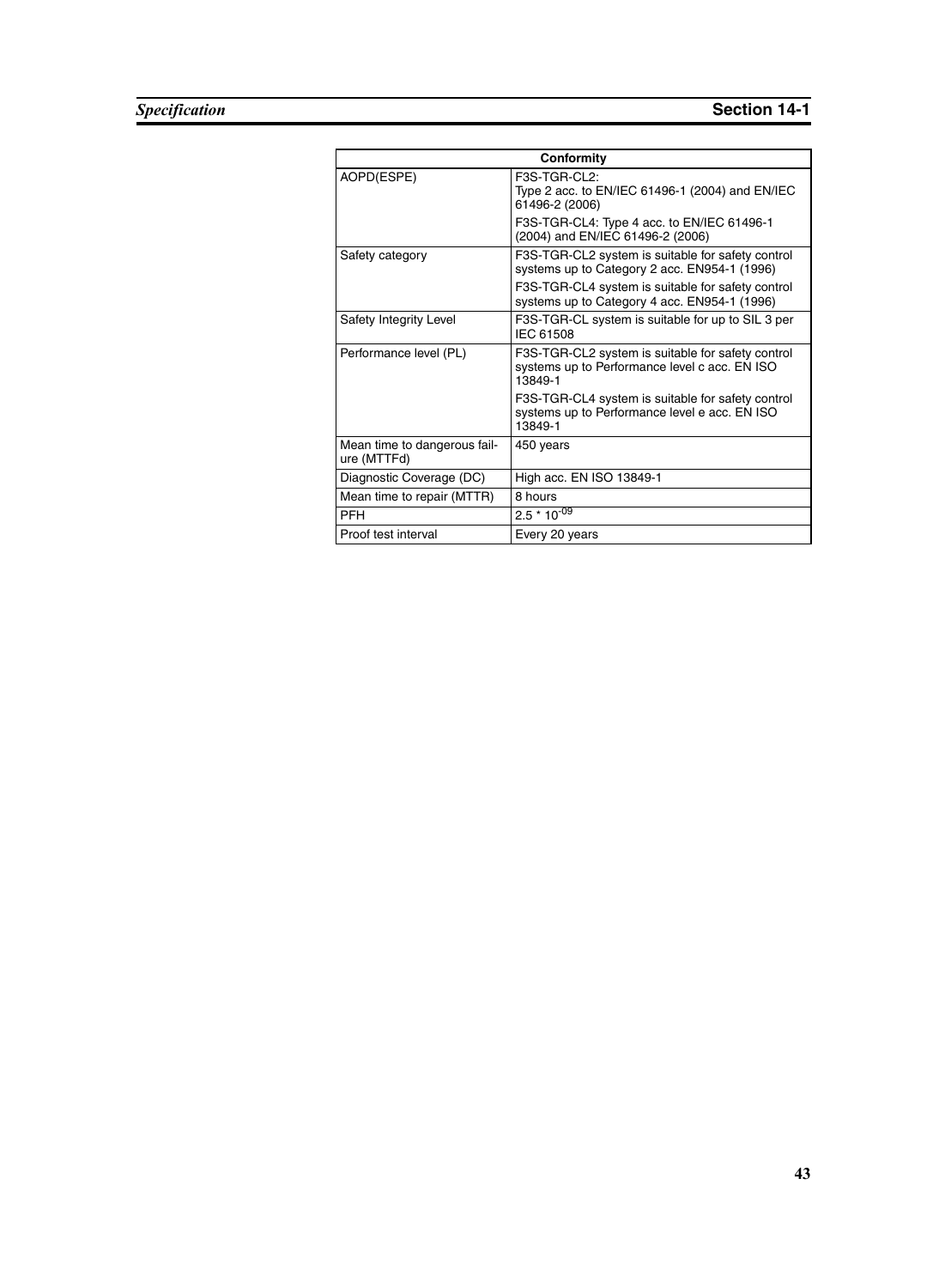| Conformity                                  |                                                                                                               |  |  |
|---------------------------------------------|---------------------------------------------------------------------------------------------------------------|--|--|
| AOPD(ESPE)                                  | $F3S-TGR-Cl2:$<br>Type 2 acc. to EN/IEC 61496-1 (2004) and EN/IEC<br>61496-2 (2006)                           |  |  |
|                                             | F3S-TGR-CL4: Type 4 acc. to EN/IEC 61496-1<br>(2004) and EN/IEC 61496-2 (2006)                                |  |  |
| Safety category                             | F3S-TGR-CL2 system is suitable for safety control<br>systems up to Category 2 acc. EN954-1 (1996)             |  |  |
|                                             | F3S-TGR-CL4 system is suitable for safety control<br>systems up to Category 4 acc. EN954-1 (1996)             |  |  |
| Safety Integrity Level                      | F3S-TGR-CL system is suitable for up to SIL 3 per<br>IEC 61508                                                |  |  |
| Performance level (PL)                      | F3S-TGR-CL2 system is suitable for safety control<br>systems up to Performance level c acc. EN ISO<br>13849-1 |  |  |
|                                             | F3S-TGR-CL4 system is suitable for safety control<br>systems up to Performance level e acc. EN ISO<br>13849-1 |  |  |
| Mean time to dangerous fail-<br>ure (MTTFd) | 450 years                                                                                                     |  |  |
| Diagnostic Coverage (DC)                    | High acc. EN ISO 13849-1                                                                                      |  |  |
| Mean time to repair (MTTR)                  | 8 hours                                                                                                       |  |  |
| <b>PFH</b>                                  | $2.5 * 10^{-09}$                                                                                              |  |  |
| Proof test interval                         | Every 20 years                                                                                                |  |  |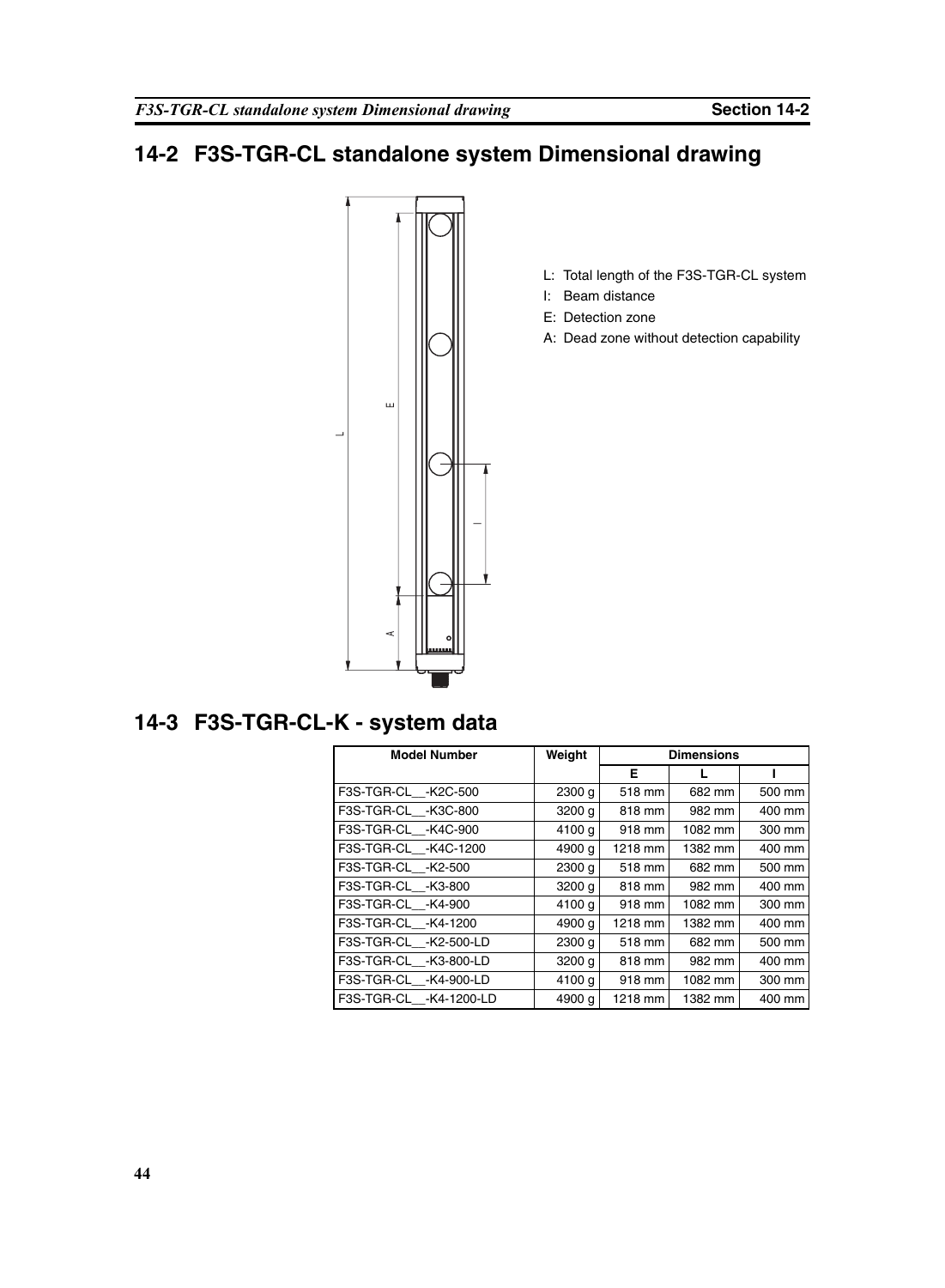## **14-2 F3S-TGR-CL standalone system Dimensional drawing**



## **14-3 F3S-TGR-CL-K - system data**

| <b>Model Number</b>     | Weight            | Dimensions |         |        |
|-------------------------|-------------------|------------|---------|--------|
|                         |                   | Е          |         |        |
| F3S-TGR-CL -K2C-500     | 2300 g            | 518 mm     | 682 mm  | 500 mm |
| F3S-TGR-CL -K3C-800     | 3200 g            | 818 mm     | 982 mm  | 400 mm |
| F3S-TGR-CL -K4C-900     | 4100 g            | 918 mm     | 1082 mm | 300 mm |
| F3S-TGR-CL -K4C-1200    | 4900 g            | 1218 mm    | 1382 mm | 400 mm |
| F3S-TGR-CL__-K2-500     | 2300 g            | 518 mm     | 682 mm  | 500 mm |
| F3S-TGR-CL -K3-800      | 3200 g            | 818 mm     | 982 mm  | 400 mm |
| F3S-TGR-CL -K4-900      | 4100 g            | 918 mm     | 1082 mm | 300 mm |
| F3S-TGR-CL__-K4-1200    | 4900 g            | 1218 mm    | 1382 mm | 400 mm |
| F3S-TGR-CL -K2-500-LD   | 2300 <sub>q</sub> | 518 mm     | 682 mm  | 500 mm |
| F3S-TGR-CL -K3-800-LD   | 3200 g            | 818 mm     | 982 mm  | 400 mm |
| F3S-TGR-CL -K4-900-LD   | 4100 g            | 918 mm     | 1082 mm | 300 mm |
| F3S-TGR-CL__-K4-1200-LD | 4900 g            | 1218 mm    | 1382 mm | 400 mm |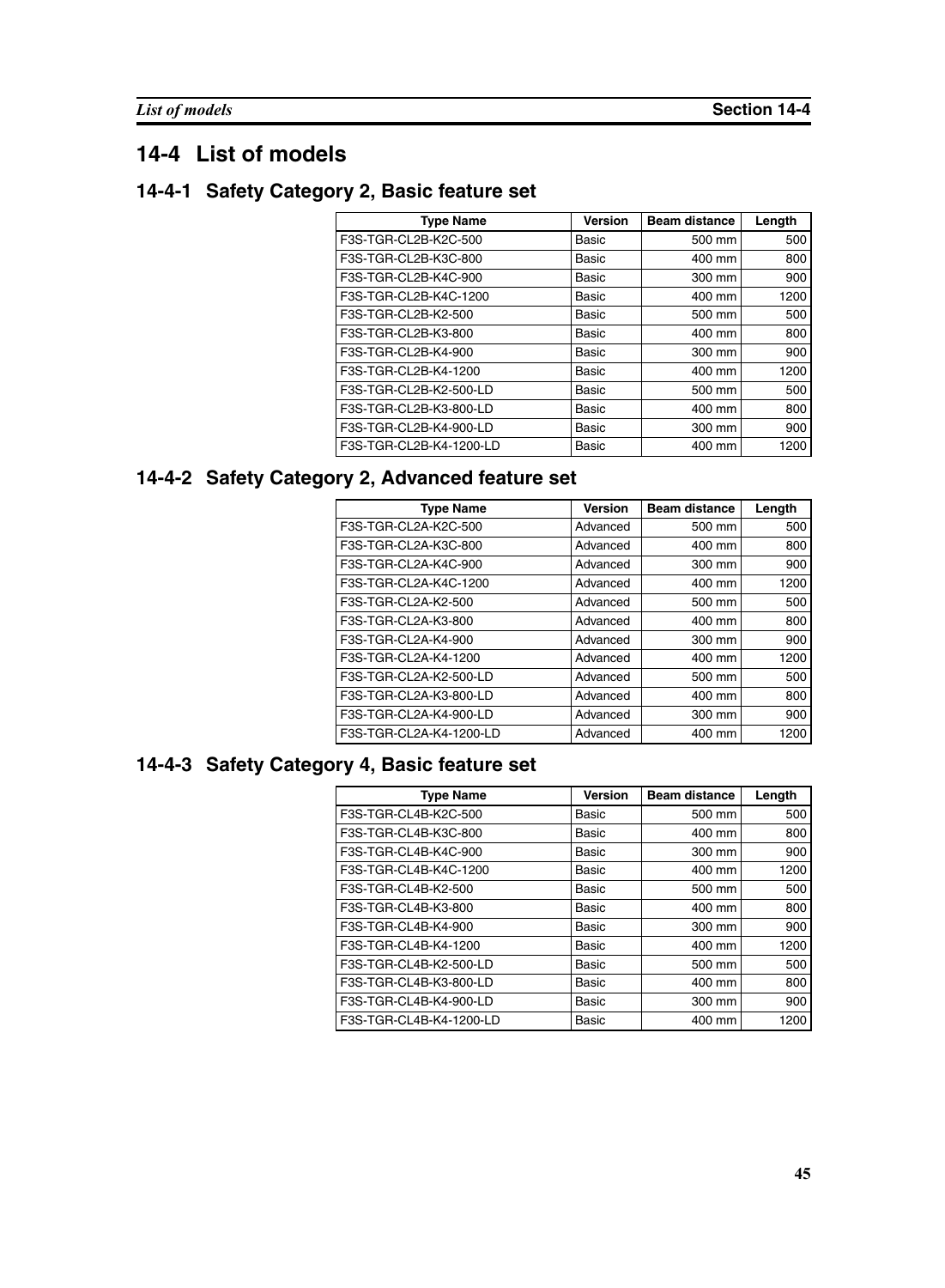## **14-4 List of models**

#### **14-4-1 Safety Category 2, Basic feature set**

| <b>Type Name</b>        | <b>Version</b> | <b>Beam distance</b> | Length |
|-------------------------|----------------|----------------------|--------|
| F3S-TGR-CL2B-K2C-500    | Basic          | 500 mm               | 500    |
| F3S-TGR-CL2B-K3C-800    | Basic          | 400 mm               | 800    |
| F3S-TGR-CL2B-K4C-900    | Basic          | 300 mm               | 900    |
| F3S-TGR-CL2B-K4C-1200   | Basic          | 400 mm               | 1200   |
| F3S-TGR-CL2B-K2-500     | Basic          | 500 mm               | 500    |
| F3S-TGR-CL2B-K3-800     | Basic          | 400 mm               | 800    |
| F3S-TGR-CL2B-K4-900     | Basic          | 300 mm               | 900    |
| F3S-TGR-CL2B-K4-1200    | Basic          | 400 mm               | 1200   |
| F3S-TGR-CL2B-K2-500-LD  | Basic          | 500 mm               | 500    |
| F3S-TGR-CL2B-K3-800-LD  | Basic          | 400 mm               | 800    |
| F3S-TGR-CL2B-K4-900-LD  | Basic          | 300 mm               | 900    |
| F3S-TGR-CL2B-K4-1200-LD | Basic          | 400 mm               | 1200   |

## **14-4-2 Safety Category 2, Advanced feature set**

| <b>Type Name</b>        | <b>Version</b> | <b>Beam distance</b> | Length |
|-------------------------|----------------|----------------------|--------|
| F3S-TGR-CL2A-K2C-500    | Advanced       | 500 mm               | 500    |
| F3S-TGR-CL2A-K3C-800    | Advanced       | 400 mm               | 800    |
| F3S-TGR-CL2A-K4C-900    | Advanced       | 300 mm               | 900    |
| F3S-TGR-CL2A-K4C-1200   | Advanced       | 400 mm               | 1200   |
| F3S-TGR-CL2A-K2-500     | Advanced       | 500 mm               | 500    |
| F3S-TGR-CL2A-K3-800     | Advanced       | 400 mm               | 800    |
| F3S-TGR-CL2A-K4-900     | Advanced       | 300 mm               | 900    |
| F3S-TGR-CL2A-K4-1200    | Advanced       | 400 mm               | 1200   |
| F3S-TGR-CL2A-K2-500-LD  | Advanced       | 500 mm               | 500    |
| F3S-TGR-CL2A-K3-800-LD  | Advanced       | 400 mm               | 800    |
| F3S-TGR-CL2A-K4-900-LD  | Advanced       | 300 mm               | 900    |
| F3S-TGR-CL2A-K4-1200-LD | Advanced       | 400 mm               | 1200   |

## **14-4-3 Safety Category 4, Basic feature set**

| <b>Type Name</b>        | <b>Version</b> | <b>Beam distance</b> | Length |
|-------------------------|----------------|----------------------|--------|
| F3S-TGR-CL4B-K2C-500    | <b>Basic</b>   | 500 mm               | 500    |
| F3S-TGR-CL4B-K3C-800    | Basic          | 400 mm               | 800    |
| F3S-TGR-CL4B-K4C-900    | Basic          | 300 mm               | 900    |
| F3S-TGR-CL4B-K4C-1200   | Basic          | 400 mm               | 1200   |
| F3S-TGR-CL4B-K2-500     | Basic          | 500 mm               | 500    |
| F3S-TGR-CL4B-K3-800     | <b>Basic</b>   | 400 mm               | 800    |
| F3S-TGR-CL4B-K4-900     | <b>Basic</b>   | 300 mm               | 900    |
| F3S-TGR-CL4B-K4-1200    | Basic          | 400 mm               | 1200   |
| F3S-TGR-CL4B-K2-500-LD  | Basic          | 500 mm               | 500    |
| F3S-TGR-CL4B-K3-800-LD  | Basic          | 400 mm               | 800    |
| F3S-TGR-CL4B-K4-900-LD  | Basic          | 300 mm               | 900    |
| F3S-TGR-CL4B-K4-1200-LD | <b>Basic</b>   | 400 mm               | 1200   |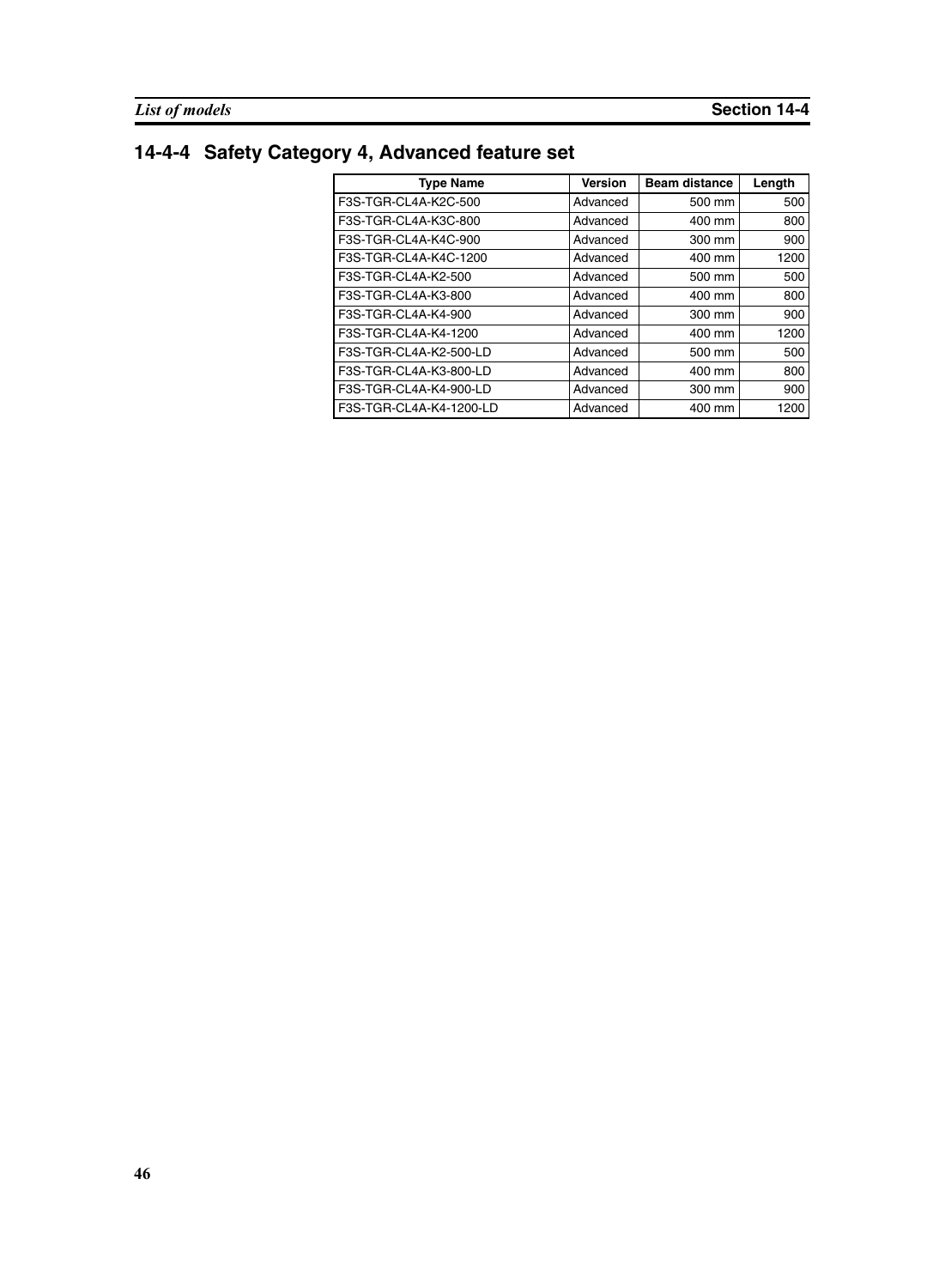# **14-4-4 Safety Category 4, Advanced feature set**

| <b>Type Name</b>        | <b>Version</b> | <b>Beam distance</b> | Length |
|-------------------------|----------------|----------------------|--------|
| F3S-TGR-CL4A-K2C-500    | Advanced       | 500 mm               | 500    |
| F3S-TGR-CL4A-K3C-800    | Advanced       | 400 mm               | 800    |
| F3S-TGR-CL4A-K4C-900    | Advanced       | 300 mm               | 900    |
| F3S-TGR-CL4A-K4C-1200   | Advanced       | 400 mm               | 1200   |
| F3S-TGR-CL4A-K2-500     | Advanced       | 500 mm               | 500    |
| F3S-TGR-CL4A-K3-800     | Advanced       | 400 mm               | 800    |
| F3S-TGR-CL4A-K4-900     | Advanced       | 300 mm               | 900    |
| F3S-TGR-CL4A-K4-1200    | Advanced       | 400 mm               | 1200   |
| F3S-TGR-CL4A-K2-500-LD  | Advanced       | 500 mm               | 500    |
| F3S-TGR-CL4A-K3-800-LD  | Advanced       | 400 mm               | 800    |
| F3S-TGR-CL4A-K4-900-LD  | Advanced       | 300 mm               | 900    |
| F3S-TGR-CL4A-K4-1200-LD | Advanced       | 400 mm               | 1200   |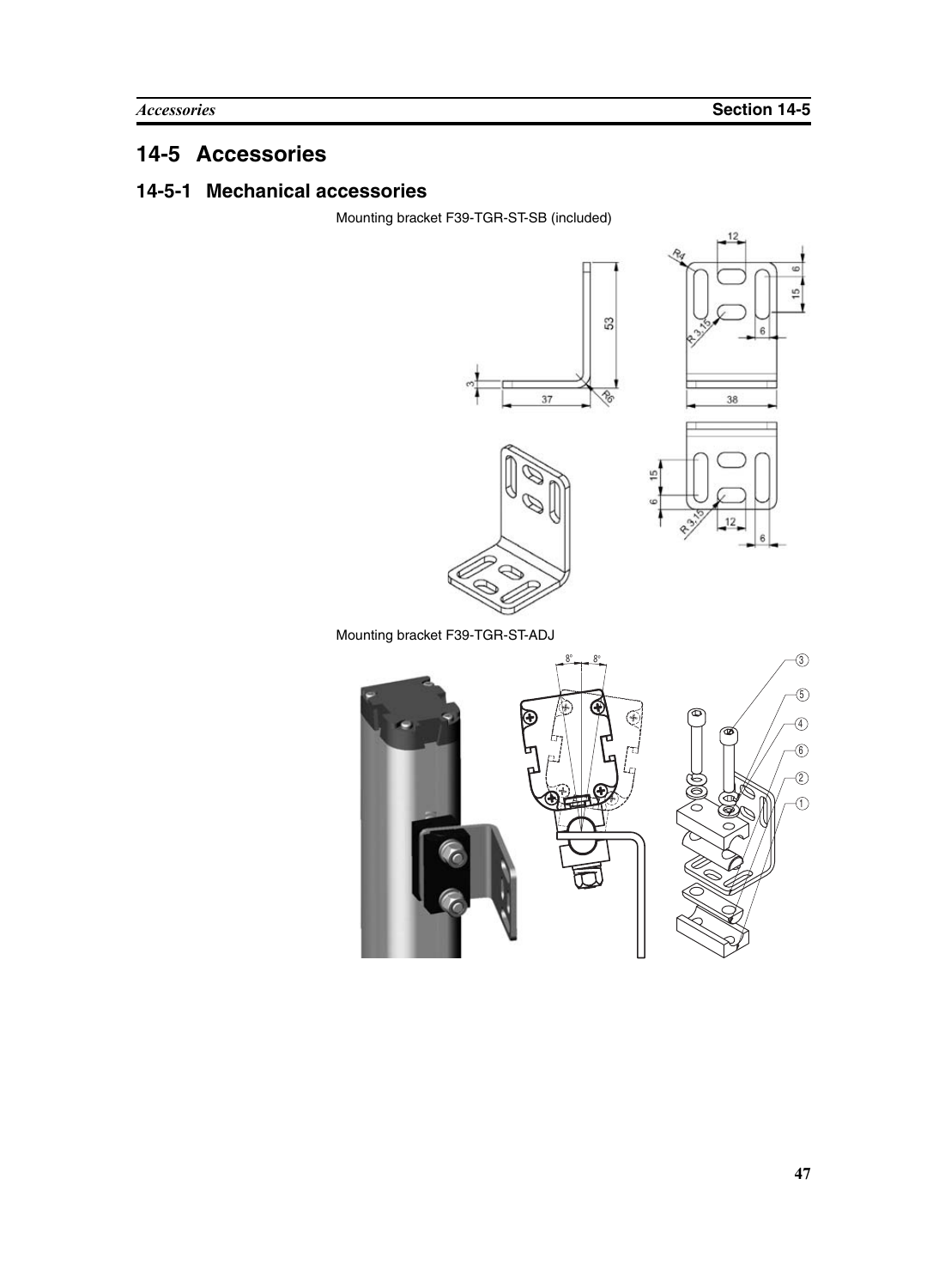# **14-5 Accessories**

#### **14-5-1 Mechanical accessories**

Mounting bracket F39-TGR-ST-SB (included)



Mounting bracket F39-TGR-ST-ADJ

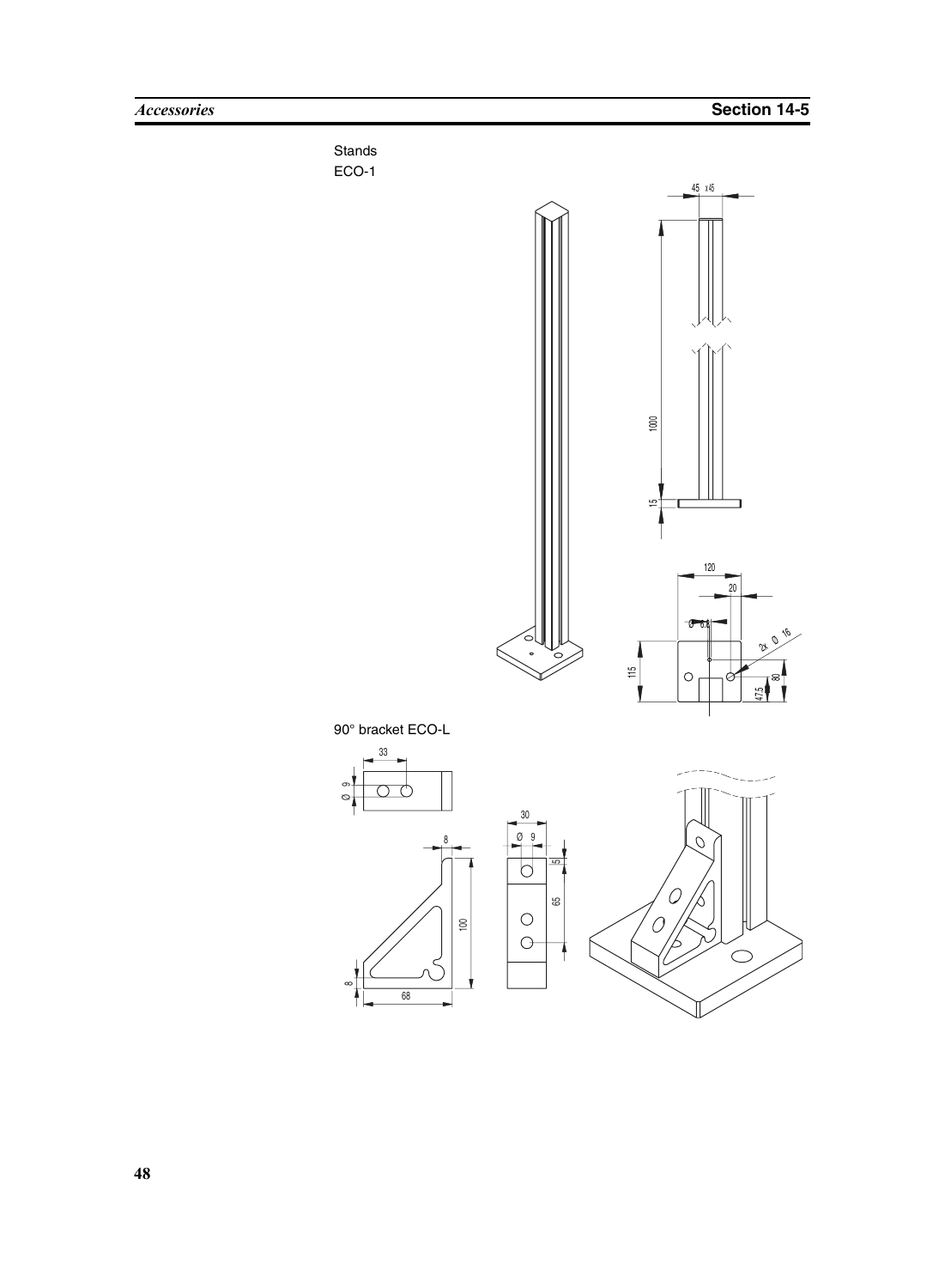

**48**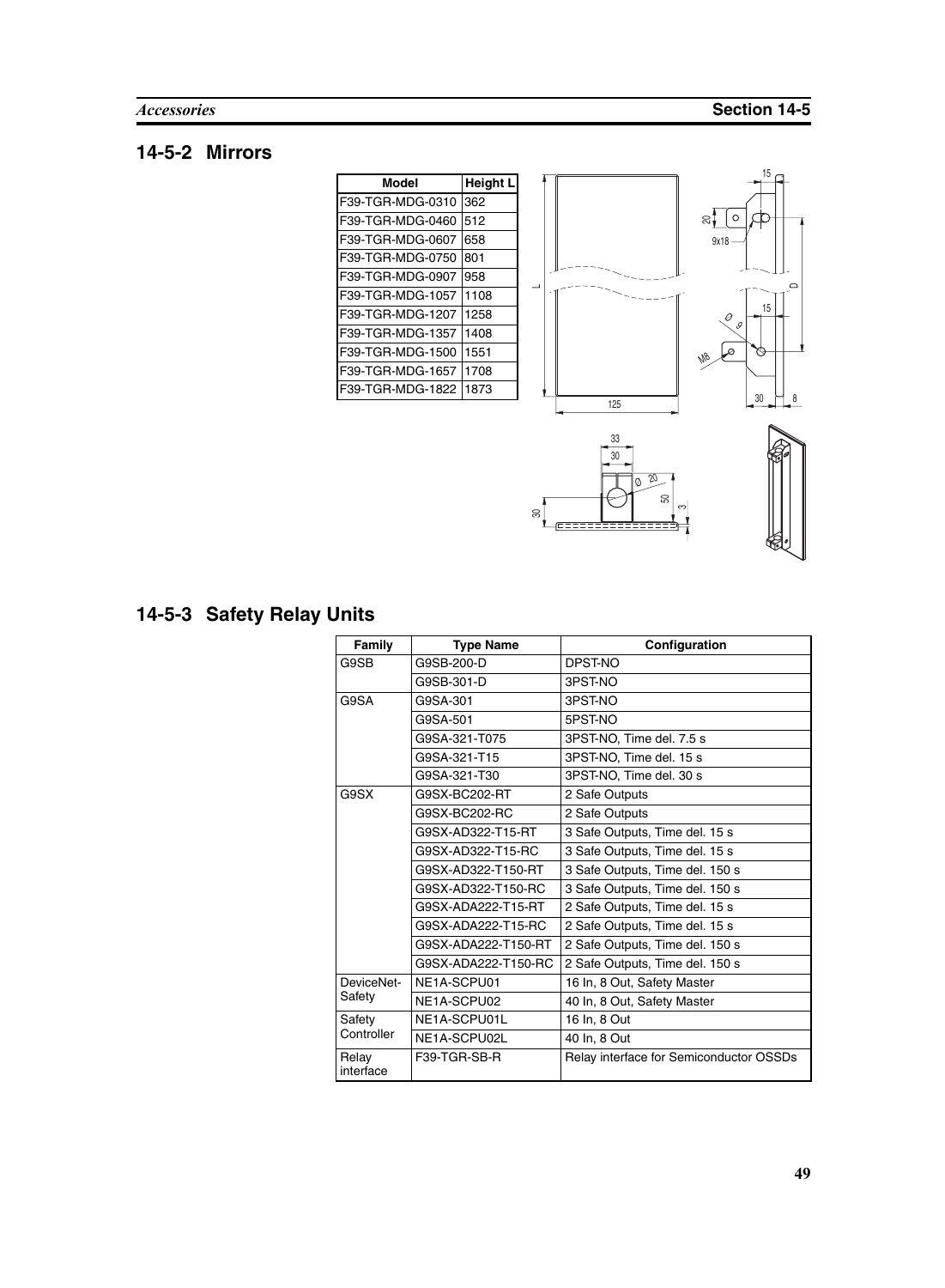## **14-5-2 Mirrors**

| Model            | Height L |
|------------------|----------|
| F39-TGR-MDG-0310 | 362      |
| F39-TGR-MDG-0460 | 512      |
| F39-TGR-MDG-0607 | 658      |
| F39-TGR-MDG-0750 | 801      |
| F39-TGR-MDG-0907 | 958      |
| F39-TGR-MDG-1057 | 1108     |
| F39-TGR-MDG-1207 | 1258     |
| F39-TGR-MDG-1357 | 1408     |
| F39-TGR-MDG-1500 | 1551     |
| F39-TGR-MDG-1657 | 1708     |
| F39-TGR-MDG-1822 | 1873     |





# **14-5-3 Safety Relay Units**

| Family             | <b>Type Name</b>    | Configuration                           |
|--------------------|---------------------|-----------------------------------------|
| G9SB               | G9SB-200-D          | DPST-NO                                 |
|                    | G9SB-301-D          | 3PST-NO                                 |
| G9SA               | G9SA-301            | 3PST-NO                                 |
|                    | G9SA-501            | 5PST-NO                                 |
|                    | G9SA-321-T075       | 3PST-NO, Time del. 7.5 s                |
|                    | G9SA-321-T15        | 3PST-NO, Time del. 15 s                 |
|                    | G9SA-321-T30        | 3PST-NO, Time del. 30 s                 |
| G9SX               | G9SX-BC202-RT       | 2 Safe Outputs                          |
|                    | G9SX-BC202-RC       | 2 Safe Outputs                          |
|                    | G9SX-AD322-T15-RT   | 3 Safe Outputs, Time del. 15 s          |
|                    | G9SX-AD322-T15-RC   | 3 Safe Outputs, Time del. 15 s          |
|                    | G9SX-AD322-T150-RT  | 3 Safe Outputs, Time del. 150 s         |
|                    | G9SX-AD322-T150-RC  | 3 Safe Outputs, Time del. 150 s         |
|                    | G9SX-ADA222-T15-RT  | 2 Safe Outputs, Time del. 15 s          |
|                    | G9SX-ADA222-T15-RC  | 2 Safe Outputs, Time del. 15 s          |
|                    | G9SX-ADA222-T150-RT | 2 Safe Outputs, Time del. 150 s         |
|                    | G9SX-ADA222-T150-RC | 2 Safe Outputs, Time del. 150 s         |
| DeviceNet-         | NE1A-SCPU01         | 16 In, 8 Out, Safety Master             |
| Safety             | NE1A-SCPU02         | 40 In, 8 Out, Safety Master             |
| Safety             | NE1A-SCPU01L        | 16 In, 8 Out                            |
| Controller         | NE1A-SCPU02L        | 40 In, 8 Out                            |
| Relay<br>interface | F39-TGR-SB-R        | Relay interface for Semiconductor OSSDs |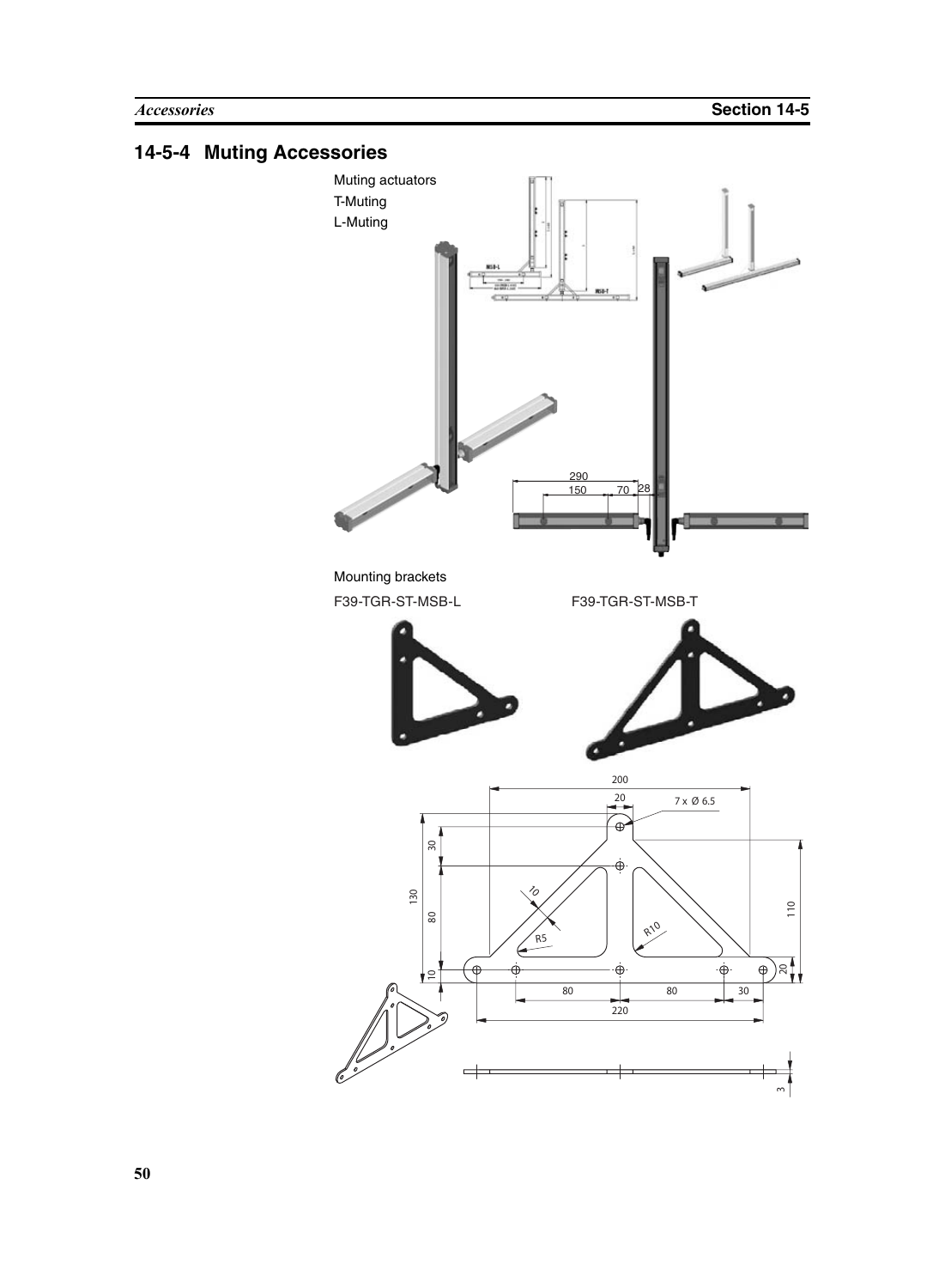## **14-5-4 Muting Accessories**

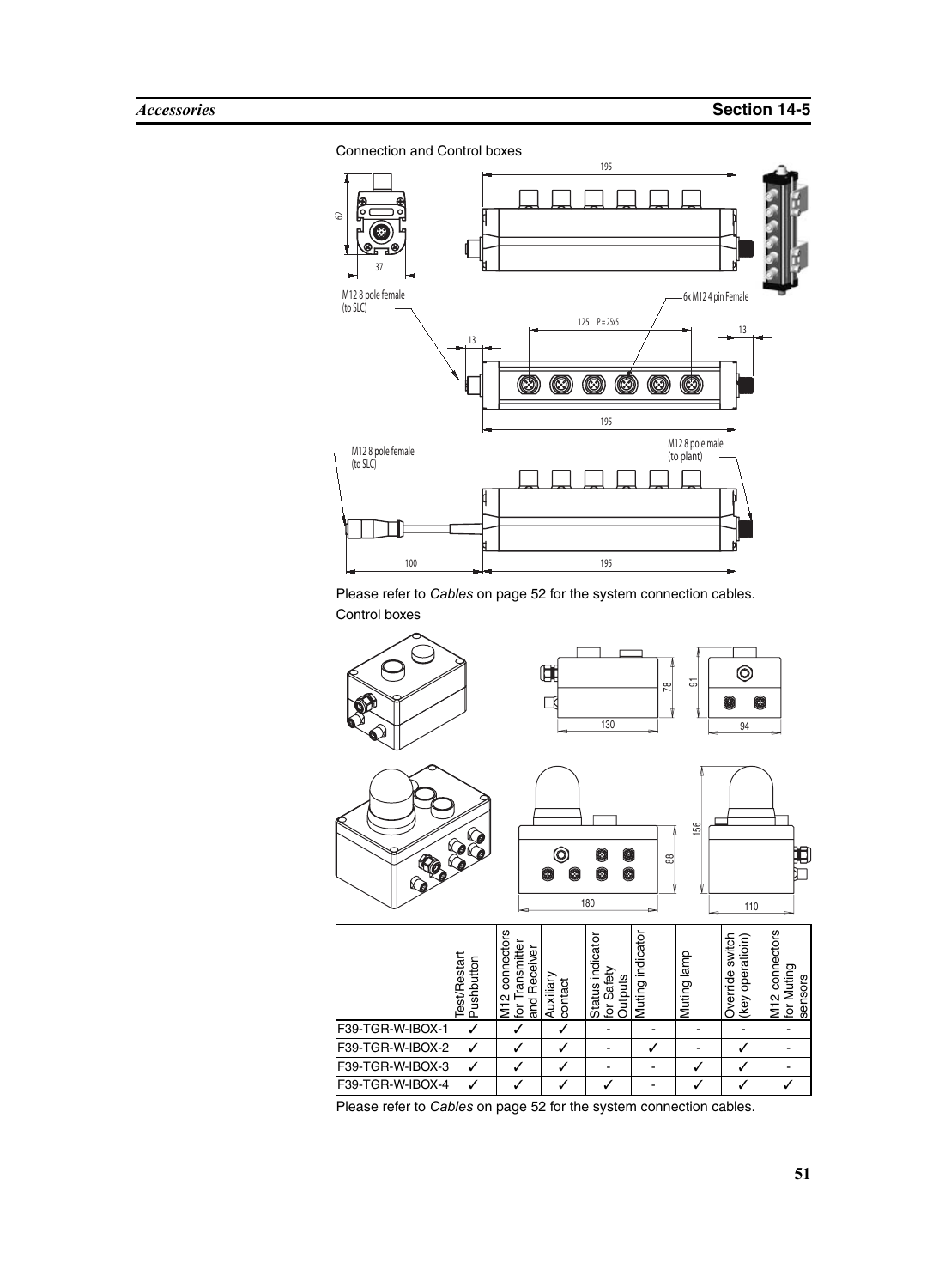#### Connection and Control boxes



Please refer to *Cables* [on page 52](#page-65-0) for the system connection cables. Control boxes

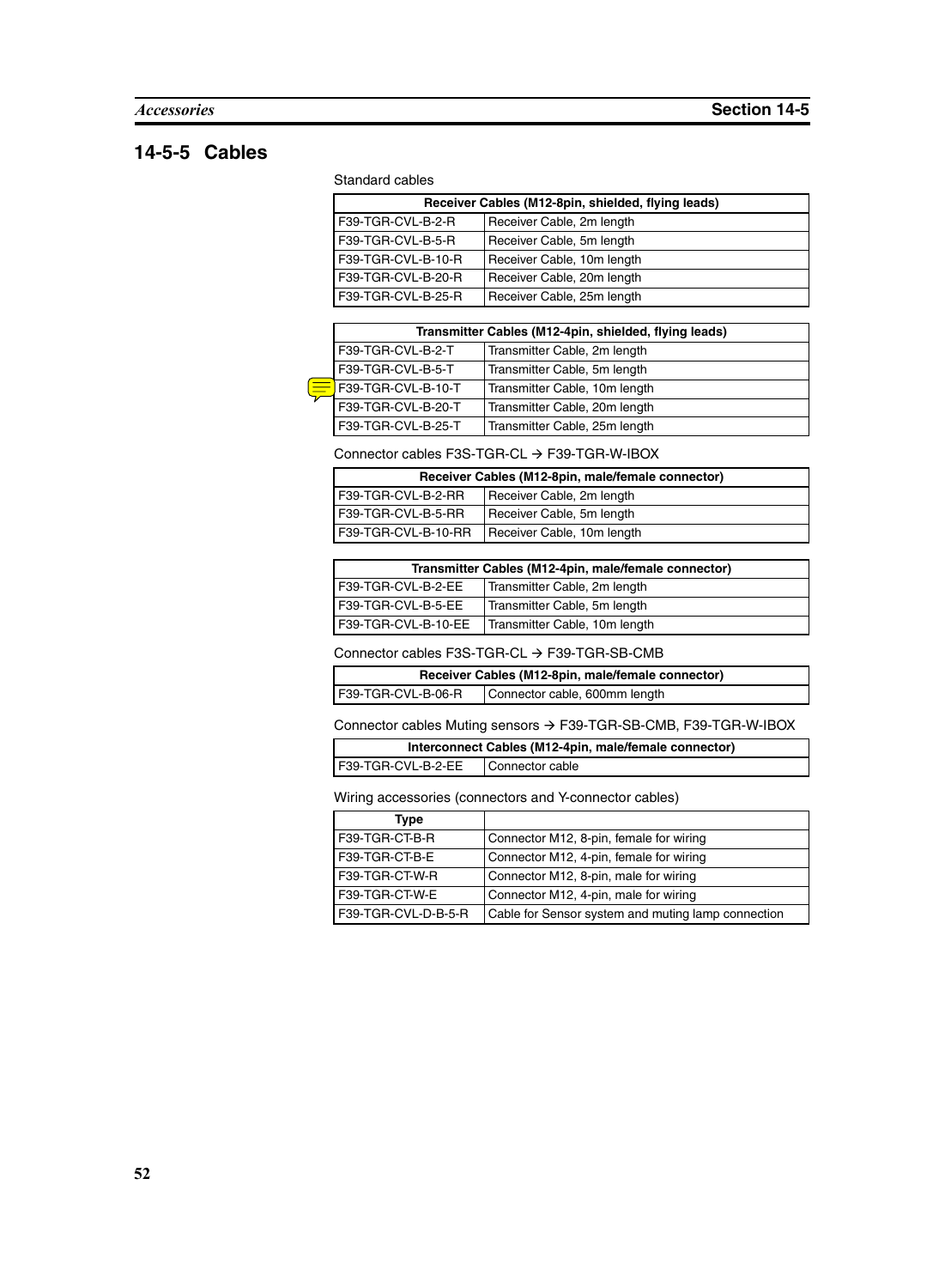#### <span id="page-65-0"></span>**14-5-5 Cables**

#### Standard cables

| Receiver Cables (M12-8pin, shielded, flying leads) |                            |
|----------------------------------------------------|----------------------------|
| F39-TGR-CVL-B-2-R                                  | Receiver Cable, 2m length  |
| F39-TGR-CVL-B-5-R                                  | Receiver Cable, 5m length  |
| F39-TGR-CVL-B-10-R                                 | Receiver Cable, 10m length |
| F39-TGR-CVL-B-20-R                                 | Receiver Cable, 20m length |
| F39-TGR-CVL-B-25-R                                 | Receiver Cable, 25m length |

| Transmitter Cables (M12-4pin, shielded, flying leads) |                               |
|-------------------------------------------------------|-------------------------------|
| F39-TGR-CVL-B-2-T                                     | Transmitter Cable, 2m length  |
| F39-TGR-CVL-B-5-T                                     | Transmitter Cable, 5m length  |
| F39-TGR-CVL-B-10-T                                    | Transmitter Cable, 10m length |
| F39-TGR-CVL-B-20-T                                    | Transmitter Cable, 20m length |
| F39-TGR-CVL-B-25-T                                    | Transmitter Cable, 25m length |

#### Connector cables F3S-TGR-CL  $\rightarrow$  F39-TGR-W-IBOX

| Receiver Cables (M12-8pin, male/female connector) |                            |
|---------------------------------------------------|----------------------------|
| F39-TGR-CVL-B-2-RR                                | Receiver Cable, 2m length  |
| F39-TGR-CVL-B-5-RR                                | Receiver Cable, 5m length  |
| F39-TGR-CVL-B-10-RR                               | Receiver Cable, 10m length |

| Transmitter Cables (M12-4pin, male/female connector) |                               |
|------------------------------------------------------|-------------------------------|
| F39-TGR-CVL-B-2-EE                                   | Transmitter Cable, 2m length  |
| F39-TGR-CVL-B-5-EE                                   | Transmitter Cable, 5m length  |
| F39-TGR-CVL-B-10-EE                                  | Transmitter Cable, 10m length |

Connector cables F3S-TGR-CL  $\rightarrow$  F39-TGR-SB-CMB

| Receiver Cables (M12-8pin, male/female connector) |                               |
|---------------------------------------------------|-------------------------------|
| F39-TGR-CVL-B-06-R                                | Connector cable, 600mm length |

Connector cables Muting sensors  $\rightarrow$  F39-TGR-SB-CMB, F39-TGR-W-IBOX

| Interconnect Cables (M12-4pin, male/female connector) |                 |
|-------------------------------------------------------|-----------------|
| I F39-TGR-CVL-B-2-EE                                  | Connector cable |

Wiring accessories (connectors and Y-connector cables)

| <b>Type</b>         |                                                    |
|---------------------|----------------------------------------------------|
| F39-TGR-CT-B-R      | Connector M12, 8-pin, female for wiring            |
| F39-TGR-CT-B-E      | Connector M12, 4-pin, female for wiring            |
| F39-TGR-CT-W-R      | Connector M12, 8-pin, male for wiring              |
| F39-TGR-CT-W-E      | Connector M12, 4-pin, male for wiring              |
| F39-TGR-CVL-D-B-5-R | Cable for Sensor system and muting lamp connection |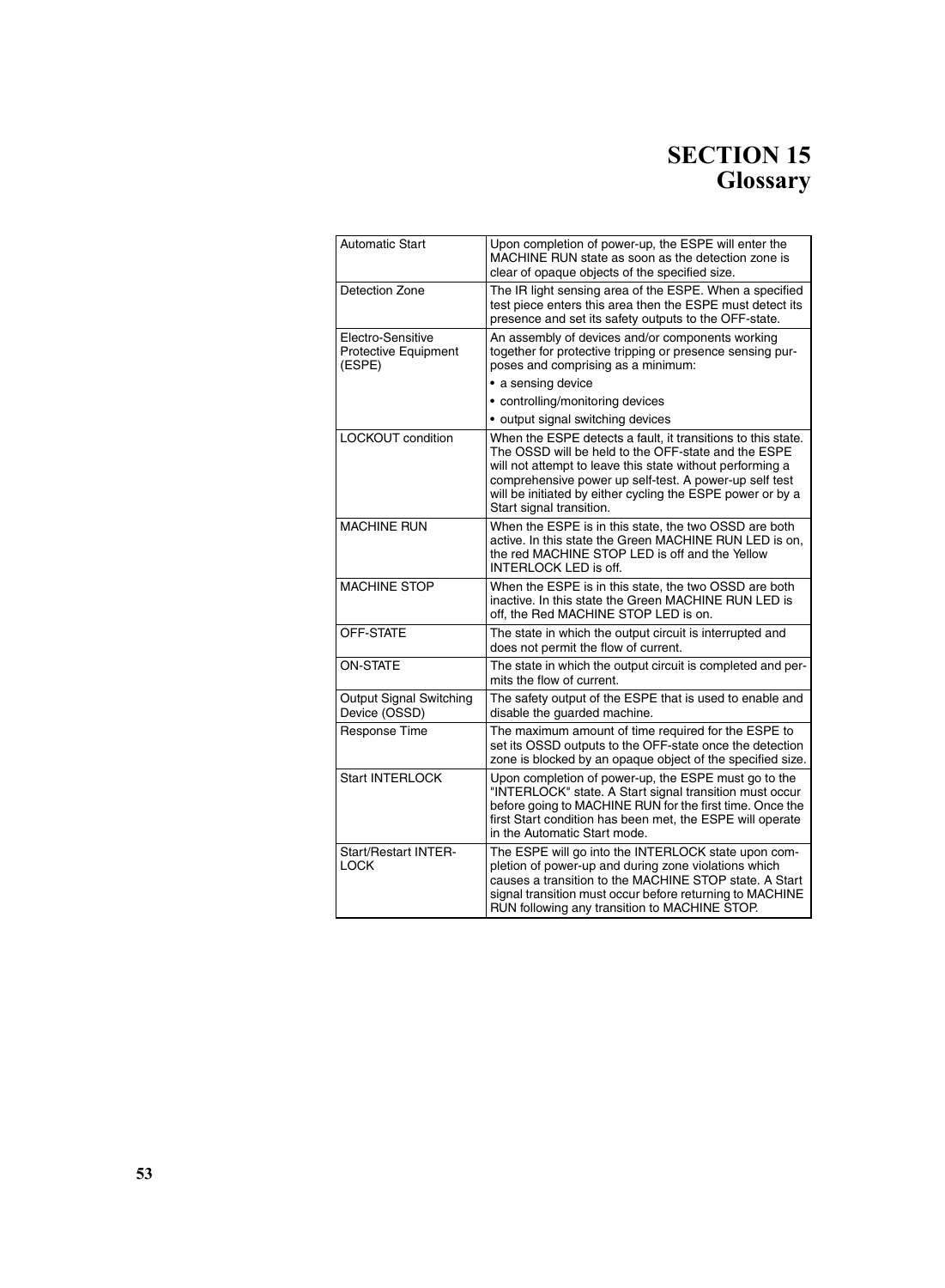## **SECTION 15 Glossary**

| <b>Automatic Start</b>                              | Upon completion of power-up, the ESPE will enter the<br>MACHINE RUN state as soon as the detection zone is<br>clear of opaque objects of the specified size.                                                                                                                                                                         |
|-----------------------------------------------------|--------------------------------------------------------------------------------------------------------------------------------------------------------------------------------------------------------------------------------------------------------------------------------------------------------------------------------------|
| Detection Zone                                      | The IR light sensing area of the ESPE. When a specified<br>test piece enters this area then the ESPE must detect its<br>presence and set its safety outputs to the OFF-state.                                                                                                                                                        |
| Electro-Sensitive<br>Protective Equipment<br>(ESPE) | An assembly of devices and/or components working<br>together for protective tripping or presence sensing pur-<br>poses and comprising as a minimum:                                                                                                                                                                                  |
|                                                     | · a sensing device                                                                                                                                                                                                                                                                                                                   |
|                                                     | • controlling/monitoring devices                                                                                                                                                                                                                                                                                                     |
|                                                     | • output signal switching devices                                                                                                                                                                                                                                                                                                    |
| LOCKOUT condition                                   | When the ESPE detects a fault, it transitions to this state.<br>The OSSD will be held to the OFF-state and the ESPE<br>will not attempt to leave this state without performing a<br>comprehensive power up self-test. A power-up self test<br>will be initiated by either cycling the ESPE power or by a<br>Start signal transition. |
| <b>MACHINE RUN</b>                                  | When the ESPE is in this state, the two OSSD are both<br>active. In this state the Green MACHINE RUN LED is on.<br>the red MACHINE STOP LED is off and the Yellow<br><b>INTERLOCK LED is off.</b>                                                                                                                                    |
| MACHINE STOP                                        | When the ESPE is in this state, the two OSSD are both<br>inactive. In this state the Green MACHINE RUN LED is<br>off, the Red MACHINE STOP LED is on.                                                                                                                                                                                |
| OFF-STATE                                           | The state in which the output circuit is interrupted and<br>does not permit the flow of current.                                                                                                                                                                                                                                     |
| <b>ON-STATE</b>                                     | The state in which the output circuit is completed and per-<br>mits the flow of current.                                                                                                                                                                                                                                             |
| <b>Output Signal Switching</b><br>Device (OSSD)     | The safety output of the ESPE that is used to enable and<br>disable the guarded machine.                                                                                                                                                                                                                                             |
| Response Time                                       | The maximum amount of time required for the ESPE to<br>set its OSSD outputs to the OFF-state once the detection<br>zone is blocked by an opaque object of the specified size.                                                                                                                                                        |
| <b>Start INTERLOCK</b>                              | Upon completion of power-up, the ESPE must go to the<br>"INTERLOCK" state. A Start signal transition must occur<br>before going to MACHINE RUN for the first time. Once the<br>first Start condition has been met, the ESPE will operate<br>in the Automatic Start mode.                                                             |
| <b>Start/Restart INTER-</b><br><b>LOCK</b>          | The ESPE will go into the INTERLOCK state upon com-<br>pletion of power-up and during zone violations which<br>causes a transition to the MACHINE STOP state. A Start<br>signal transition must occur before returning to MACHINE<br>RUN following any transition to MACHINE STOP.                                                   |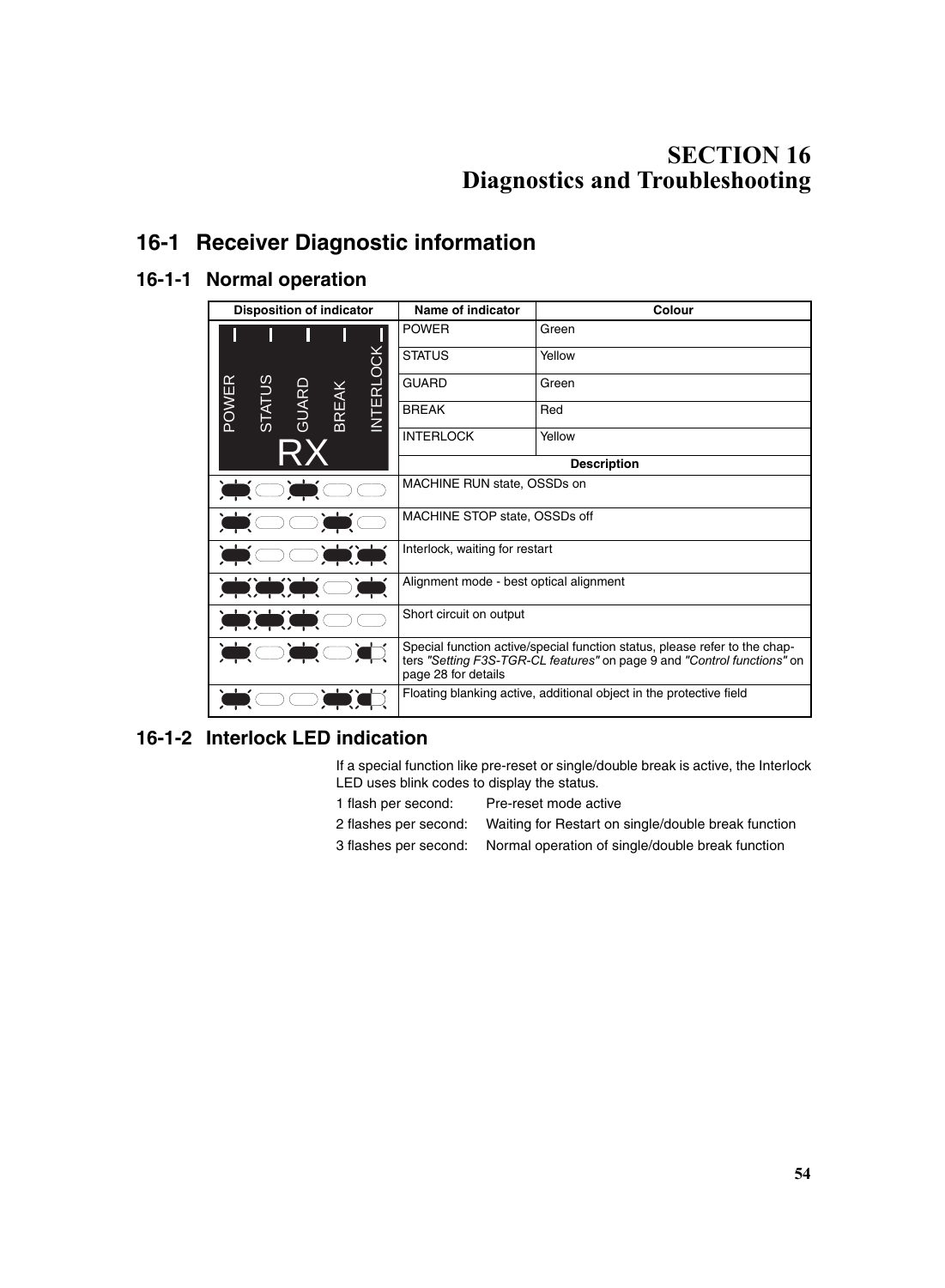## **SECTION 16 Diagnostics and Troubleshooting**

## **16-1 Receiver Diagnostic information**

#### **16-1-1 Normal operation**

| <b>Disposition of indicator</b>                              | Name of indicator                                                                                                                                                            | <b>Colour</b> |  |
|--------------------------------------------------------------|------------------------------------------------------------------------------------------------------------------------------------------------------------------------------|---------------|--|
|                                                              | <b>POWER</b>                                                                                                                                                                 | Green         |  |
|                                                              | <b>STATUS</b>                                                                                                                                                                | Yellow        |  |
|                                                              | <b>GUARD</b>                                                                                                                                                                 | Green         |  |
| <b>INTERLOCK</b><br>STATUS<br>POWER<br>GUARD<br><b>BREAK</b> | <b>BREAK</b>                                                                                                                                                                 | Red           |  |
|                                                              | <b>INTERLOCK</b>                                                                                                                                                             | Yellow        |  |
|                                                              | <b>Description</b>                                                                                                                                                           |               |  |
|                                                              | MACHINE RUN state, OSSDs on                                                                                                                                                  |               |  |
|                                                              | MACHINE STOP state, OSSDs off                                                                                                                                                |               |  |
|                                                              | Interlock, waiting for restart                                                                                                                                               |               |  |
|                                                              | Alignment mode - best optical alignment                                                                                                                                      |               |  |
|                                                              | Short circuit on output                                                                                                                                                      |               |  |
|                                                              | Special function active/special function status, please refer to the chap-<br>ters "Setting F3S-TGR-CL features" on page 9 and "Control functions" on<br>page 28 for details |               |  |
|                                                              | Floating blanking active, additional object in the protective field                                                                                                          |               |  |

#### **16-1-2 Interlock LED indication**

If a special function like pre-reset or single/double break is active, the Interlock LED uses blink codes to display the status.

- 1 flash per second: Pre-reset mode active 2 flashes per second: Waiting for Restart on single/double break function
- 3 flashes per second: Normal operation of single/double break function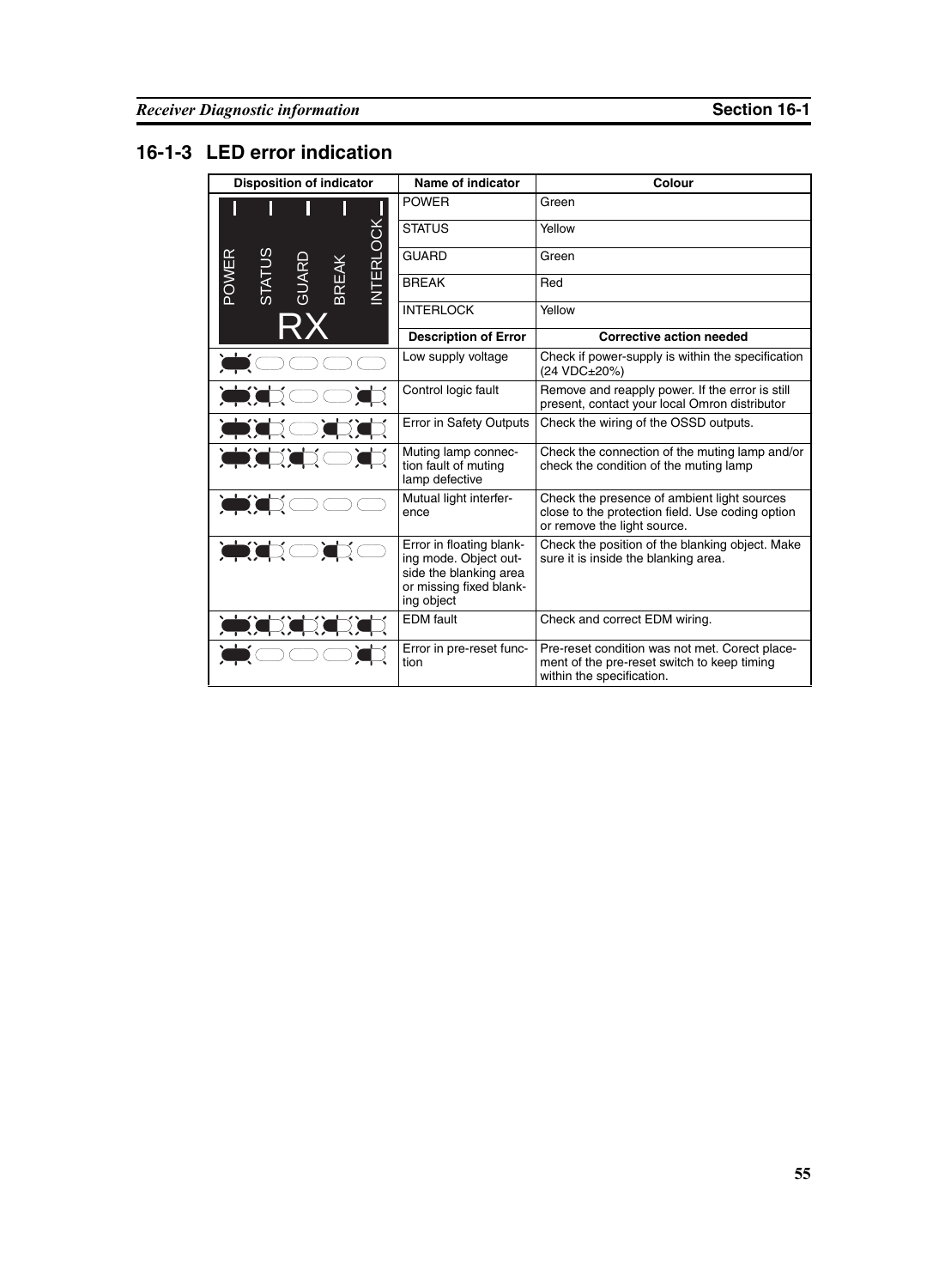## **16-1-3 LED error indication**

| <b>Disposition of indicator</b>                                    | Name of indicator                                                                                                    | Colour                                                                                                                         |
|--------------------------------------------------------------------|----------------------------------------------------------------------------------------------------------------------|--------------------------------------------------------------------------------------------------------------------------------|
|                                                                    | <b>POWER</b>                                                                                                         | Green                                                                                                                          |
|                                                                    | <b>STATUS</b>                                                                                                        | Yellow                                                                                                                         |
|                                                                    | <b>GUARD</b>                                                                                                         | Green                                                                                                                          |
| <b>INTERLOCK</b><br>OWER<br><b>STATUS</b><br>GUARD<br><b>BREAK</b> | <b>BREAK</b>                                                                                                         | Red                                                                                                                            |
|                                                                    | <b>INTERLOCK</b>                                                                                                     | Yellow                                                                                                                         |
|                                                                    | <b>Description of Error</b>                                                                                          | <b>Corrective action needed</b>                                                                                                |
|                                                                    | Low supply voltage                                                                                                   | Check if power-supply is within the specification<br>(24 VDC±20%)                                                              |
|                                                                    | Control logic fault                                                                                                  | Remove and reapply power. If the error is still<br>present, contact your local Omron distributor                               |
|                                                                    | <b>Error in Safety Outputs</b>                                                                                       | Check the wiring of the OSSD outputs.                                                                                          |
|                                                                    | Muting lamp connec-<br>tion fault of muting<br>lamp defective                                                        | Check the connection of the muting lamp and/or<br>check the condition of the muting lamp                                       |
|                                                                    | Mutual light interfer-<br>ence                                                                                       | Check the presence of ambient light sources<br>close to the protection field. Use coding option<br>or remove the light source. |
|                                                                    | Error in floating blank-<br>ing mode. Object out-<br>side the blanking area<br>or missing fixed blank-<br>ing object | Check the position of the blanking object. Make<br>sure it is inside the blanking area.                                        |
|                                                                    | <b>EDM</b> fault                                                                                                     | Check and correct EDM wiring.                                                                                                  |
|                                                                    | Error in pre-reset func-<br>tion                                                                                     | Pre-reset condition was not met. Corect place-<br>ment of the pre-reset switch to keep timing<br>within the specification.     |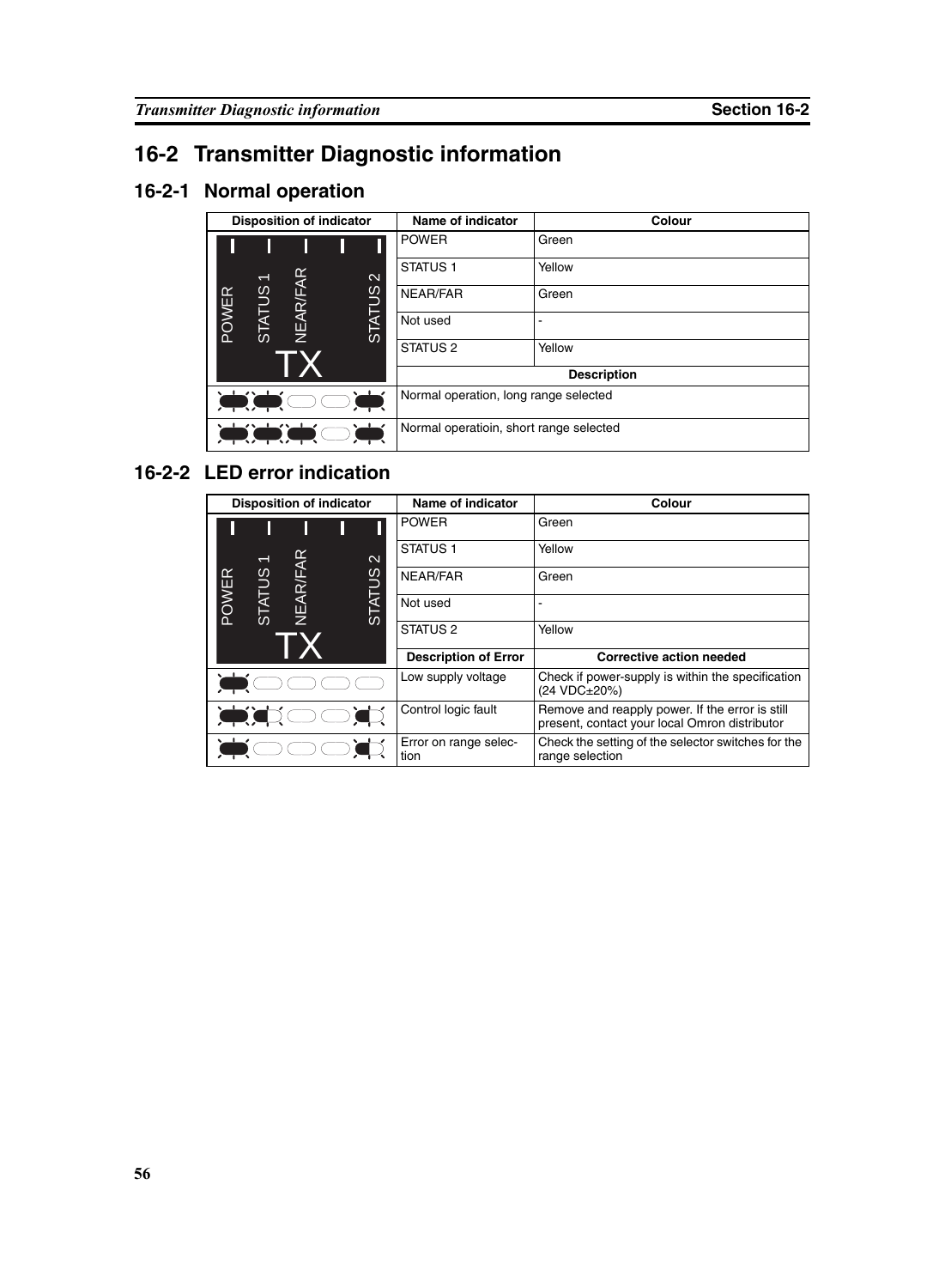# **16-2 Transmitter Diagnostic information**

## **16-2-1 Normal operation**

| <b>Disposition of indicator</b>                                                                                                               |              | <b>Name of indicator</b> | Colour            |                                       |        |  |
|-----------------------------------------------------------------------------------------------------------------------------------------------|--------------|--------------------------|-------------------|---------------------------------------|--------|--|
|                                                                                                                                               |              |                          |                   | <b>POWER</b>                          | Green  |  |
|                                                                                                                                               |              |                          | $\mathbf{\Omega}$ | STATUS <sub>1</sub>                   | Yellow |  |
| ≃                                                                                                                                             | <b>SUTAT</b> | NEAR/FAR                 | <b>TATUS</b>      | NEAR/FAR                              | Green  |  |
| POWE                                                                                                                                          | <b>S</b>     |                          | $\omega$          | Not used                              |        |  |
|                                                                                                                                               |              |                          |                   | STATUS <sub>2</sub>                   | Yellow |  |
|                                                                                                                                               |              |                          |                   | <b>Description</b>                    |        |  |
| $\sqrt{1-\sqrt{1-\frac{1}{2}}}$                                                                                                               |              |                          |                   | Normal operation, long range selected |        |  |
| $\perp\!\!\!\!\perp\!\!\!\!\perp\!\!\!\!\perp\!\!\!\!\perp\!\!\!\!\perp\!\!\!\!\perp\!\!\!\!\perp$<br>Normal operatioin, short range selected |              |                          |                   |                                       |        |  |

### **16-2-2 LED error indication**

| <b>Disposition of indicator</b> |               | <b>Name of indicator</b>      | <b>Colour</b>                                                                                    |                             |                                 |
|---------------------------------|---------------|-------------------------------|--------------------------------------------------------------------------------------------------|-----------------------------|---------------------------------|
|                                 |               |                               |                                                                                                  | <b>POWER</b>                | Green                           |
|                                 |               |                               | $\mathbf{\Omega}$                                                                                | <b>STATUS1</b>              | Yellow                          |
|                                 |               | <b>VEAR/FAR</b>               |                                                                                                  | NEAR/FAR                    | Green                           |
| POWER                           | <b>STATUS</b> |                               | <b>STATUS</b>                                                                                    | Not used                    |                                 |
|                                 |               |                               |                                                                                                  | STATUS <sub>2</sub>         | Yellow                          |
|                                 |               |                               |                                                                                                  | <b>Description of Error</b> | <b>Corrective action needed</b> |
|                                 |               | Low supply voltage            | Check if power-supply is within the specification<br>(24 VDC±20%)                                |                             |                                 |
|                                 |               | Control logic fault           | Remove and reapply power. If the error is still<br>present, contact your local Omron distributor |                             |                                 |
|                                 |               | Error on range selec-<br>tion | Check the setting of the selector switches for the<br>range selection                            |                             |                                 |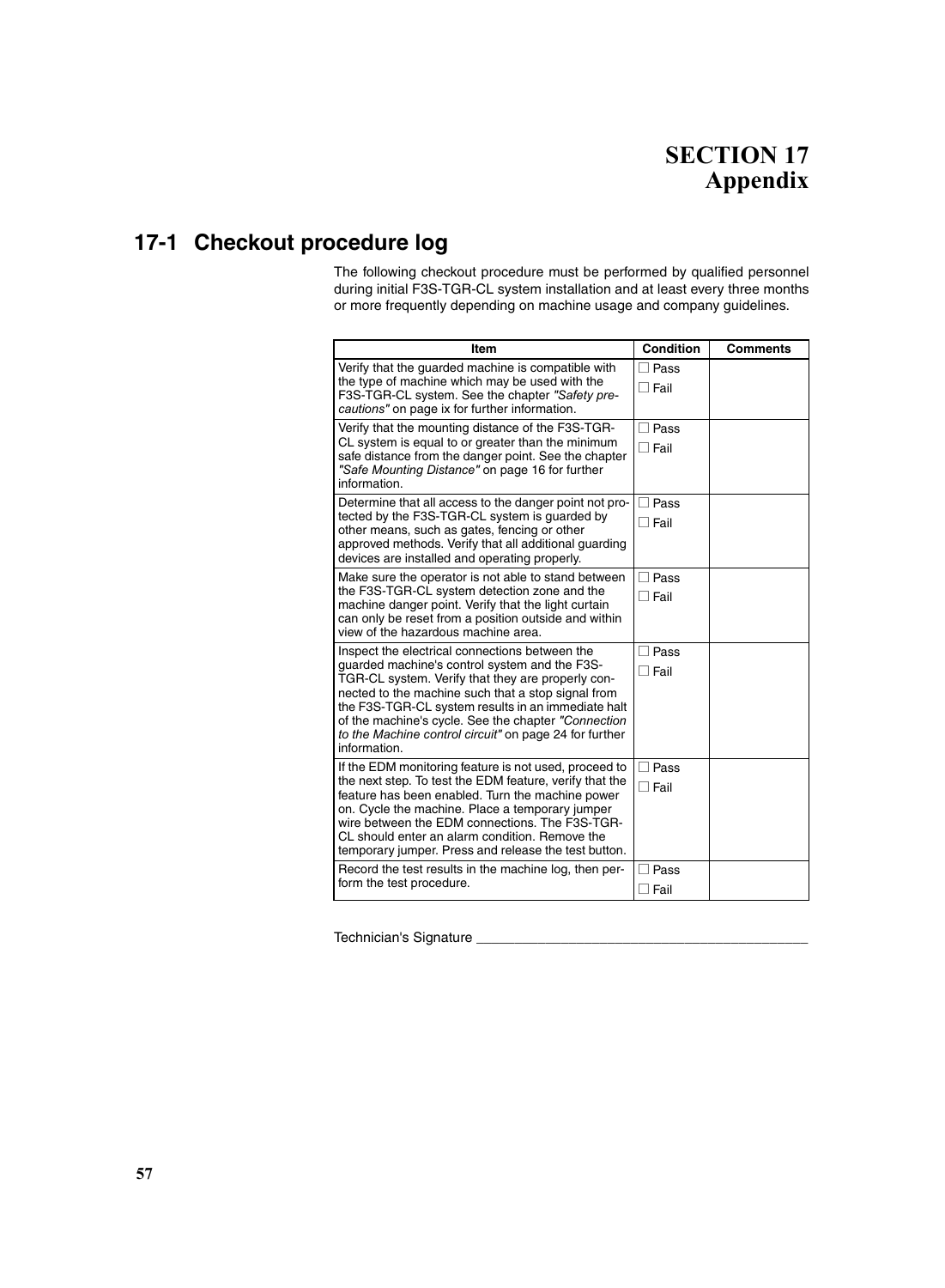## **SECTION 17 Appendix**

## **17-1 Checkout procedure log**

The following checkout procedure must be performed by qualified personnel during initial F3S-TGR-CL system installation and at least every three months or more frequently depending on machine usage and company guidelines.

| Item                                                                                                                                                                                                                                                                                                                                                                                              | <b>Condition</b>                                  | <b>Comments</b> |
|---------------------------------------------------------------------------------------------------------------------------------------------------------------------------------------------------------------------------------------------------------------------------------------------------------------------------------------------------------------------------------------------------|---------------------------------------------------|-----------------|
| Verify that the guarded machine is compatible with<br>the type of machine which may be used with the<br>F3S-TGR-CL system. See the chapter "Safety pre-<br>cautions" on page ix for further information.                                                                                                                                                                                          | Pass<br>$\sqcap$ Fail                             |                 |
| Verify that the mounting distance of the F3S-TGR-<br>CL system is equal to or greater than the minimum<br>safe distance from the danger point. See the chapter<br>"Safe Mounting Distance" on page 16 for further<br>information.                                                                                                                                                                 | Pass<br>$\sqcap$ Fail                             |                 |
| Determine that all access to the danger point not pro-<br>tected by the F3S-TGR-CL system is guarded by<br>other means, such as gates, fencing or other<br>approved methods. Verify that all additional guarding<br>devices are installed and operating properly.                                                                                                                                 | Pass<br>$\overline{\phantom{0}}$<br>$\sqcap$ Fail |                 |
| Make sure the operator is not able to stand between<br>the F3S-TGR-CL system detection zone and the<br>machine danger point. Verify that the light curtain<br>can only be reset from a position outside and within<br>view of the hazardous machine area.                                                                                                                                         | Pass<br>$\sqcap$ Fail                             |                 |
| Inspect the electrical connections between the<br>quarded machine's control system and the F3S-<br>TGR-CL system. Verify that they are properly con-<br>nected to the machine such that a stop signal from<br>the F3S-TGR-CL system results in an immediate halt<br>of the machine's cycle. See the chapter "Connection<br>to the Machine control circuit" on page 24 for further<br>information. | Pass<br>$\sqcap$ Fail                             |                 |
| If the EDM monitoring feature is not used, proceed to<br>the next step. To test the EDM feature, verify that the<br>feature has been enabled. Turn the machine power<br>on. Cycle the machine. Place a temporary jumper<br>wire between the EDM connections. The F3S-TGR-<br>CL should enter an alarm condition. Remove the<br>temporary jumper. Press and release the test button.               | □ Pass<br>$\sqcap$ Fail                           |                 |
| Record the test results in the machine log, then per-<br>form the test procedure.                                                                                                                                                                                                                                                                                                                 | Pass<br>∃ Fail                                    |                 |

Technician's Signature \_\_\_\_\_\_\_\_\_\_\_\_\_\_\_\_\_\_\_\_\_\_\_\_\_\_\_\_\_\_\_\_\_\_\_\_\_\_\_\_\_\_\_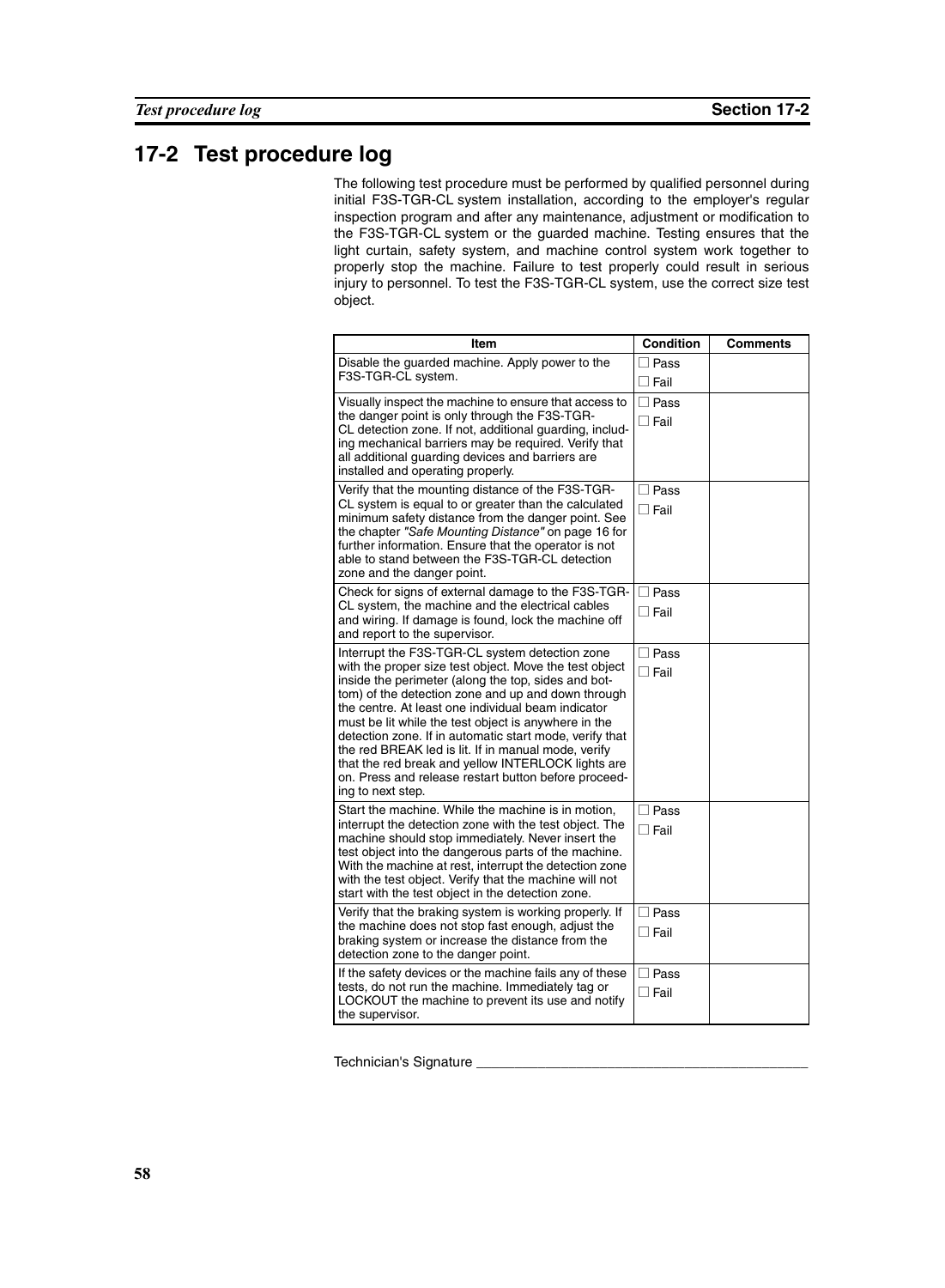## **17-2 Test procedure log**

The following test procedure must be performed by qualified personnel during initial F3S-TGR-CL system installation, according to the employer's regular inspection program and after any maintenance, adjustment or modification to the F3S-TGR-CL system or the guarded machine. Testing ensures that the light curtain, safety system, and machine control system work together to properly stop the machine. Failure to test properly could result in serious injury to personnel. To test the F3S-TGR-CL system, use the correct size test object.

| Item                                                                                                                                                                                                                                                                                                                                                                                                                                                                                                                                                                                     | <b>Condition</b>              | <b>Comments</b> |
|------------------------------------------------------------------------------------------------------------------------------------------------------------------------------------------------------------------------------------------------------------------------------------------------------------------------------------------------------------------------------------------------------------------------------------------------------------------------------------------------------------------------------------------------------------------------------------------|-------------------------------|-----------------|
| Disable the guarded machine. Apply power to the<br>F3S-TGR-CL system.                                                                                                                                                                                                                                                                                                                                                                                                                                                                                                                    | ∃ Pass<br>$\Box$ Fail         |                 |
| Visually inspect the machine to ensure that access to<br>the danger point is only through the F3S-TGR-<br>CL detection zone. If not, additional guarding, includ-<br>ing mechanical barriers may be required. Verify that<br>all additional guarding devices and barriers are<br>installed and operating properly.                                                                                                                                                                                                                                                                       | $\square$ Pass<br>∏ Fail      |                 |
| Verify that the mounting distance of the F3S-TGR-<br>CL system is equal to or greater than the calculated<br>minimum safety distance from the danger point. See<br>the chapter "Safe Mounting Distance" on page 16 for<br>further information. Ensure that the operator is not<br>able to stand between the F3S-TGR-CL detection<br>zone and the danger point.                                                                                                                                                                                                                           | $\Box$ Pass<br>$\sqcap$ Fail  |                 |
| Check for signs of external damage to the F3S-TGR-<br>CL system, the machine and the electrical cables<br>and wiring. If damage is found, lock the machine off<br>and report to the supervisor.                                                                                                                                                                                                                                                                                                                                                                                          | $\Box$ Pass<br>$\Box$ Fail    |                 |
| Interrupt the F3S-TGR-CL system detection zone<br>with the proper size test object. Move the test object<br>inside the perimeter (along the top, sides and bot-<br>tom) of the detection zone and up and down through<br>the centre. At least one individual beam indicator<br>must be lit while the test object is anywhere in the<br>detection zone. If in automatic start mode, verify that<br>the red BREAK led is lit. If in manual mode, verify<br>that the red break and yellow INTERLOCK lights are<br>on. Press and release restart button before proceed-<br>ing to next step. | $\Box$ Pass<br>$\Box$ Fail    |                 |
| Start the machine. While the machine is in motion,<br>interrupt the detection zone with the test object. The<br>machine should stop immediately. Never insert the<br>test object into the dangerous parts of the machine.<br>With the machine at rest, interrupt the detection zone<br>with the test object. Verify that the machine will not<br>start with the test object in the detection zone.                                                                                                                                                                                       | $\square$ Pass<br>$\Box$ Fail |                 |
| Verify that the braking system is working properly. If<br>the machine does not stop fast enough, adjust the<br>braking system or increase the distance from the<br>detection zone to the danger point.                                                                                                                                                                                                                                                                                                                                                                                   | $\Box$ Pass<br>$\Box$ Fail    |                 |
| If the safety devices or the machine fails any of these<br>tests, do not run the machine. Immediately tag or<br>LOCKOUT the machine to prevent its use and notify<br>the supervisor.                                                                                                                                                                                                                                                                                                                                                                                                     | $\Box$ Pass<br>$\Box$ Fail    |                 |

Technician's Signature \_\_\_\_\_\_\_\_\_\_\_\_\_\_\_\_\_\_\_\_\_\_\_\_\_\_\_\_\_\_\_\_\_\_\_\_\_\_\_\_\_\_\_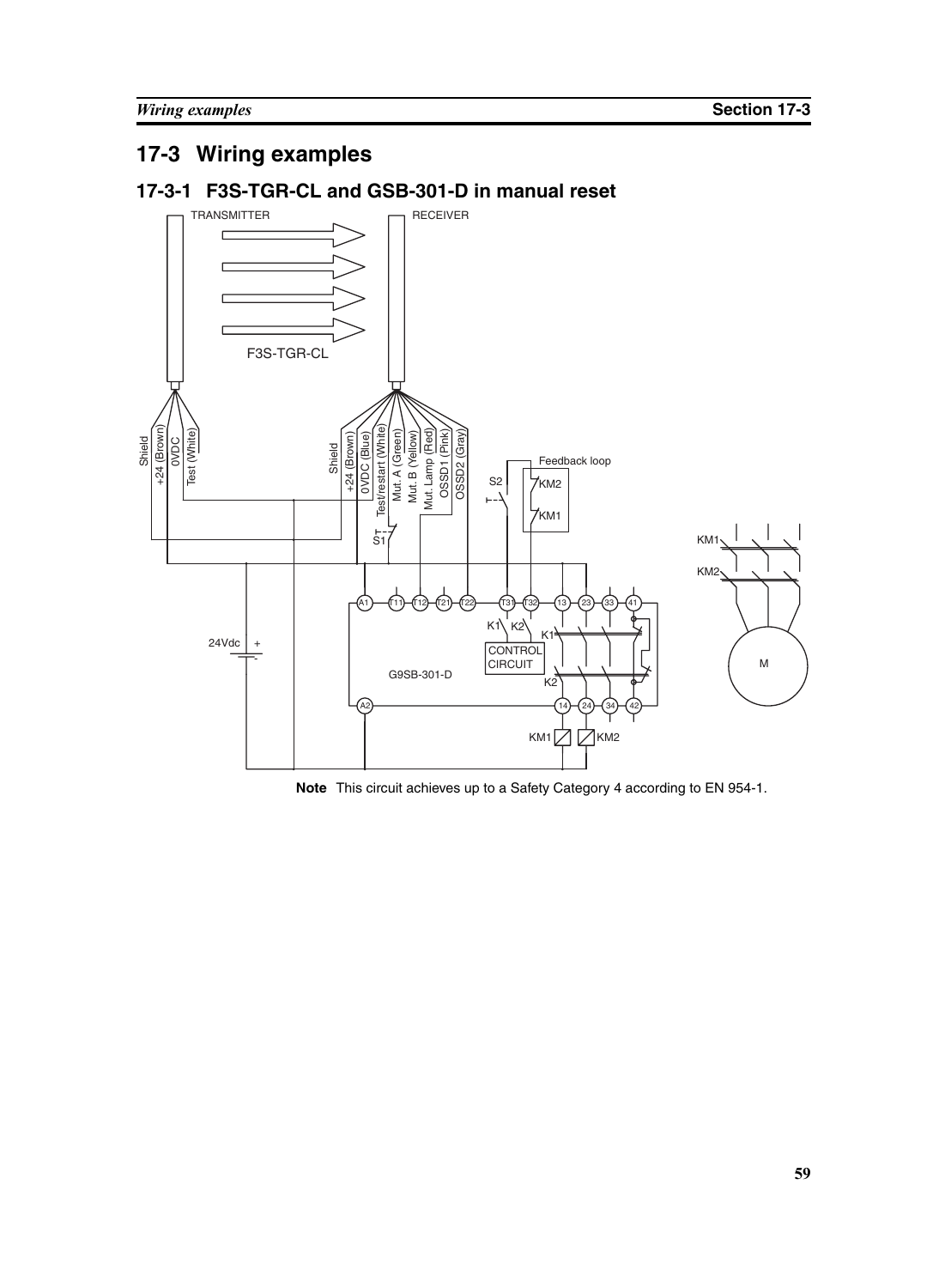# **17-3 Wiring examples**

## **17-3-1 F3S-TGR-CL and GSB-301-D in manual reset**

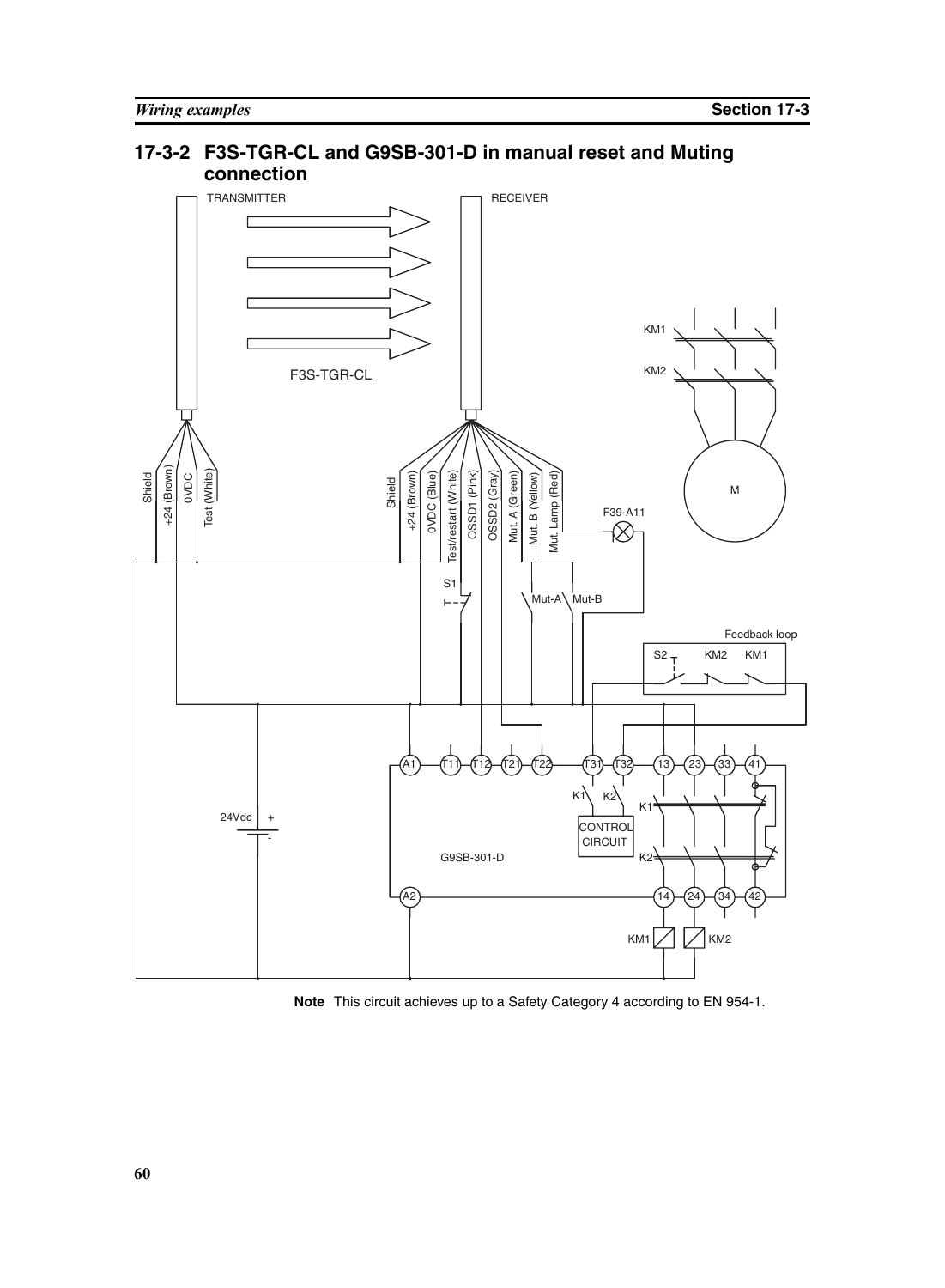#### **connection** TRANSMITTER RECEIVER  $\Box$ KM1 KM2 F3S-TGR-CL +24 (Brown) +24 (Brown) Shield 0VDC Test (White) Test (White) Test/restart (White) OSSD1 (Pink) OSSD2 (Gray) **Note** This circuit achieves up to a Safety Category 4 according to EN 954-1.<br>
Note This circuit achieves up to a Safety Category 4 according to EN 954-1. Mut. A (Green) Mut. Lamp (Red) Shield Mut. B (Yellow) M F39-A11S1 Mut-A Mut-B Feedback loop  $S<sup>2</sup>$ KM2 KM1 A1)—{T11}—{T12}—{T21}—{T22}——{T31}—{T32}—{13}—{23}—{33}—{41  $K1$   $K2$ K1  $24Vdc$  + CONTROL - CIRCUIT G9SB-301-D K<sub>2</sub> A2 14 24 34 42  $KM1$ KM2

**17-3-2 F3S-TGR-CL and G9SB-301-D in manual reset and Muting**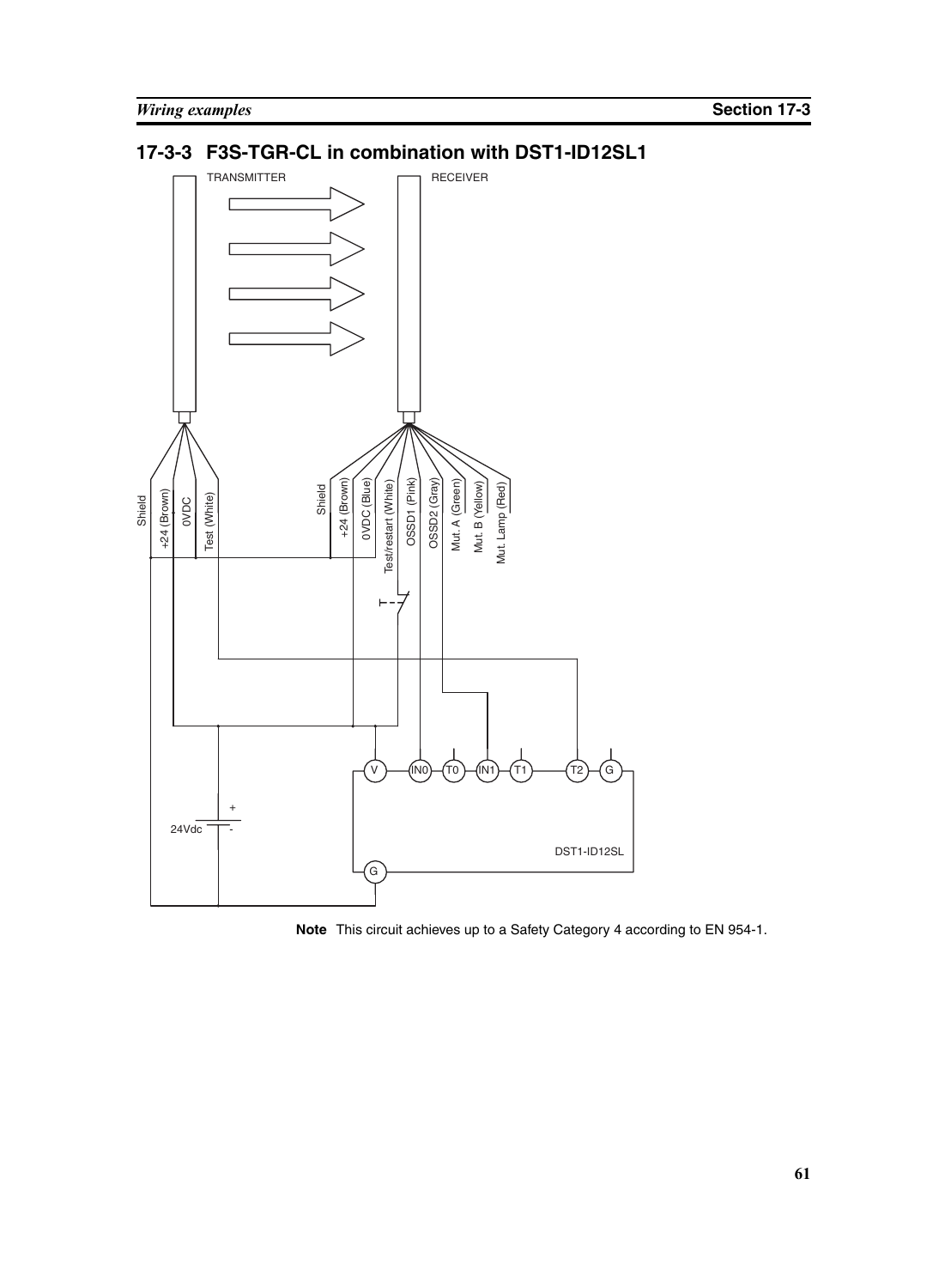## **17-3-3 F3S-TGR-CL in combination with DST1-ID12SL1**



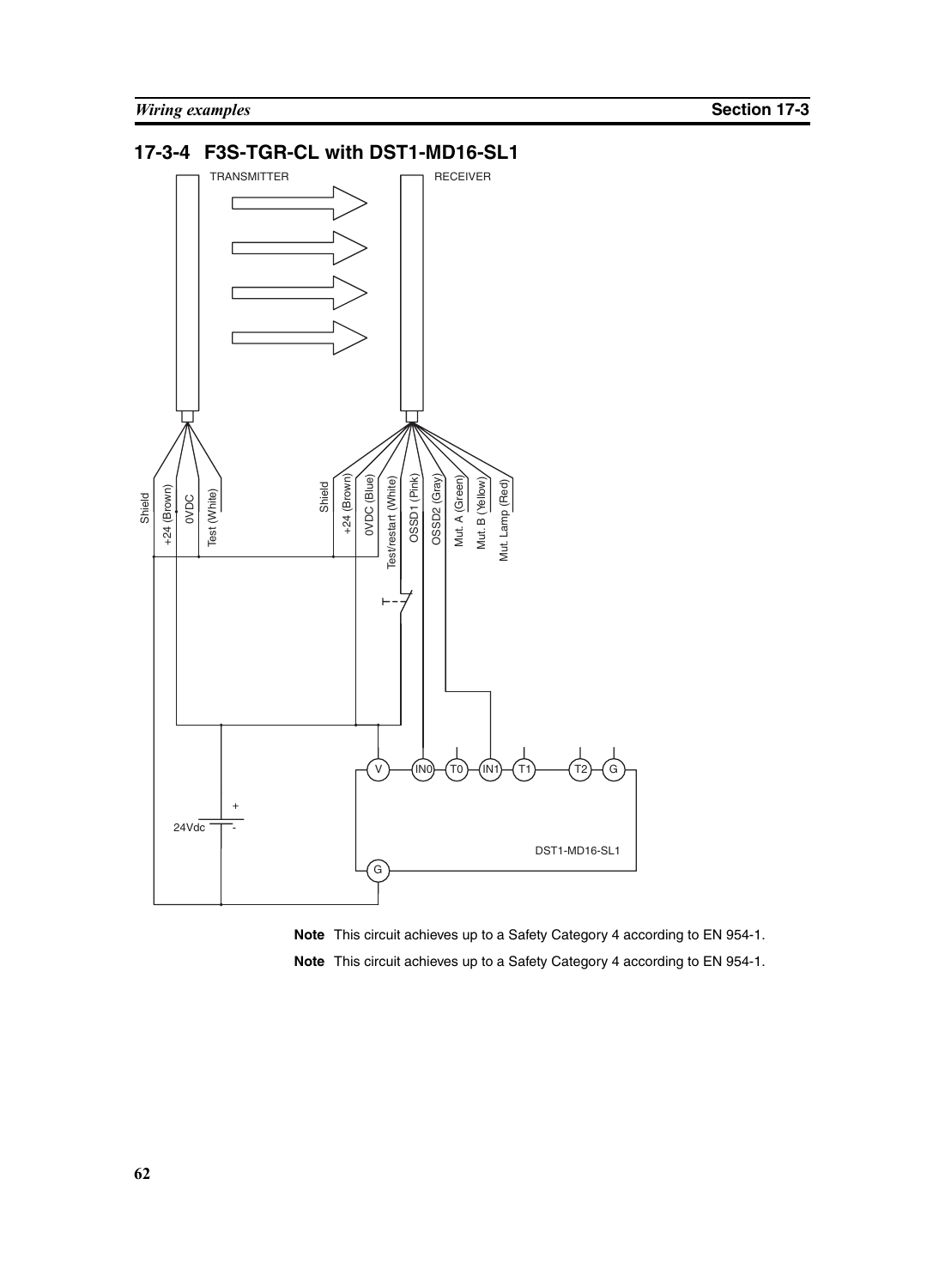## **17-3-4 F3S-TGR-CL with DST1-MD16-SL1**



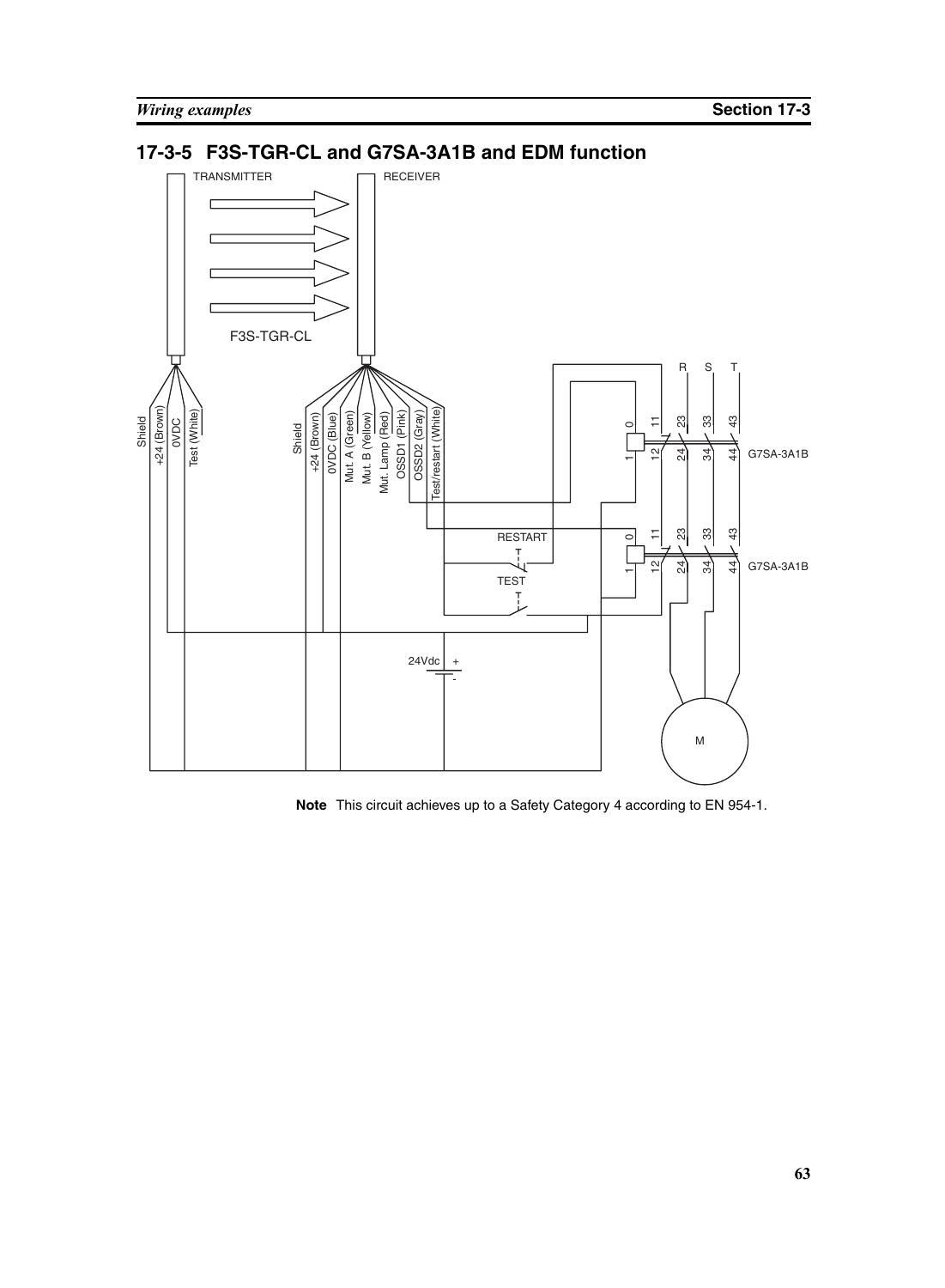



**Note** This circuit achieves up to a Safety Category 4 according to EN 954-1.